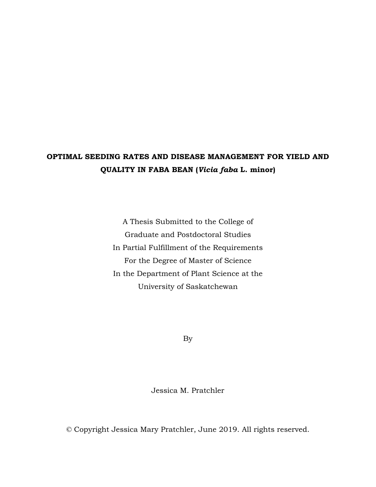# **OPTIMAL SEEDING RATES AND DISEASE MANAGEMENT FOR YIELD AND QUALITY IN FABA BEAN (***Vicia faba* **L. minor)**

A Thesis Submitted to the College of Graduate and Postdoctoral Studies In Partial Fulfillment of the Requirements For the Degree of Master of Science In the Department of Plant Science at the University of Saskatchewan

By

Jessica M. Pratchler

© Copyright Jessica Mary Pratchler, June 2019. All rights reserved.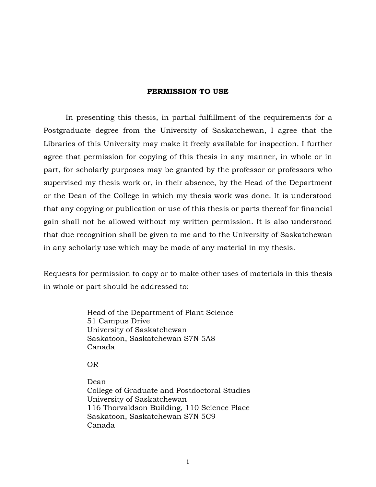#### **PERMISSION TO USE**

In presenting this thesis, in partial fulfillment of the requirements for a Postgraduate degree from the University of Saskatchewan, I agree that the Libraries of this University may make it freely available for inspection. I further agree that permission for copying of this thesis in any manner, in whole or in part, for scholarly purposes may be granted by the professor or professors who supervised my thesis work or, in their absence, by the Head of the Department or the Dean of the College in which my thesis work was done. It is understood that any copying or publication or use of this thesis or parts thereof for financial gain shall not be allowed without my written permission. It is also understood that due recognition shall be given to me and to the University of Saskatchewan in any scholarly use which may be made of any material in my thesis.

Requests for permission to copy or to make other uses of materials in this thesis in whole or part should be addressed to:

> Head of the Department of Plant Science 51 Campus Drive University of Saskatchewan Saskatoon, Saskatchewan S7N 5A8 Canada

OR

Dean College of Graduate and Postdoctoral Studies University of Saskatchewan 116 Thorvaldson Building, 110 Science Place Saskatoon, Saskatchewan S7N 5C9 Canada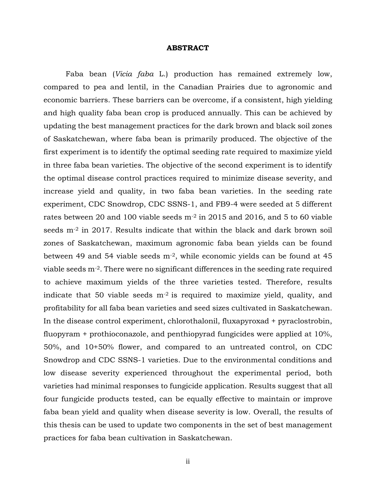#### **ABSTRACT**

Faba bean (*Vicia faba* L.) production has remained extremely low, compared to pea and lentil, in the Canadian Prairies due to agronomic and economic barriers. These barriers can be overcome, if a consistent, high yielding and high quality faba bean crop is produced annually. This can be achieved by updating the best management practices for the dark brown and black soil zones of Saskatchewan, where faba bean is primarily produced. The objective of the first experiment is to identify the optimal seeding rate required to maximize yield in three faba bean varieties. The objective of the second experiment is to identify the optimal disease control practices required to minimize disease severity, and increase yield and quality, in two faba bean varieties. In the seeding rate experiment, CDC Snowdrop, CDC SSNS-1, and FB9-4 were seeded at 5 different rates between 20 and 100 viable seeds m-2 in 2015 and 2016, and 5 to 60 viable seeds m<sup>-2</sup> in 2017. Results indicate that within the black and dark brown soil zones of Saskatchewan, maximum agronomic faba bean yields can be found between 49 and 54 viable seeds m-2, while economic yields can be found at 45 viable seeds m-2. There were no significant differences in the seeding rate required to achieve maximum yields of the three varieties tested. Therefore, results indicate that 50 viable seeds  $m<sup>2</sup>$  is required to maximize yield, quality, and profitability for all faba bean varieties and seed sizes cultivated in Saskatchewan. In the disease control experiment, chlorothalonil, fluxapyroxad + pyraclostrobin, fluopyram + prothioconazole, and penthiopyrad fungicides were applied at 10%, 50%, and 10+50% flower, and compared to an untreated control, on CDC Snowdrop and CDC SSNS-1 varieties. Due to the environmental conditions and low disease severity experienced throughout the experimental period, both varieties had minimal responses to fungicide application. Results suggest that all four fungicide products tested, can be equally effective to maintain or improve faba bean yield and quality when disease severity is low. Overall, the results of this thesis can be used to update two components in the set of best management practices for faba bean cultivation in Saskatchewan.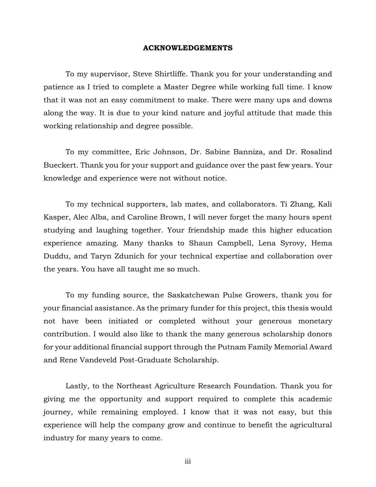#### **ACKNOWLEDGEMENTS**

To my supervisor, Steve Shirtliffe. Thank you for your understanding and patience as I tried to complete a Master Degree while working full time. I know that it was not an easy commitment to make. There were many ups and downs along the way. It is due to your kind nature and joyful attitude that made this working relationship and degree possible.

To my committee, Eric Johnson, Dr. Sabine Banniza, and Dr. Rosalind Bueckert. Thank you for your support and guidance over the past few years. Your knowledge and experience were not without notice.

To my technical supporters, lab mates, and collaborators. Ti Zhang, Kali Kasper, Alec Alba, and Caroline Brown, I will never forget the many hours spent studying and laughing together. Your friendship made this higher education experience amazing. Many thanks to Shaun Campbell, Lena Syrovy, Hema Duddu, and Taryn Zdunich for your technical expertise and collaboration over the years. You have all taught me so much.

To my funding source, the Saskatchewan Pulse Growers, thank you for your financial assistance. As the primary funder for this project, this thesis would not have been initiated or completed without your generous monetary contribution. I would also like to thank the many generous scholarship donors for your additional financial support through the Putnam Family Memorial Award and Rene Vandeveld Post-Graduate Scholarship.

Lastly, to the Northeast Agriculture Research Foundation. Thank you for giving me the opportunity and support required to complete this academic journey, while remaining employed. I know that it was not easy, but this experience will help the company grow and continue to benefit the agricultural industry for many years to come.

iii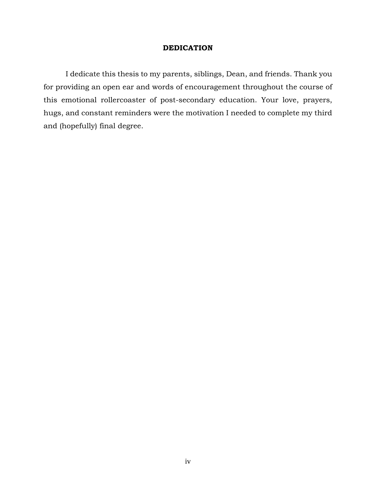#### **DEDICATION**

I dedicate this thesis to my parents, siblings, Dean, and friends. Thank you for providing an open ear and words of encouragement throughout the course of this emotional rollercoaster of post-secondary education. Your love, prayers, hugs, and constant reminders were the motivation I needed to complete my third and (hopefully) final degree.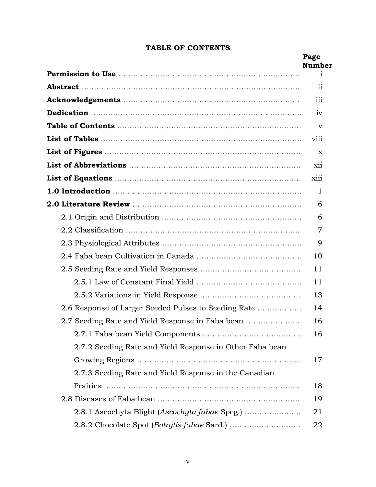# **TABLE OF CONTENTS**

|                                                          | Page<br><b>Number</b> |
|----------------------------------------------------------|-----------------------|
|                                                          | $\mathbf{1}$          |
|                                                          | $\overline{11}$       |
|                                                          | iii                   |
|                                                          | iv                    |
|                                                          | v                     |
|                                                          | viii                  |
|                                                          | x                     |
|                                                          | xii                   |
|                                                          | xiii                  |
|                                                          | 1                     |
|                                                          | 6                     |
|                                                          | 6                     |
|                                                          | $\overline{7}$        |
|                                                          | 9                     |
|                                                          | 10                    |
|                                                          | 11                    |
|                                                          | 11                    |
|                                                          | 13                    |
| 2.6 Response of Larger Seeded Pulses to Seeding Rate     | 14                    |
| 2.7 Seeding Rate and Yield Response in Faba bean         | 16                    |
|                                                          | 16                    |
| 2.7.2 Seeding Rate and Yield Response in Other Faba bean |                       |
|                                                          | 17                    |
| 2.7.3 Seeding Rate and Yield Response in the Canadian    |                       |
|                                                          | 18                    |
|                                                          | 19                    |
| 2.8.1 Ascochyta Blight (Ascochyta fabae Speg.)           | 21                    |
|                                                          | 22                    |
|                                                          |                       |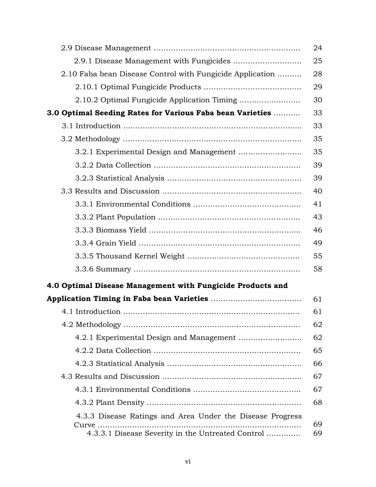|                                                                      | 24 |
|----------------------------------------------------------------------|----|
|                                                                      | 25 |
| 2.10 Faba bean Disease Control with Fungicide Application            | 28 |
|                                                                      | 29 |
|                                                                      | 30 |
| 3.0 Optimal Seeding Rates for Various Faba bean Varieties            | 33 |
|                                                                      | 33 |
|                                                                      | 35 |
|                                                                      | 35 |
|                                                                      | 39 |
|                                                                      | 39 |
|                                                                      | 40 |
|                                                                      | 41 |
|                                                                      | 43 |
|                                                                      | 46 |
|                                                                      | 49 |
|                                                                      | 55 |
|                                                                      | 58 |
| 4.0 Optimal Disease Management with Fungicide Products and           |    |
|                                                                      | 61 |
|                                                                      | 61 |
|                                                                      | 62 |
| 4.2.1 Experimental Design and Management                             | 62 |
|                                                                      | 65 |
|                                                                      | 66 |
|                                                                      | 67 |
|                                                                      | 67 |
|                                                                      | 68 |
| 4.3.3 Disease Ratings and Area Under the Disease Progress<br>$Curve$ | 69 |
| 4.3.3.1 Disease Severity in the Untreated Control                    | 69 |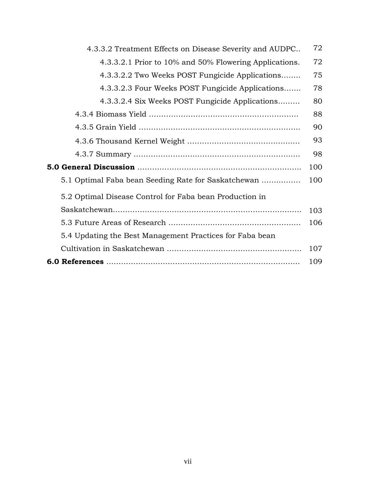| 4.3.3.2 Treatment Effects on Disease Severity and AUDPC  | 72  |
|----------------------------------------------------------|-----|
| 4.3.3.2.1 Prior to 10% and 50% Flowering Applications.   | 72  |
| 4.3.3.2.2 Two Weeks POST Fungicide Applications          | 75  |
| 4.3.3.2.3 Four Weeks POST Fungicide Applications         | 78  |
| 4.3.3.2.4 Six Weeks POST Fungicide Applications          | 80  |
|                                                          | 88  |
|                                                          | 90  |
|                                                          | 93  |
|                                                          | 98  |
|                                                          | 100 |
| 5.1 Optimal Faba bean Seeding Rate for Saskatchewan      | 100 |
| 5.2 Optimal Disease Control for Faba bean Production in  |     |
|                                                          | 103 |
|                                                          | 106 |
| 5.4 Updating the Best Management Practices for Faba bean |     |
|                                                          | 107 |
|                                                          | 109 |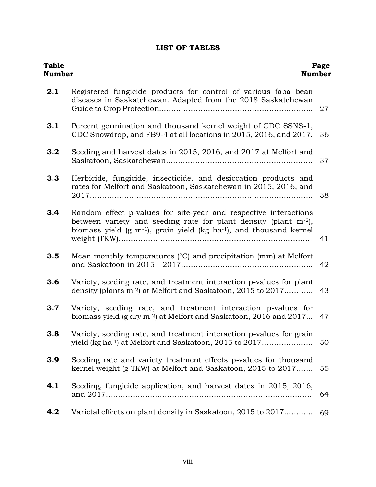# **LIST OF TABLES**

| <b>Table</b><br><b>Number</b> | Number                                                                                                                                                                                                                     | Page |
|-------------------------------|----------------------------------------------------------------------------------------------------------------------------------------------------------------------------------------------------------------------------|------|
| 2.1                           | Registered fungicide products for control of various faba bean<br>diseases in Saskatchewan. Adapted from the 2018 Saskatchewan                                                                                             | 27   |
| 3.1                           | Percent germination and thousand kernel weight of CDC SSNS-1,<br>CDC Snowdrop, and FB9-4 at all locations in 2015, 2016, and 2017.                                                                                         | 36   |
| 3.2                           | Seeding and harvest dates in 2015, 2016, and 2017 at Melfort and                                                                                                                                                           | 37   |
| 3.3                           | Herbicide, fungicide, insecticide, and desiccation products and<br>rates for Melfort and Saskatoon, Saskatchewan in 2015, 2016, and                                                                                        | 38   |
| 3.4                           | Random effect p-values for site-year and respective interactions<br>between variety and seeding rate for plant density (plant $m^{-2}$ ),<br>biomass yield $(g m^{-1})$ , grain yield $(kg ha^{-1})$ , and thousand kernel | 41   |
| 3.5                           | Mean monthly temperatures (°C) and precipitation (mm) at Melfort                                                                                                                                                           | 42   |
| 3.6                           | Variety, seeding rate, and treatment interaction p-values for plant<br>density (plants m <sup>-2</sup> ) at Melfort and Saskatoon, 2015 to 2017                                                                            | 43   |
| 3.7                           | Variety, seeding rate, and treatment interaction p-values for<br>biomass yield (g dry m <sup>-2</sup> ) at Melfort and Saskatoon, 2016 and 2017                                                                            | 47   |
| 3.8                           | Variety, seeding rate, and treatment interaction p-values for grain<br>yield (kg ha <sup>-1</sup> ) at Melfort and Saskatoon, 2015 to 2017                                                                                 | 50   |
| 3.9                           | Seeding rate and variety treatment effects p-values for thousand<br>kernel weight (g TKW) at Melfort and Saskatoon, 2015 to 2017                                                                                           | 55   |
| 4.1                           | Seeding, fungicide application, and harvest dates in 2015, 2016,                                                                                                                                                           | 64   |
| 4.2                           | Varietal effects on plant density in Saskatoon, 2015 to 2017                                                                                                                                                               | 69   |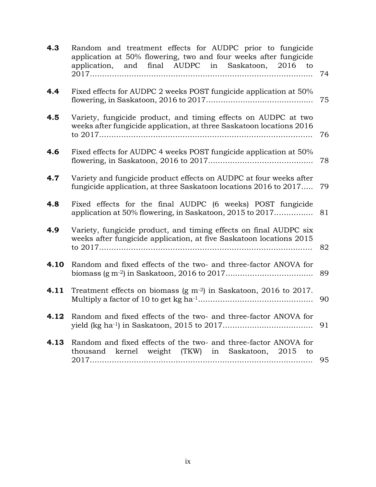| 4.3  | Random and treatment effects for AUDPC prior to fungicide<br>application at 50% flowering, two and four weeks after fungicide<br>application, and final AUDPC in Saskatoon, 2016 to | 74 |
|------|-------------------------------------------------------------------------------------------------------------------------------------------------------------------------------------|----|
| 4.4  | Fixed effects for AUDPC 2 weeks POST fungicide application at 50%                                                                                                                   | 75 |
| 4.5  | Variety, fungicide product, and timing effects on AUDPC at two<br>weeks after fungicide application, at three Saskatoon locations 2016                                              | 76 |
| 4.6  | Fixed effects for AUDPC 4 weeks POST fungicide application at 50%                                                                                                                   | 78 |
| 4.7  | Variety and fungicide product effects on AUDPC at four weeks after<br>fungicide application, at three Saskatoon locations 2016 to 2017                                              | 79 |
| 4.8  | Fixed effects for the final AUDPC (6 weeks) POST fungicide<br>application at 50% flowering, in Saskatoon, 2015 to 2017                                                              | 81 |
| 4.9  | Variety, fungicide product, and timing effects on final AUDPC six<br>weeks after fungicide application, at five Saskatoon locations 2015                                            | 82 |
| 4.10 | Random and fixed effects of the two- and three-factor ANOVA for                                                                                                                     | 89 |
| 4.11 | Treatment effects on biomass $(g m-2)$ in Saskatoon, 2016 to 2017.                                                                                                                  | 90 |
| 4.12 | Random and fixed effects of the two- and three-factor ANOVA for                                                                                                                     |    |
| 4.13 | Random and fixed effects of the two- and three-factor ANOVA for<br>thousand kernel weight (TKW) in Saskatoon, 2015 to                                                               | 95 |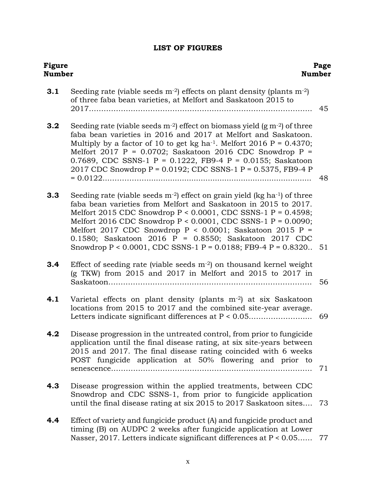# **LIST OF FIGURES**

| Figure<br>Number |                                                                                                                                                                                                                                                                                                                                                                                                                                                                                                       | Page<br><b>Number</b> |
|------------------|-------------------------------------------------------------------------------------------------------------------------------------------------------------------------------------------------------------------------------------------------------------------------------------------------------------------------------------------------------------------------------------------------------------------------------------------------------------------------------------------------------|-----------------------|
| 3.1              | Seeding rate (viable seeds $m^{-2}$ ) effects on plant density (plants $m^{-2}$ )<br>of three faba bean varieties, at Melfort and Saskatoon 2015 to                                                                                                                                                                                                                                                                                                                                                   | 45                    |
| 3.2              | Seeding rate (viable seeds $m^{-2}$ ) effect on biomass yield (g $m^{-2}$ ) of three<br>faba bean varieties in 2016 and 2017 at Melfort and Saskatoon.<br>Multiply by a factor of 10 to get kg ha <sup>-1</sup> . Melfort 2016 P = $0.4370$ ;<br>Melfort 2017 P = 0.0702; Saskatoon 2016 CDC Snowdrop P =<br>0.7689, CDC SSNS-1 P = 0.1222, FB9-4 P = 0.0155; Saskatoon<br>2017 CDC Snowdrop P = 0.0192; CDC SSNS-1 P = 0.5375, FB9-4 P<br>$= 0.0122$                                                 | 48                    |
| 3.3              | Seeding rate (viable seeds $m^{-2}$ ) effect on grain yield (kg ha <sup>-1</sup> ) of three<br>faba bean varieties from Melfort and Saskatoon in 2015 to 2017.<br>Melfort 2015 CDC Snowdrop $P < 0.0001$ , CDC SSNS-1 $P = 0.4598$ ;<br>Melfort 2016 CDC Snowdrop $P < 0.0001$ , CDC SSNS-1 $P = 0.0090$ ;<br>Melfort 2017 CDC Snowdrop $P < 0.0001$ ; Saskatoon 2015 P =<br>0.1580; Saskatoon 2016 P = 0.8550; Saskatoon 2017 CDC<br>Snowdrop P < 0.0001, CDC SSNS-1 P = 0.0188; FB9-4 P = 0.8320 51 |                       |
| 3.4              | Effect of seeding rate (viable seeds $m^{-2}$ ) on thousand kernel weight<br>$(g$ TKW) from 2015 and 2017 in Melfort and 2015 to 2017 in                                                                                                                                                                                                                                                                                                                                                              | 56                    |
| 4.1              | Varietal effects on plant density (plants m <sup>-2</sup> ) at six Saskatoon<br>locations from 2015 to 2017 and the combined site-year average.                                                                                                                                                                                                                                                                                                                                                       | 69                    |
| 4.2              | Disease progression in the untreated control, from prior to fungicide<br>application until the final disease rating, at six site-years between<br>2015 and 2017. The final disease rating coincided with 6 weeks<br>POST fungicide application at 50% flowering and prior to                                                                                                                                                                                                                          | 71                    |
| 4.3              | Disease progression within the applied treatments, between CDC<br>Snowdrop and CDC SSNS-1, from prior to fungicide application<br>until the final disease rating at six 2015 to 2017 Saskatoon sites 73                                                                                                                                                                                                                                                                                               |                       |
| 4.4              | Effect of variety and fungicide product (A) and fungicide product and<br>timing (B) on AUDPC 2 weeks after fungicide application at Lower<br>Nasser, 2017. Letters indicate significant differences at P < 0.05                                                                                                                                                                                                                                                                                       | 77                    |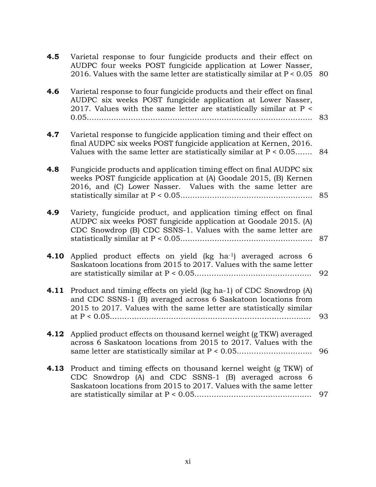| 4.5  | Varietal response to four fungicide products and their effect on<br>AUDPC four weeks POST fungicide application at Lower Nasser,<br>2016. Values with the same letter are statistically similar at $P < 0.05$ 80  |    |
|------|-------------------------------------------------------------------------------------------------------------------------------------------------------------------------------------------------------------------|----|
| 4.6  | Varietal response to four fungicide products and their effect on final<br>AUDPC six weeks POST fungicide application at Lower Nasser,<br>2017. Values with the same letter are statistically similar at P <       | 83 |
| 4.7  | Varietal response to fungicide application timing and their effect on<br>final AUDPC six weeks POST fungicide application at Kernen, 2016.<br>Values with the same letter are statistically similar at $P < 0.05$ | 84 |
| 4.8  | Fungicide products and application timing effect on final AUDPC six<br>weeks POST fungicide application at (A) Goodale 2015, (B) Kernen<br>2016, and (C) Lower Nasser. Values with the same letter are            | 85 |
| 4.9  | Variety, fungicide product, and application timing effect on final<br>AUDPC six weeks POST fungicide application at Goodale 2015. (A)<br>CDC Snowdrop (B) CDC SSNS-1. Values with the same letter are             | 87 |
| 4.10 | Applied product effects on yield (kg ha-1) averaged across 6<br>Saskatoon locations from 2015 to 2017. Values with the same letter                                                                                | 92 |
| 4.11 | Product and timing effects on yield (kg ha-1) of CDC Snowdrop (A)<br>and CDC SSNS-1 (B) averaged across 6 Saskatoon locations from<br>2015 to 2017. Values with the same letter are statistically similar         | 93 |
|      | <b>4.12</b> Applied product effects on thousand kernel weight (g TKW) averaged<br>across 6 Saskatoon locations from 2015 to 2017. Values with the<br>same letter are statistically similar at P < 0.05            | 96 |
| 4.13 | Product and timing effects on thousand kernel weight (g TKW) of<br>CDC Snowdrop (A) and CDC SSNS-1 (B) averaged across 6<br>Saskatoon locations from 2015 to 2017. Values with the same letter                    | 97 |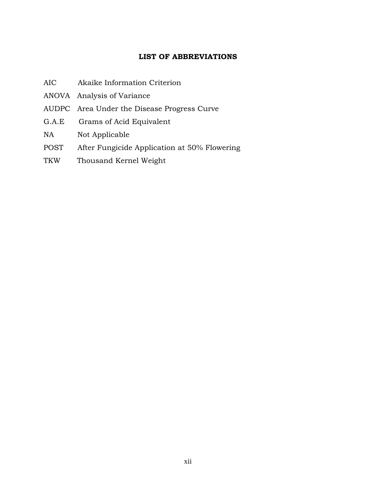## **LIST OF ABBREVIATIONS**

- AIC Akaike Information Criterion
- ANOVA Analysis of Variance
- AUDPC Area Under the Disease Progress Curve
- G.A.E Grams of Acid Equivalent
- NA Not Applicable
- POST After Fungicide Application at 50% Flowering
- TKW Thousand Kernel Weight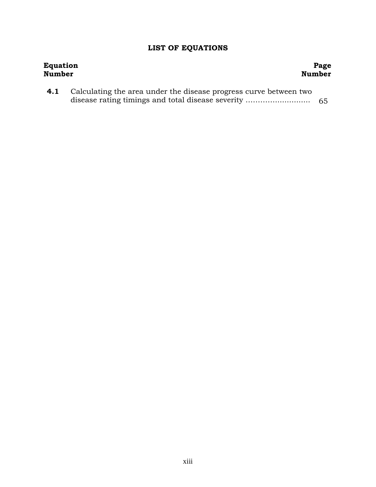# **LIST OF EQUATIONS**

| <b>Equation</b> |                                                                   | Page          |
|-----------------|-------------------------------------------------------------------|---------------|
| Number          |                                                                   | <b>Number</b> |
| 4.1             | Calculating the area under the disease progress curve between two |               |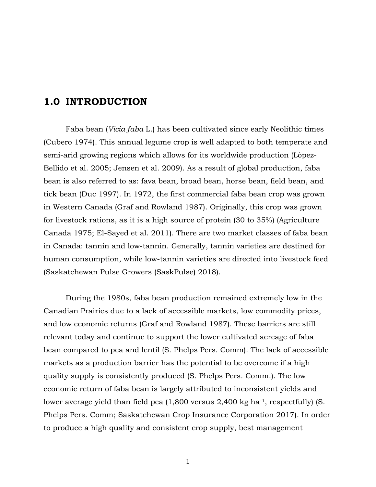# **1.0 INTRODUCTION**

Faba bean (*Vicia faba* L.) has been cultivated since early Neolithic times (Cubero 1974). This annual legume crop is well adapted to both temperate and semi-arid growing regions which allows for its worldwide production (Lòpez-Bellido et al. 2005; Jensen et al. 2009). As a result of global production, faba bean is also referred to as: fava bean, broad bean, horse bean, field bean, and tick bean (Duc 1997). In 1972, the first commercial faba bean crop was grown in Western Canada (Graf and Rowland 1987). Originally, this crop was grown for livestock rations, as it is a high source of protein (30 to 35%) (Agriculture Canada 1975; El-Sayed et al. 2011). There are two market classes of faba bean in Canada: tannin and low-tannin. Generally, tannin varieties are destined for human consumption, while low-tannin varieties are directed into livestock feed (Saskatchewan Pulse Growers (SaskPulse) 2018).

During the 1980s, faba bean production remained extremely low in the Canadian Prairies due to a lack of accessible markets, low commodity prices, and low economic returns (Graf and Rowland 1987). These barriers are still relevant today and continue to support the lower cultivated acreage of faba bean compared to pea and lentil (S. Phelps Pers. Comm). The lack of accessible markets as a production barrier has the potential to be overcome if a high quality supply is consistently produced (S. Phelps Pers. Comm.). The low economic return of faba bean is largely attributed to inconsistent yields and lower average yield than field pea (1,800 versus 2,400 kg ha<sup>-1</sup>, respectfully) (S. Phelps Pers. Comm; Saskatchewan Crop Insurance Corporation 2017). In order to produce a high quality and consistent crop supply, best management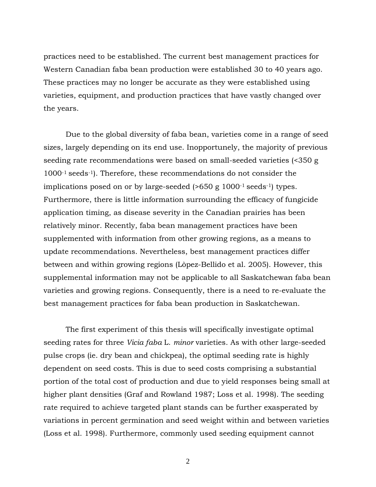practices need to be established. The current best management practices for Western Canadian faba bean production were established 30 to 40 years ago. These practices may no longer be accurate as they were established using varieties, equipment, and production practices that have vastly changed over the years.

Due to the global diversity of faba bean, varieties come in a range of seed sizes, largely depending on its end use. Inopportunely, the majority of previous seeding rate recommendations were based on small-seeded varieties (<350 g 1000-1 seeds-1). Therefore, these recommendations do not consider the implications posed on or by large-seeded (>650 g 1000-1 seeds-1) types. Furthermore, there is little information surrounding the efficacy of fungicide application timing, as disease severity in the Canadian prairies has been relatively minor. Recently, faba bean management practices have been supplemented with information from other growing regions, as a means to update recommendations. Nevertheless, best management practices differ between and within growing regions (Lòpez-Bellido et al. 2005). However, this supplemental information may not be applicable to all Saskatchewan faba bean varieties and growing regions. Consequently, there is a need to re-evaluate the best management practices for faba bean production in Saskatchewan.

The first experiment of this thesis will specifically investigate optimal seeding rates for three *Vicia faba* L. *minor* varieties. As with other large-seeded pulse crops (ie. dry bean and chickpea), the optimal seeding rate is highly dependent on seed costs. This is due to seed costs comprising a substantial portion of the total cost of production and due to yield responses being small at higher plant densities (Graf and Rowland 1987; Loss et al. 1998). The seeding rate required to achieve targeted plant stands can be further exasperated by variations in percent germination and seed weight within and between varieties (Loss et al. 1998). Furthermore, commonly used seeding equipment cannot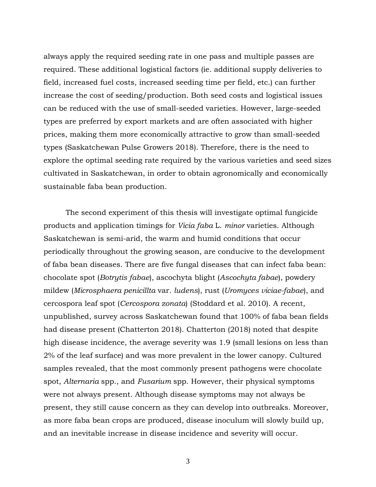always apply the required seeding rate in one pass and multiple passes are required. These additional logistical factors (ie. additional supply deliveries to field, increased fuel costs, increased seeding time per field, etc.) can further increase the cost of seeding/production. Both seed costs and logistical issues can be reduced with the use of small-seeded varieties. However, large-seeded types are preferred by export markets and are often associated with higher prices, making them more economically attractive to grow than small-seeded types (Saskatchewan Pulse Growers 2018). Therefore, there is the need to explore the optimal seeding rate required by the various varieties and seed sizes cultivated in Saskatchewan, in order to obtain agronomically and economically sustainable faba bean production.

The second experiment of this thesis will investigate optimal fungicide products and application timings for *Vicia faba* L. *minor* varieties. Although Saskatchewan is semi-arid, the warm and humid conditions that occur periodically throughout the growing season, are conducive to the development of faba bean diseases. There are five fungal diseases that can infect faba bean: chocolate spot (*Botrytis fabae*), ascochyta blight (*Ascochyta fabae*), powdery mildew (*Microsphaera penicillta* var. *ludens*), rust (*Uromyces viciae-fabae*), and cercospora leaf spot (*Cercospora zonata*) (Stoddard et al. 2010). A recent, unpublished, survey across Saskatchewan found that 100% of faba bean fields had disease present (Chatterton 2018). Chatterton (2018) noted that despite high disease incidence, the average severity was 1.9 (small lesions on less than 2% of the leaf surface) and was more prevalent in the lower canopy. Cultured samples revealed, that the most commonly present pathogens were chocolate spot, *Alternaria* spp., and *Fusarium* spp. However, their physical symptoms were not always present. Although disease symptoms may not always be present, they still cause concern as they can develop into outbreaks. Moreover, as more faba bean crops are produced, disease inoculum will slowly build up, and an inevitable increase in disease incidence and severity will occur.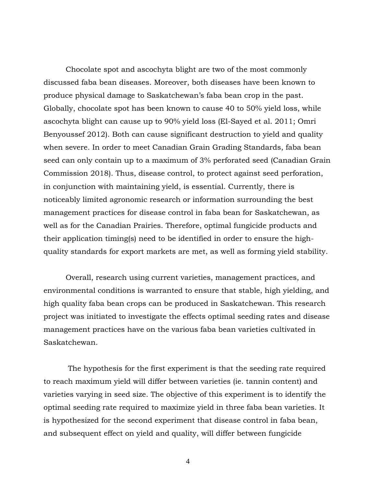Chocolate spot and ascochyta blight are two of the most commonly discussed faba bean diseases. Moreover, both diseases have been known to produce physical damage to Saskatchewan's faba bean crop in the past. Globally, chocolate spot has been known to cause 40 to 50% yield loss, while ascochyta blight can cause up to 90% yield loss (El-Sayed et al. 2011; Omri Benyoussef 2012). Both can cause significant destruction to yield and quality when severe. In order to meet Canadian Grain Grading Standards, faba bean seed can only contain up to a maximum of 3% perforated seed (Canadian Grain Commission 2018). Thus, disease control, to protect against seed perforation, in conjunction with maintaining yield, is essential. Currently, there is noticeably limited agronomic research or information surrounding the best management practices for disease control in faba bean for Saskatchewan, as well as for the Canadian Prairies. Therefore, optimal fungicide products and their application timing(s) need to be identified in order to ensure the highquality standards for export markets are met, as well as forming yield stability.

Overall, research using current varieties, management practices, and environmental conditions is warranted to ensure that stable, high yielding, and high quality faba bean crops can be produced in Saskatchewan. This research project was initiated to investigate the effects optimal seeding rates and disease management practices have on the various faba bean varieties cultivated in Saskatchewan.

The hypothesis for the first experiment is that the seeding rate required to reach maximum yield will differ between varieties (ie. tannin content) and varieties varying in seed size. The objective of this experiment is to identify the optimal seeding rate required to maximize yield in three faba bean varieties. It is hypothesized for the second experiment that disease control in faba bean, and subsequent effect on yield and quality, will differ between fungicide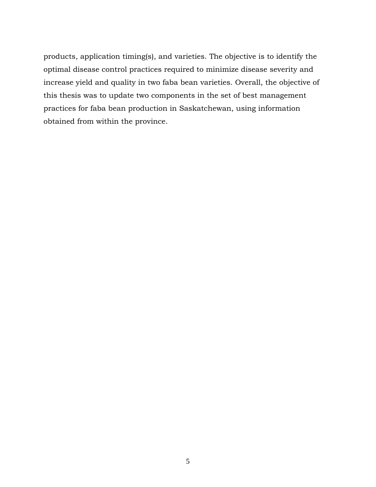products, application timing(s), and varieties. The objective is to identify the optimal disease control practices required to minimize disease severity and increase yield and quality in two faba bean varieties. Overall, the objective of this thesis was to update two components in the set of best management practices for faba bean production in Saskatchewan, using information obtained from within the province.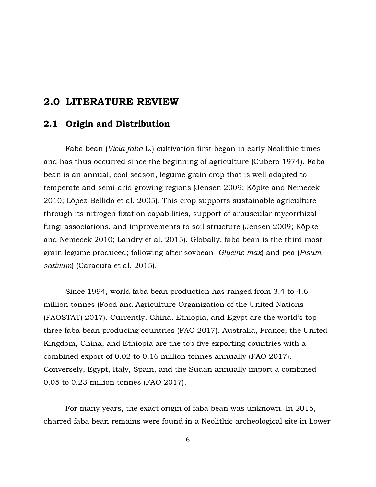# **2.0 LITERATURE REVIEW**

# **2.1 Origin and Distribution**

Faba bean (*Vicia faba* L.) cultivation first began in early Neolithic times and has thus occurred since the beginning of agriculture (Cubero 1974). Faba bean is an annual, cool season, legume grain crop that is well adapted to temperate and semi-arid growing regions (Jensen 2009; Köpke and Nemecek 2010; López-Bellido et al. 2005). This crop supports sustainable agriculture through its nitrogen fixation capabilities, support of arbuscular mycorrhizal fungi associations, and improvements to soil structure (Jensen 2009; Köpke and Nemecek 2010; Landry et al. 2015). Globally, faba bean is the third most grain legume produced; following after soybean (*Glycine max*) and pea (*Pisum sativum*) (Caracuta et al. 2015).

Since 1994, world faba bean production has ranged from 3.4 to 4.6 million tonnes (Food and Agriculture Organization of the United Nations (FAOSTAT) 2017). Currently, China, Ethiopia, and Egypt are the world's top three faba bean producing countries (FAO 2017). Australia, France, the United Kingdom, China, and Ethiopia are the top five exporting countries with a combined export of 0.02 to 0.16 million tonnes annually (FAO 2017). Conversely, Egypt, Italy, Spain, and the Sudan annually import a combined 0.05 to 0.23 million tonnes (FAO 2017).

For many years, the exact origin of faba bean was unknown. In 2015, charred faba bean remains were found in a Neolithic archeological site in Lower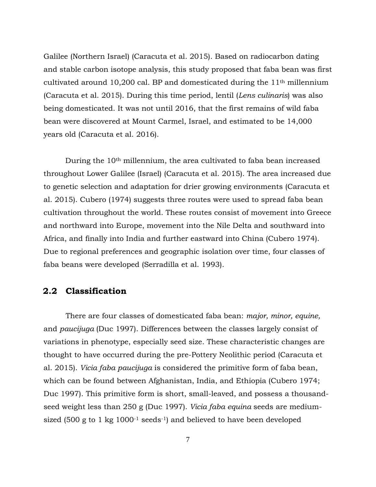Galilee (Northern Israel) (Caracuta et al. 2015). Based on radiocarbon dating and stable carbon isotope analysis, this study proposed that faba bean was first cultivated around 10,200 cal. BP and domesticated during the  $11<sup>th</sup>$  millennium (Caracuta et al. 2015). During this time period, lentil (*Lens culinaris*) was also being domesticated. It was not until 2016, that the first remains of wild faba bean were discovered at Mount Carmel, Israel, and estimated to be 14,000 years old (Caracuta et al. 2016).

During the 10th millennium, the area cultivated to faba bean increased throughout Lower Galilee (Israel) (Caracuta et al. 2015). The area increased due to genetic selection and adaptation for drier growing environments (Caracuta et al. 2015). Cubero (1974) suggests three routes were used to spread faba bean cultivation throughout the world. These routes consist of movement into Greece and northward into Europe, movement into the Nile Delta and southward into Africa, and finally into India and further eastward into China (Cubero 1974). Due to regional preferences and geographic isolation over time, four classes of faba beans were developed (Serradilla et al. 1993).

### **2.2 Classification**

There are four classes of domesticated faba bean: *major, minor, equine,*  and *paucijuga* (Duc 1997). Differences between the classes largely consist of variations in phenotype, especially seed size. These characteristic changes are thought to have occurred during the pre-Pottery Neolithic period (Caracuta et al. 2015). *Vicia faba paucijuga* is considered the primitive form of faba bean, which can be found between Afghanistan, India, and Ethiopia (Cubero 1974; Duc 1997). This primitive form is short, small-leaved, and possess a thousandseed weight less than 250 g (Duc 1997). *Vicia faba equina* seeds are mediumsized (500 g to 1 kg 1000-1 seeds-1) and believed to have been developed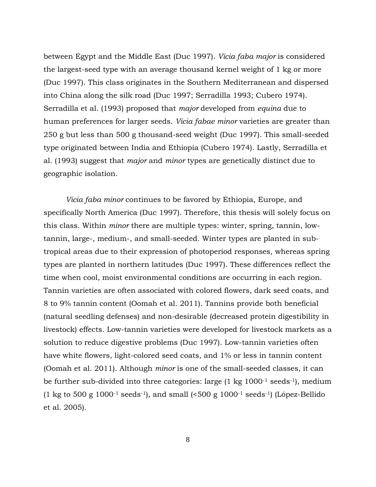between Egypt and the Middle East (Duc 1997). *Vicia faba major* is considered the largest-seed type with an average thousand kernel weight of 1 kg or more (Duc 1997). This class originates in the Southern Mediterranean and dispersed into China along the silk road (Duc 1997; Serradilla 1993; Cubero 1974). Serradilla et al. (1993) proposed that *major* developed from *equina* due to human preferences for larger seeds. *Vicia fabae minor* varieties are greater than 250 g but less than 500 g thousand-seed weight (Duc 1997). This small-seeded type originated between India and Ethiopia (Cubero 1974). Lastly, Serradilla et al. (1993) suggest that *major* and *minor* types are genetically distinct due to geographic isolation.

*Vicia faba minor* continues to be favored by Ethiopia, Europe, and specifically North America (Duc 1997). Therefore, this thesis will solely focus on this class. Within *minor* there are multiple types: winter, spring, tannin, lowtannin, large-, medium-, and small-seeded. Winter types are planted in subtropical areas due to their expression of photoperiod responses, whereas spring types are planted in northern latitudes (Duc 1997). These differences reflect the time when cool, moist environmental conditions are occurring in each region. Tannin varieties are often associated with colored flowers, dark seed coats, and 8 to 9% tannin content (Oomah et al. 2011). Tannins provide both beneficial (natural seedling defenses) and non-desirable (decreased protein digestibility in livestock) effects. Low-tannin varieties were developed for livestock markets as a solution to reduce digestive problems (Duc 1997). Low-tannin varieties often have white flowers, light-colored seed coats, and 1% or less in tannin content (Oomah et al. 2011). Although *minor* is one of the small-seeded classes, it can be further sub-divided into three categories: large  $(1 \text{ kg } 1000^{-1} \text{ seeds}^{-1})$ , medium (1 kg to 500 g 1000<sup>-1</sup> seeds<sup>-1</sup>), and small  $(500 \text{ g } 1000$ <sup>-1</sup> seeds<sup>-1</sup>) (López-Bellido et al. 2005).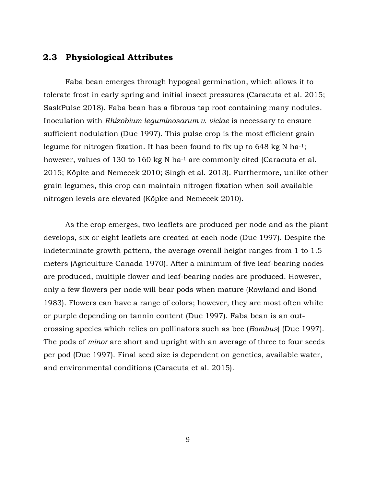## **2.3 Physiological Attributes**

Faba bean emerges through hypogeal germination, which allows it to tolerate frost in early spring and initial insect pressures (Caracuta et al. 2015; SaskPulse 2018). Faba bean has a fibrous tap root containing many nodules. Inoculation with *Rhizobium leguminosarum v. viciae* is necessary to ensure sufficient nodulation (Duc 1997). This pulse crop is the most efficient grain legume for nitrogen fixation. It has been found to fix up to 648 kg N ha<sup>-1</sup>; however, values of 130 to 160 kg N ha<sup>-1</sup> are commonly cited (Caracuta et al. 2015; Köpke and Nemecek 2010; Singh et al. 2013). Furthermore, unlike other grain legumes, this crop can maintain nitrogen fixation when soil available nitrogen levels are elevated (Köpke and Nemecek 2010).

As the crop emerges, two leaflets are produced per node and as the plant develops, six or eight leaflets are created at each node (Duc 1997). Despite the indeterminate growth pattern, the average overall height ranges from 1 to 1.5 meters (Agriculture Canada 1970). After a minimum of five leaf-bearing nodes are produced, multiple flower and leaf-bearing nodes are produced. However, only a few flowers per node will bear pods when mature (Rowland and Bond 1983). Flowers can have a range of colors; however, they are most often white or purple depending on tannin content (Duc 1997). Faba bean is an outcrossing species which relies on pollinators such as bee (*Bombus*) (Duc 1997). The pods of *minor* are short and upright with an average of three to four seeds per pod (Duc 1997). Final seed size is dependent on genetics, available water, and environmental conditions (Caracuta et al. 2015).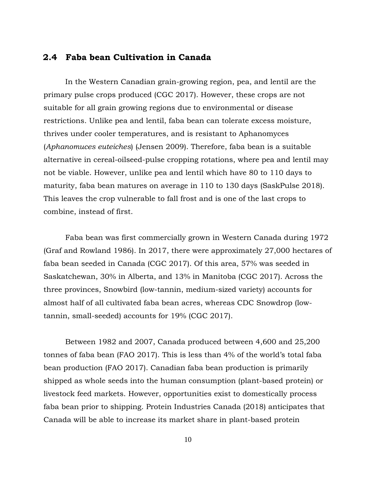## **2.4 Faba bean Cultivation in Canada**

In the Western Canadian grain-growing region, pea, and lentil are the primary pulse crops produced (CGC 2017). However, these crops are not suitable for all grain growing regions due to environmental or disease restrictions. Unlike pea and lentil, faba bean can tolerate excess moisture, thrives under cooler temperatures, and is resistant to Aphanomyces (*Aphanomuces euteiches*) (Jensen 2009). Therefore, faba bean is a suitable alternative in cereal-oilseed-pulse cropping rotations, where pea and lentil may not be viable. However, unlike pea and lentil which have 80 to 110 days to maturity, faba bean matures on average in 110 to 130 days (SaskPulse 2018). This leaves the crop vulnerable to fall frost and is one of the last crops to combine, instead of first.

Faba bean was first commercially grown in Western Canada during 1972 (Graf and Rowland 1986). In 2017, there were approximately 27,000 hectares of faba bean seeded in Canada (CGC 2017). Of this area, 57% was seeded in Saskatchewan, 30% in Alberta, and 13% in Manitoba (CGC 2017). Across the three provinces, Snowbird (low-tannin, medium-sized variety) accounts for almost half of all cultivated faba bean acres, whereas CDC Snowdrop (lowtannin, small-seeded) accounts for 19% (CGC 2017).

Between 1982 and 2007, Canada produced between 4,600 and 25,200 tonnes of faba bean (FAO 2017). This is less than 4% of the world's total faba bean production (FAO 2017). Canadian faba bean production is primarily shipped as whole seeds into the human consumption (plant-based protein) or livestock feed markets. However, opportunities exist to domestically process faba bean prior to shipping. Protein Industries Canada (2018) anticipates that Canada will be able to increase its market share in plant-based protein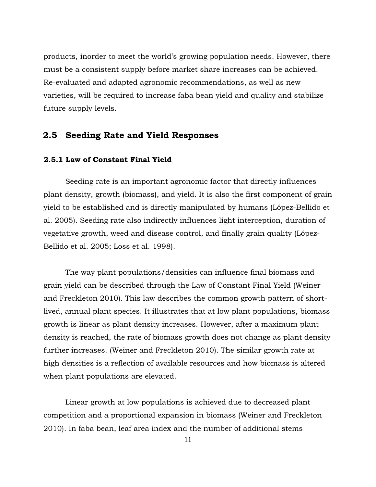products, inorder to meet the world's growing population needs. However, there must be a consistent supply before market share increases can be achieved. Re-evaluated and adapted agronomic recommendations, as well as new varieties, will be required to increase faba bean yield and quality and stabilize future supply levels.

# **2.5 Seeding Rate and Yield Responses**

#### **2.5.1 Law of Constant Final Yield**

Seeding rate is an important agronomic factor that directly influences plant density, growth (biomass), and yield. It is also the first component of grain yield to be established and is directly manipulated by humans (López-Bellido et al. 2005). Seeding rate also indirectly influences light interception, duration of vegetative growth, weed and disease control, and finally grain quality (López-Bellido et al. 2005; Loss et al. 1998).

The way plant populations/densities can influence final biomass and grain yield can be described through the Law of Constant Final Yield (Weiner and Freckleton 2010). This law describes the common growth pattern of shortlived, annual plant species. It illustrates that at low plant populations, biomass growth is linear as plant density increases. However, after a maximum plant density is reached, the rate of biomass growth does not change as plant density further increases. (Weiner and Freckleton 2010). The similar growth rate at high densities is a reflection of available resources and how biomass is altered when plant populations are elevated.

Linear growth at low populations is achieved due to decreased plant competition and a proportional expansion in biomass (Weiner and Freckleton 2010). In faba bean, leaf area index and the number of additional stems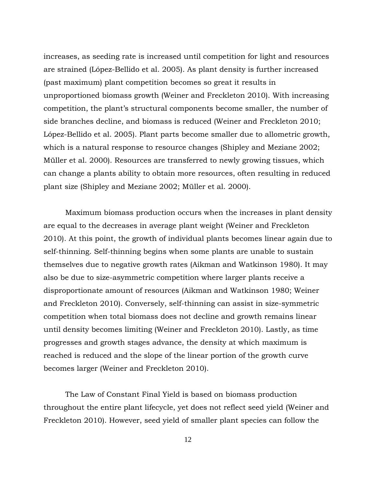increases, as seeding rate is increased until competition for light and resources are strained (López-Bellido et al. 2005). As plant density is further increased (past maximum) plant competition becomes so great it results in unproportioned biomass growth (Weiner and Freckleton 2010). With increasing competition, the plant's structural components become smaller, the number of side branches decline, and biomass is reduced (Weiner and Freckleton 2010; López-Bellido et al. 2005). Plant parts become smaller due to allometric growth, which is a natural response to resource changes (Shipley and Meziane 2002; Müller et al. 2000). Resources are transferred to newly growing tissues, which can change a plants ability to obtain more resources, often resulting in reduced plant size (Shipley and Meziane 2002; Müller et al. 2000).

Maximum biomass production occurs when the increases in plant density are equal to the decreases in average plant weight (Weiner and Freckleton 2010). At this point, the growth of individual plants becomes linear again due to self-thinning. Self-thinning begins when some plants are unable to sustain themselves due to negative growth rates (Aikman and Watkinson 1980). It may also be due to size-asymmetric competition where larger plants receive a disproportionate amount of resources (Aikman and Watkinson 1980; Weiner and Freckleton 2010). Conversely, self-thinning can assist in size-symmetric competition when total biomass does not decline and growth remains linear until density becomes limiting (Weiner and Freckleton 2010). Lastly, as time progresses and growth stages advance, the density at which maximum is reached is reduced and the slope of the linear portion of the growth curve becomes larger (Weiner and Freckleton 2010).

The Law of Constant Final Yield is based on biomass production throughout the entire plant lifecycle, yet does not reflect seed yield (Weiner and Freckleton 2010). However, seed yield of smaller plant species can follow the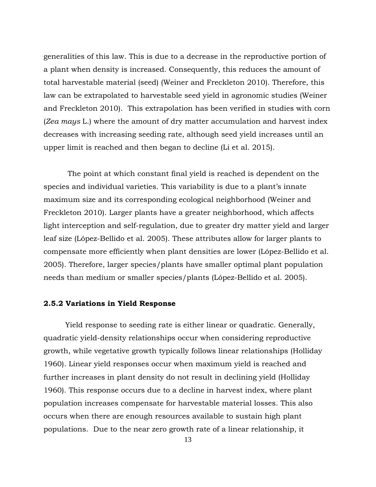generalities of this law. This is due to a decrease in the reproductive portion of a plant when density is increased. Consequently, this reduces the amount of total harvestable material (seed) (Weiner and Freckleton 2010). Therefore, this law can be extrapolated to harvestable seed yield in agronomic studies (Weiner and Freckleton 2010). This extrapolation has been verified in studies with corn (*Zea mays* L.) where the amount of dry matter accumulation and harvest index decreases with increasing seeding rate, although seed yield increases until an upper limit is reached and then began to decline (Li et al. 2015).

The point at which constant final yield is reached is dependent on the species and individual varieties. This variability is due to a plant's innate maximum size and its corresponding ecological neighborhood (Weiner and Freckleton 2010). Larger plants have a greater neighborhood, which affects light interception and self-regulation, due to greater dry matter yield and larger leaf size (López-Bellido et al. 2005). These attributes allow for larger plants to compensate more efficiently when plant densities are lower (López-Bellido et al. 2005). Therefore, larger species/plants have smaller optimal plant population needs than medium or smaller species/plants (López-Bellido et al. 2005).

#### **2.5.2 Variations in Yield Response**

Yield response to seeding rate is either linear or quadratic. Generally, quadratic yield-density relationships occur when considering reproductive growth, while vegetative growth typically follows linear relationships (Holliday 1960). Linear yield responses occur when maximum yield is reached and further increases in plant density do not result in declining yield (Holliday 1960). This response occurs due to a decline in harvest index, where plant population increases compensate for harvestable material losses. This also occurs when there are enough resources available to sustain high plant populations. Due to the near zero growth rate of a linear relationship, it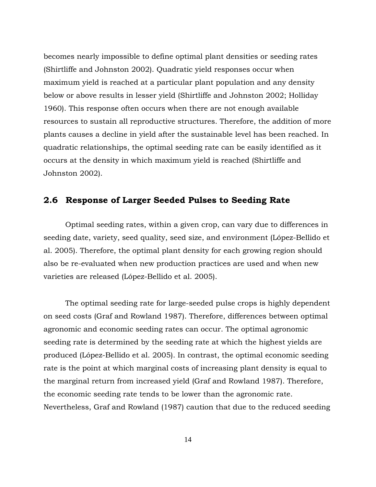becomes nearly impossible to define optimal plant densities or seeding rates (Shirtliffe and Johnston 2002). Quadratic yield responses occur when maximum yield is reached at a particular plant population and any density below or above results in lesser yield (Shirtliffe and Johnston 2002; Holliday 1960). This response often occurs when there are not enough available resources to sustain all reproductive structures. Therefore, the addition of more plants causes a decline in yield after the sustainable level has been reached. In quadratic relationships, the optimal seeding rate can be easily identified as it occurs at the density in which maximum yield is reached (Shirtliffe and Johnston 2002).

# **2.6 Response of Larger Seeded Pulses to Seeding Rate**

Optimal seeding rates, within a given crop, can vary due to differences in seeding date, variety, seed quality, seed size, and environment (López-Bellido et al. 2005). Therefore, the optimal plant density for each growing region should also be re-evaluated when new production practices are used and when new varieties are released (López-Bellido et al. 2005).

The optimal seeding rate for large-seeded pulse crops is highly dependent on seed costs (Graf and Rowland 1987). Therefore, differences between optimal agronomic and economic seeding rates can occur. The optimal agronomic seeding rate is determined by the seeding rate at which the highest yields are produced (López-Bellido et al. 2005). In contrast, the optimal economic seeding rate is the point at which marginal costs of increasing plant density is equal to the marginal return from increased yield (Graf and Rowland 1987). Therefore, the economic seeding rate tends to be lower than the agronomic rate. Nevertheless, Graf and Rowland (1987) caution that due to the reduced seeding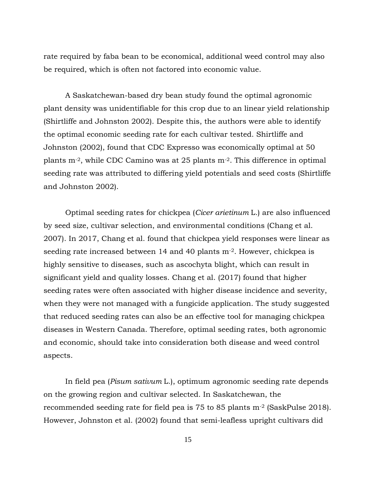rate required by faba bean to be economical, additional weed control may also be required, which is often not factored into economic value.

A Saskatchewan-based dry bean study found the optimal agronomic plant density was unidentifiable for this crop due to an linear yield relationship (Shirtliffe and Johnston 2002). Despite this, the authors were able to identify the optimal economic seeding rate for each cultivar tested. Shirtliffe and Johnston (2002), found that CDC Expresso was economically optimal at 50 plants m-2, while CDC Camino was at 25 plants m-2. This difference in optimal seeding rate was attributed to differing yield potentials and seed costs (Shirtliffe and Johnston 2002).

Optimal seeding rates for chickpea (*Cicer arietinum* L.) are also influenced by seed size, cultivar selection, and environmental conditions (Chang et al. 2007). In 2017, Chang et al. found that chickpea yield responses were linear as seeding rate increased between 14 and 40 plants m<sup>-2</sup>. However, chickpea is highly sensitive to diseases, such as ascochyta blight, which can result in significant yield and quality losses. Chang et al. (2017) found that higher seeding rates were often associated with higher disease incidence and severity, when they were not managed with a fungicide application. The study suggested that reduced seeding rates can also be an effective tool for managing chickpea diseases in Western Canada. Therefore, optimal seeding rates, both agronomic and economic, should take into consideration both disease and weed control aspects.

In field pea (*Pisum sativum* L.), optimum agronomic seeding rate depends on the growing region and cultivar selected. In Saskatchewan, the recommended seeding rate for field pea is 75 to 85 plants m-2 (SaskPulse 2018). However, Johnston et al. (2002) found that semi-leafless upright cultivars did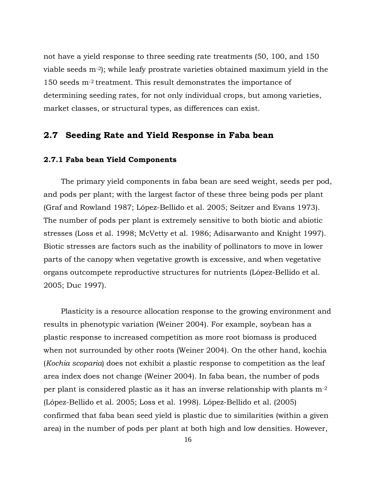not have a yield response to three seeding rate treatments (50, 100, and 150 viable seeds m-2); while leafy prostrate varieties obtained maximum yield in the 150 seeds m-2 treatment. This result demonstrates the importance of determining seeding rates, for not only individual crops, but among varieties, market classes, or structural types, as differences can exist.

## **2.7 Seeding Rate and Yield Response in Faba bean**

#### **2.7.1 Faba bean Yield Components**

The primary yield components in faba bean are seed weight, seeds per pod, and pods per plant; with the largest factor of these three being pods per plant (Graf and Rowland 1987; López-Bellido et al. 2005; Seitzer and Evans 1973). The number of pods per plant is extremely sensitive to both biotic and abiotic stresses (Loss et al. 1998; McVetty et al. 1986; Adisarwanto and Knight 1997). Biotic stresses are factors such as the inability of pollinators to move in lower parts of the canopy when vegetative growth is excessive, and when vegetative organs outcompete reproductive structures for nutrients (López-Bellido et al. 2005; Duc 1997).

Plasticity is a resource allocation response to the growing environment and results in phenotypic variation (Weiner 2004). For example, soybean has a plastic response to increased competition as more root biomass is produced when not surrounded by other roots (Weiner 2004). On the other hand, kochia (*Kochia scoparia*) does not exhibit a plastic response to competition as the leaf area index does not change (Weiner 2004). In faba bean, the number of pods per plant is considered plastic as it has an inverse relationship with plants m-2 (López-Bellido et al. 2005; Loss et al. 1998). López-Bellido et al. (2005) confirmed that faba bean seed yield is plastic due to similarities (within a given area) in the number of pods per plant at both high and low densities. However,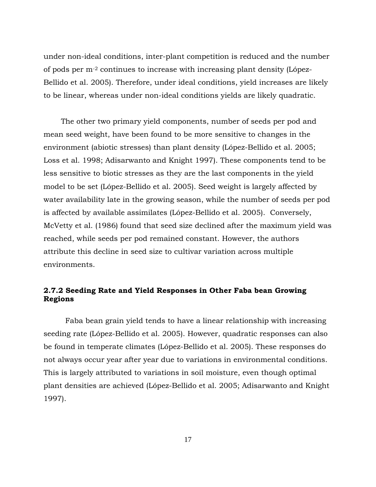under non-ideal conditions, inter-plant competition is reduced and the number of pods per m-2 continues to increase with increasing plant density (López-Bellido et al. 2005). Therefore, under ideal conditions, yield increases are likely to be linear, whereas under non-ideal conditions yields are likely quadratic.

The other two primary yield components, number of seeds per pod and mean seed weight, have been found to be more sensitive to changes in the environment (abiotic stresses) than plant density (López-Bellido et al. 2005; Loss et al. 1998; Adisarwanto and Knight 1997). These components tend to be less sensitive to biotic stresses as they are the last components in the yield model to be set (López-Bellido et al. 2005). Seed weight is largely affected by water availability late in the growing season, while the number of seeds per pod is affected by available assimilates (López-Bellido et al. 2005). Conversely, McVetty et al. (1986) found that seed size declined after the maximum yield was reached, while seeds per pod remained constant. However, the authors attribute this decline in seed size to cultivar variation across multiple environments.

### **2.7.2 Seeding Rate and Yield Responses in Other Faba bean Growing Regions**

Faba bean grain yield tends to have a linear relationship with increasing seeding rate (López-Bellido et al. 2005). However, quadratic responses can also be found in temperate climates (López-Bellido et al. 2005). These responses do not always occur year after year due to variations in environmental conditions. This is largely attributed to variations in soil moisture, even though optimal plant densities are achieved (López-Bellido et al. 2005; Adisarwanto and Knight 1997).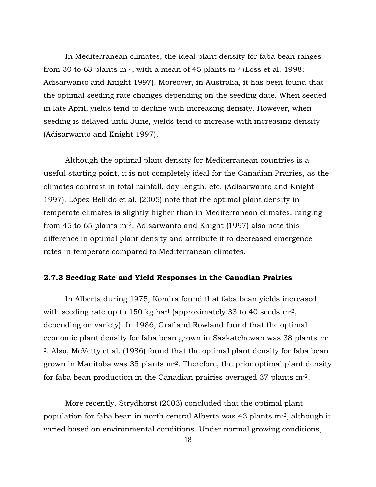In Mediterranean climates, the ideal plant density for faba bean ranges from 30 to 63 plants  $m<sup>-2</sup>$ , with a mean of 45 plants  $m<sup>-2</sup>$  (Loss et al. 1998; Adisarwanto and Knight 1997). Moreover, in Australia, it has been found that the optimal seeding rate changes depending on the seeding date. When seeded in late April, yields tend to decline with increasing density. However, when seeding is delayed until June, yields tend to increase with increasing density (Adisarwanto and Knight 1997).

Although the optimal plant density for Mediterranean countries is a useful starting point, it is not completely ideal for the Canadian Prairies, as the climates contrast in total rainfall, day-length, etc. (Adisarwanto and Knight 1997). López-Bellido et al. (2005) note that the optimal plant density in temperate climates is slightly higher than in Mediterranean climates, ranging from 45 to 65 plants  $m<sup>-2</sup>$ . Adisarwanto and Knight (1997) also note this difference in optimal plant density and attribute it to decreased emergence rates in temperate compared to Mediterranean climates.

#### **2.7.3 Seeding Rate and Yield Responses in the Canadian Prairies**

In Alberta during 1975, Kondra found that faba bean yields increased with seeding rate up to 150 kg ha<sup>-1</sup> (approximately 33 to 40 seeds  $m<sup>-2</sup>$ , depending on variety). In 1986, Graf and Rowland found that the optimal economic plant density for faba bean grown in Saskatchewan was 38 plants m-<sup>2</sup>. Also, McVetty et al. (1986) found that the optimal plant density for faba bean grown in Manitoba was 35 plants m-2. Therefore, the prior optimal plant density for faba bean production in the Canadian prairies averaged 37 plants m-2.

More recently, Strydhorst (2003) concluded that the optimal plant population for faba bean in north central Alberta was 43 plants m-2, although it varied based on environmental conditions. Under normal growing conditions,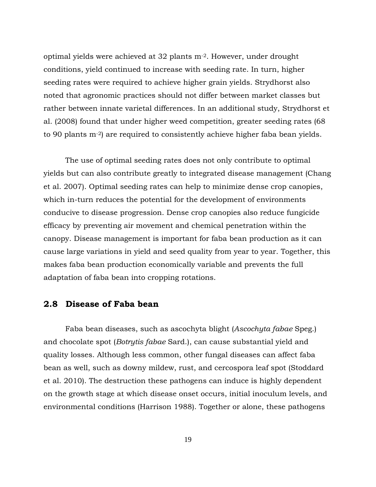optimal yields were achieved at 32 plants m-2. However, under drought conditions, yield continued to increase with seeding rate. In turn, higher seeding rates were required to achieve higher grain yields. Strydhorst also noted that agronomic practices should not differ between market classes but rather between innate varietal differences. In an additional study, Strydhorst et al. (2008) found that under higher weed competition, greater seeding rates (68 to 90 plants m-2) are required to consistently achieve higher faba bean yields.

The use of optimal seeding rates does not only contribute to optimal yields but can also contribute greatly to integrated disease management (Chang et al. 2007). Optimal seeding rates can help to minimize dense crop canopies, which in-turn reduces the potential for the development of environments conducive to disease progression. Dense crop canopies also reduce fungicide efficacy by preventing air movement and chemical penetration within the canopy. Disease management is important for faba bean production as it can cause large variations in yield and seed quality from year to year. Together, this makes faba bean production economically variable and prevents the full adaptation of faba bean into cropping rotations.

### **2.8 Disease of Faba bean**

Faba bean diseases, such as ascochyta blight (*Ascochyta fabae* Speg.) and chocolate spot (*Botrytis fabae* Sard.), can cause substantial yield and quality losses. Although less common, other fungal diseases can affect faba bean as well, such as downy mildew, rust, and cercospora leaf spot (Stoddard et al. 2010). The destruction these pathogens can induce is highly dependent on the growth stage at which disease onset occurs, initial inoculum levels, and environmental conditions (Harrison 1988). Together or alone, these pathogens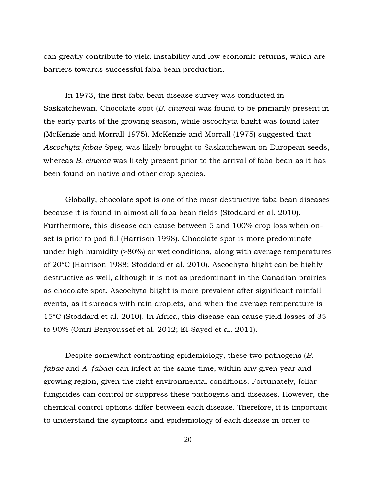can greatly contribute to yield instability and low economic returns, which are barriers towards successful faba bean production.

In 1973, the first faba bean disease survey was conducted in Saskatchewan. Chocolate spot (*B. cinerea*) was found to be primarily present in the early parts of the growing season, while ascochyta blight was found later (McKenzie and Morrall 1975). McKenzie and Morrall (1975) suggested that *Ascochyta fabae* Speg. was likely brought to Saskatchewan on European seeds, whereas *B. cinerea* was likely present prior to the arrival of faba bean as it has been found on native and other crop species.

Globally, chocolate spot is one of the most destructive faba bean diseases because it is found in almost all faba bean fields (Stoddard et al. 2010). Furthermore, this disease can cause between 5 and 100% crop loss when onset is prior to pod fill (Harrison 1998). Chocolate spot is more predominate under high humidity (>80%) or wet conditions, along with average temperatures of 20°C (Harrison 1988; Stoddard et al. 2010). Ascochyta blight can be highly destructive as well, although it is not as predominant in the Canadian prairies as chocolate spot. Ascochyta blight is more prevalent after significant rainfall events, as it spreads with rain droplets, and when the average temperature is 15°C (Stoddard et al. 2010). In Africa, this disease can cause yield losses of 35 to 90% (Omri Benyoussef et al. 2012; El-Sayed et al. 2011).

Despite somewhat contrasting epidemiology, these two pathogens (*B. fabae* and *A. fabae*) can infect at the same time, within any given year and growing region, given the right environmental conditions. Fortunately, foliar fungicides can control or suppress these pathogens and diseases. However, the chemical control options differ between each disease. Therefore, it is important to understand the symptoms and epidemiology of each disease in order to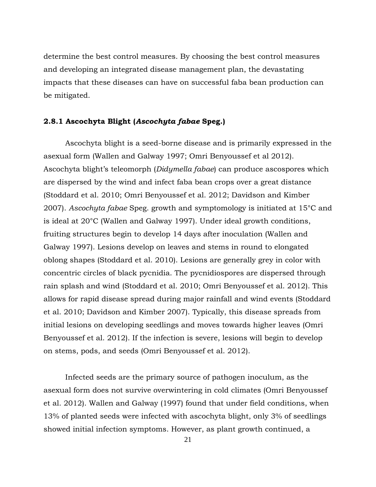determine the best control measures. By choosing the best control measures and developing an integrated disease management plan, the devastating impacts that these diseases can have on successful faba bean production can be mitigated.

### **2.8.1 Ascochyta Blight (***Ascochyta fabae* **Speg.)**

Ascochyta blight is a seed-borne disease and is primarily expressed in the asexual form (Wallen and Galway 1997; Omri Benyoussef et al 2012). Ascochyta blight's teleomorph (*Didymella fabae*) can produce ascospores which are dispersed by the wind and infect faba bean crops over a great distance (Stoddard et al. 2010; Omri Benyoussef et al. 2012; Davidson and Kimber 2007). *Ascochyta fabae* Speg. growth and symptomology is initiated at 15°C and is ideal at 20°C (Wallen and Galway 1997). Under ideal growth conditions, fruiting structures begin to develop 14 days after inoculation (Wallen and Galway 1997). Lesions develop on leaves and stems in round to elongated oblong shapes (Stoddard et al. 2010). Lesions are generally grey in color with concentric circles of black pycnidia. The pycnidiospores are dispersed through rain splash and wind (Stoddard et al. 2010; Omri Benyoussef et al. 2012). This allows for rapid disease spread during major rainfall and wind events (Stoddard et al. 2010; Davidson and Kimber 2007). Typically, this disease spreads from initial lesions on developing seedlings and moves towards higher leaves (Omri Benyoussef et al. 2012). If the infection is severe, lesions will begin to develop on stems, pods, and seeds (Omri Benyoussef et al. 2012).

Infected seeds are the primary source of pathogen inoculum, as the asexual form does not survive overwintering in cold climates (Omri Benyoussef et al. 2012). Wallen and Galway (1997) found that under field conditions, when 13% of planted seeds were infected with ascochyta blight, only 3% of seedlings showed initial infection symptoms. However, as plant growth continued, a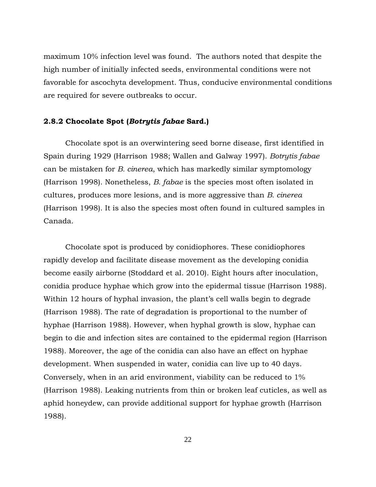maximum 10% infection level was found. The authors noted that despite the high number of initially infected seeds, environmental conditions were not favorable for ascochyta development. Thus, conducive environmental conditions are required for severe outbreaks to occur.

#### **2.8.2 Chocolate Spot (***Botrytis fabae* **Sard.)**

Chocolate spot is an overwintering seed borne disease, first identified in Spain during 1929 (Harrison 1988; Wallen and Galway 1997). *Botrytis fabae* can be mistaken for *B. cinerea*, which has markedly similar symptomology (Harrison 1998). Nonetheless, *B. fabae* is the species most often isolated in cultures, produces more lesions, and is more aggressive than *B. cinerea* (Harrison 1998). It is also the species most often found in cultured samples in Canada.

Chocolate spot is produced by conidiophores. These conidiophores rapidly develop and facilitate disease movement as the developing conidia become easily airborne (Stoddard et al. 2010). Eight hours after inoculation, conidia produce hyphae which grow into the epidermal tissue (Harrison 1988). Within 12 hours of hyphal invasion, the plant's cell walls begin to degrade (Harrison 1988). The rate of degradation is proportional to the number of hyphae (Harrison 1988). However, when hyphal growth is slow, hyphae can begin to die and infection sites are contained to the epidermal region (Harrison 1988). Moreover, the age of the conidia can also have an effect on hyphae development. When suspended in water, conidia can live up to 40 days. Conversely, when in an arid environment, viability can be reduced to 1% (Harrison 1988). Leaking nutrients from thin or broken leaf cuticles, as well as aphid honeydew, can provide additional support for hyphae growth (Harrison 1988).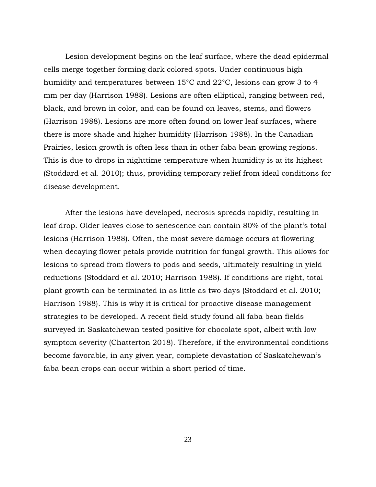Lesion development begins on the leaf surface, where the dead epidermal cells merge together forming dark colored spots. Under continuous high humidity and temperatures between 15°C and 22°C, lesions can grow 3 to 4 mm per day (Harrison 1988). Lesions are often elliptical, ranging between red, black, and brown in color, and can be found on leaves, stems, and flowers (Harrison 1988). Lesions are more often found on lower leaf surfaces, where there is more shade and higher humidity (Harrison 1988). In the Canadian Prairies, lesion growth is often less than in other faba bean growing regions. This is due to drops in nighttime temperature when humidity is at its highest (Stoddard et al. 2010); thus, providing temporary relief from ideal conditions for disease development.

After the lesions have developed, necrosis spreads rapidly, resulting in leaf drop. Older leaves close to senescence can contain 80% of the plant's total lesions (Harrison 1988). Often, the most severe damage occurs at flowering when decaying flower petals provide nutrition for fungal growth. This allows for lesions to spread from flowers to pods and seeds, ultimately resulting in yield reductions (Stoddard et al. 2010; Harrison 1988). If conditions are right, total plant growth can be terminated in as little as two days (Stoddard et al. 2010; Harrison 1988). This is why it is critical for proactive disease management strategies to be developed. A recent field study found all faba bean fields surveyed in Saskatchewan tested positive for chocolate spot, albeit with low symptom severity (Chatterton 2018). Therefore, if the environmental conditions become favorable, in any given year, complete devastation of Saskatchewan's faba bean crops can occur within a short period of time.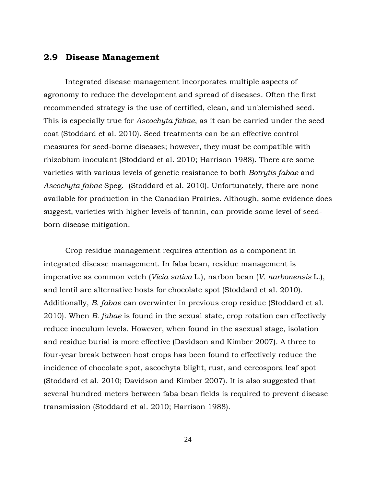## **2.9 Disease Management**

Integrated disease management incorporates multiple aspects of agronomy to reduce the development and spread of diseases. Often the first recommended strategy is the use of certified, clean, and unblemished seed. This is especially true for *Ascochyta fabae*, as it can be carried under the seed coat (Stoddard et al. 2010). Seed treatments can be an effective control measures for seed-borne diseases; however, they must be compatible with rhizobium inoculant (Stoddard et al. 2010; Harrison 1988). There are some varieties with various levels of genetic resistance to both *Botrytis fabae* and *Ascochyta fabae* Speg. (Stoddard et al. 2010). Unfortunately, there are none available for production in the Canadian Prairies. Although, some evidence does suggest, varieties with higher levels of tannin, can provide some level of seedborn disease mitigation.

Crop residue management requires attention as a component in integrated disease management. In faba bean, residue management is imperative as common vetch (*Vicia sativa* L.), narbon bean (*V. narbonensis* L.), and lentil are alternative hosts for chocolate spot (Stoddard et al. 2010). Additionally, *B. fabae* can overwinter in previous crop residue (Stoddard et al. 2010). When *B. fabae* is found in the sexual state, crop rotation can effectively reduce inoculum levels. However, when found in the asexual stage, isolation and residue burial is more effective (Davidson and Kimber 2007). A three to four-year break between host crops has been found to effectively reduce the incidence of chocolate spot, ascochyta blight, rust, and cercospora leaf spot (Stoddard et al. 2010; Davidson and Kimber 2007). It is also suggested that several hundred meters between faba bean fields is required to prevent disease transmission (Stoddard et al. 2010; Harrison 1988).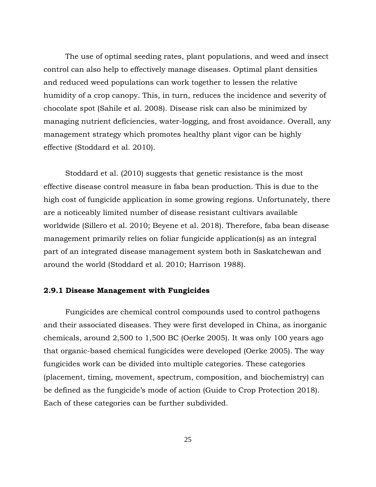The use of optimal seeding rates, plant populations, and weed and insect control can also help to effectively manage diseases. Optimal plant densities and reduced weed populations can work together to lessen the relative humidity of a crop canopy. This, in turn, reduces the incidence and severity of chocolate spot (Sahile et al. 2008). Disease risk can also be minimized by managing nutrient deficiencies, water-logging, and frost avoidance. Overall, any management strategy which promotes healthy plant vigor can be highly effective (Stoddard et al. 2010).

Stoddard et al. (2010) suggests that genetic resistance is the most effective disease control measure in faba bean production. This is due to the high cost of fungicide application in some growing regions. Unfortunately, there are a noticeably limited number of disease resistant cultivars available worldwide (Sillero et al. 2010; Beyene et al. 2018). Therefore, faba bean disease management primarily relies on foliar fungicide application(s) as an integral part of an integrated disease management system both in Saskatchewan and around the world (Stoddard et al. 2010; Harrison 1988).

#### **2.9.1 Disease Management with Fungicides**

Fungicides are chemical control compounds used to control pathogens and their associated diseases. They were first developed in China, as inorganic chemicals, around 2,500 to 1,500 BC (Oerke 2005). It was only 100 years ago that organic-based chemical fungicides were developed (Oerke 2005). The way fungicides work can be divided into multiple categories. These categories (placement, timing, movement, spectrum, composition, and biochemistry) can be defined as the fungicide's mode of action (Guide to Crop Protection 2018). Each of these categories can be further subdivided.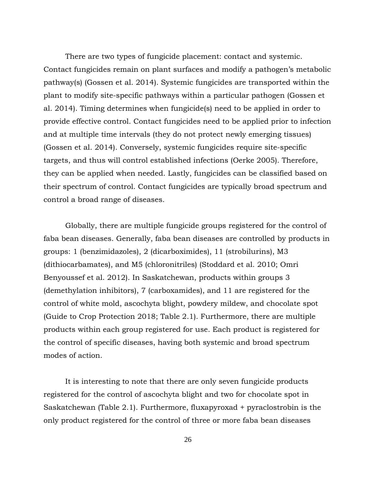There are two types of fungicide placement: contact and systemic. Contact fungicides remain on plant surfaces and modify a pathogen's metabolic pathway(s) (Gossen et al. 2014). Systemic fungicides are transported within the plant to modify site-specific pathways within a particular pathogen (Gossen et al. 2014). Timing determines when fungicide(s) need to be applied in order to provide effective control. Contact fungicides need to be applied prior to infection and at multiple time intervals (they do not protect newly emerging tissues) (Gossen et al. 2014). Conversely, systemic fungicides require site-specific targets, and thus will control established infections (Oerke 2005). Therefore, they can be applied when needed. Lastly, fungicides can be classified based on their spectrum of control. Contact fungicides are typically broad spectrum and control a broad range of diseases.

Globally, there are multiple fungicide groups registered for the control of faba bean diseases. Generally, faba bean diseases are controlled by products in groups: 1 (benzimidazoles), 2 (dicarboximides), 11 (strobilurins), M3 (dithiocarbamates), and M5 (chloronitriles) (Stoddard et al. 2010; Omri Benyoussef et al. 2012). In Saskatchewan, products within groups 3 (demethylation inhibitors), 7 (carboxamides), and 11 are registered for the control of white mold, ascochyta blight, powdery mildew, and chocolate spot (Guide to Crop Protection 2018; Table 2.1). Furthermore, there are multiple products within each group registered for use. Each product is registered for the control of specific diseases, having both systemic and broad spectrum modes of action.

It is interesting to note that there are only seven fungicide products registered for the control of ascochyta blight and two for chocolate spot in Saskatchewan (Table 2.1). Furthermore, fluxapyroxad + pyraclostrobin is the only product registered for the control of three or more faba bean diseases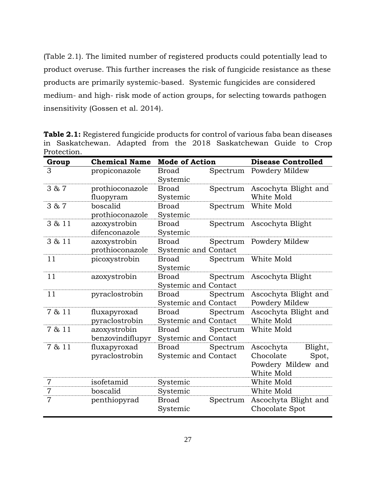(Table 2.1). The limited number of registered products could potentially lead to product overuse. This further increases the risk of fungicide resistance as these products are primarily systemic-based. Systemic fungicides are considered medium- and high- risk mode of action groups, for selecting towards pathogen insensitivity (Gossen et al. 2014).

**Table 2.1:** Registered fungicide products for control of various faba bean diseases in Saskatchewan. Adapted from the 2018 Saskatchewan Guide to Crop Protection.

| Group          | <b>Chemical Name</b>             | <b>Mode of Action</b>                       |          | <b>Disease Controlled</b>                                                      |
|----------------|----------------------------------|---------------------------------------------|----------|--------------------------------------------------------------------------------|
| 3              | propiconazole                    | <b>Broad</b><br>Systemic                    | Spectrum | Powdery Mildew                                                                 |
| 3 & 7          | prothioconazole<br>fluopyram     | <b>Broad</b><br>Systemic                    | Spectrum | Ascochyta Blight and<br>White Mold                                             |
| 3 & 7          | boscalid<br>prothioconazole      | <b>Broad</b><br>Systemic                    | Spectrum | White Mold                                                                     |
| 3 & 11         | azoxystrobin<br>difenconazole    | <b>Broad</b><br>Systemic                    |          | Spectrum Ascochyta Blight                                                      |
| 3 & 11         | azoxystrobin<br>prothioconazole  | <b>Broad</b><br><b>Systemic and Contact</b> |          | Spectrum Powdery Mildew                                                        |
| 11             | picoxystrobin                    | <b>Broad</b><br>Systemic                    |          | Spectrum White Mold                                                            |
| 11             | azoxystrobin                     | <b>Broad</b><br>Systemic and Contact        | Spectrum | Ascochyta Blight                                                               |
| 11             | pyraclostrobin                   | <b>Broad</b><br><b>Systemic and Contact</b> | Spectrum | Ascochyta Blight and<br>Powdery Mildew                                         |
| 7 & 11         | fluxapyroxad<br>pyraclostrobin   | <b>Broad</b><br>Systemic and Contact        | Spectrum | Ascochyta Blight and<br>White Mold                                             |
| 7 & 11         | azoxystrobin<br>benzovindiflupyr | Broad<br><b>Systemic and Contact</b>        | Spectrum | White Mold                                                                     |
| 7 & 11         | fluxapyroxad<br>pyraclostrobin   | <b>Broad</b><br><b>Systemic and Contact</b> | Spectrum | Blight,<br>Ascochyta<br>Chocolate<br>Spot,<br>Powdery Mildew and<br>White Mold |
| $\overline{7}$ | isofetamid                       | Systemic                                    |          | White Mold                                                                     |
| $\overline{7}$ | boscalid                         | Systemic                                    |          | White Mold                                                                     |
| $\overline{7}$ | penthiopyrad                     | <b>Broad</b><br>Systemic                    | Spectrum | Ascochyta Blight and<br>Chocolate Spot                                         |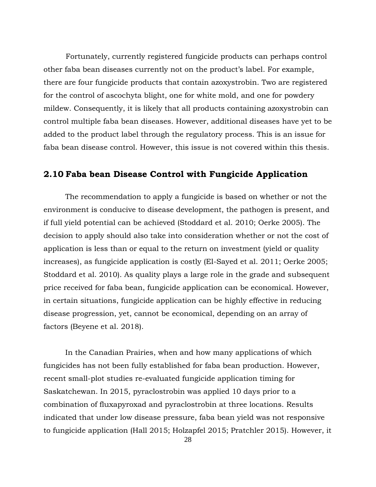Fortunately, currently registered fungicide products can perhaps control other faba bean diseases currently not on the product's label. For example, there are four fungicide products that contain azoxystrobin. Two are registered for the control of ascochyta blight, one for white mold, and one for powdery mildew. Consequently, it is likely that all products containing azoxystrobin can control multiple faba bean diseases. However, additional diseases have yet to be added to the product label through the regulatory process. This is an issue for faba bean disease control. However, this issue is not covered within this thesis.

# **2.10 Faba bean Disease Control with Fungicide Application**

The recommendation to apply a fungicide is based on whether or not the environment is conducive to disease development, the pathogen is present, and if full yield potential can be achieved (Stoddard et al. 2010; Oerke 2005). The decision to apply should also take into consideration whether or not the cost of application is less than or equal to the return on investment (yield or quality increases), as fungicide application is costly (El-Sayed et al. 2011; Oerke 2005; Stoddard et al. 2010). As quality plays a large role in the grade and subsequent price received for faba bean, fungicide application can be economical. However, in certain situations, fungicide application can be highly effective in reducing disease progression, yet, cannot be economical, depending on an array of factors (Beyene et al. 2018).

In the Canadian Prairies, when and how many applications of which fungicides has not been fully established for faba bean production. However, recent small-plot studies re-evaluated fungicide application timing for Saskatchewan. In 2015, pyraclostrobin was applied 10 days prior to a combination of fluxapyroxad and pyraclostrobin at three locations. Results indicated that under low disease pressure, faba bean yield was not responsive to fungicide application (Hall 2015; Holzapfel 2015; Pratchler 2015). However, it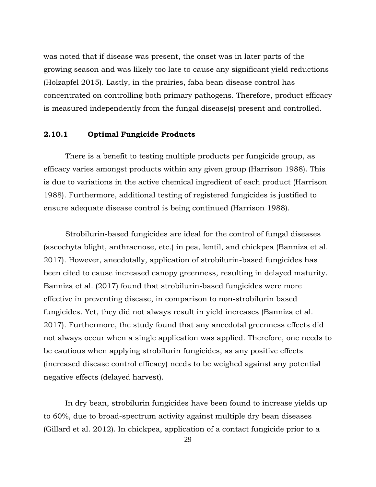was noted that if disease was present, the onset was in later parts of the growing season and was likely too late to cause any significant yield reductions (Holzapfel 2015). Lastly, in the prairies, faba bean disease control has concentrated on controlling both primary pathogens. Therefore, product efficacy is measured independently from the fungal disease(s) present and controlled.

#### **2.10.1 Optimal Fungicide Products**

There is a benefit to testing multiple products per fungicide group, as efficacy varies amongst products within any given group (Harrison 1988). This is due to variations in the active chemical ingredient of each product (Harrison 1988). Furthermore, additional testing of registered fungicides is justified to ensure adequate disease control is being continued (Harrison 1988).

Strobilurin-based fungicides are ideal for the control of fungal diseases (ascochyta blight, anthracnose, etc.) in pea, lentil, and chickpea (Banniza et al. 2017). However, anecdotally, application of strobilurin-based fungicides has been cited to cause increased canopy greenness, resulting in delayed maturity. Banniza et al. (2017) found that strobilurin-based fungicides were more effective in preventing disease, in comparison to non-strobilurin based fungicides. Yet, they did not always result in yield increases (Banniza et al. 2017). Furthermore, the study found that any anecdotal greenness effects did not always occur when a single application was applied. Therefore, one needs to be cautious when applying strobilurin fungicides, as any positive effects (increased disease control efficacy) needs to be weighed against any potential negative effects (delayed harvest).

In dry bean, strobilurin fungicides have been found to increase yields up to 60%, due to broad-spectrum activity against multiple dry bean diseases (Gillard et al. 2012). In chickpea, application of a contact fungicide prior to a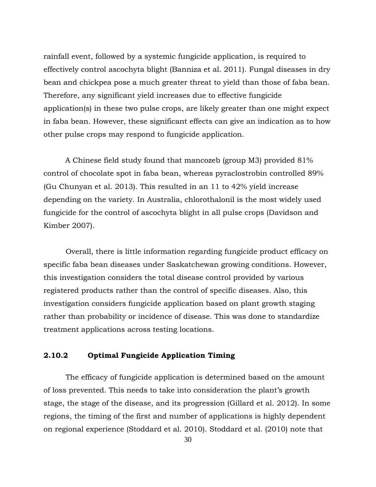rainfall event, followed by a systemic fungicide application, is required to effectively control ascochyta blight (Banniza et al. 2011). Fungal diseases in dry bean and chickpea pose a much greater threat to yield than those of faba bean. Therefore, any significant yield increases due to effective fungicide application(s) in these two pulse crops, are likely greater than one might expect in faba bean. However, these significant effects can give an indication as to how other pulse crops may respond to fungicide application.

A Chinese field study found that mancozeb (group M3) provided 81% control of chocolate spot in faba bean, whereas pyraclostrobin controlled 89% (Gu Chunyan et al. 2013). This resulted in an 11 to 42% yield increase depending on the variety. In Australia, chlorothalonil is the most widely used fungicide for the control of ascochyta blight in all pulse crops (Davidson and Kimber 2007).

Overall, there is little information regarding fungicide product efficacy on specific faba bean diseases under Saskatchewan growing conditions. However, this investigation considers the total disease control provided by various registered products rather than the control of specific diseases. Also, this investigation considers fungicide application based on plant growth staging rather than probability or incidence of disease. This was done to standardize treatment applications across testing locations.

## **2.10.2 Optimal Fungicide Application Timing**

The efficacy of fungicide application is determined based on the amount of loss prevented. This needs to take into consideration the plant's growth stage, the stage of the disease, and its progression (Gillard et al. 2012). In some regions, the timing of the first and number of applications is highly dependent on regional experience (Stoddard et al. 2010). Stoddard et al. (2010) note that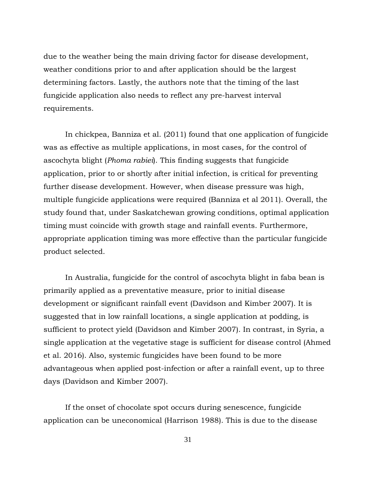due to the weather being the main driving factor for disease development, weather conditions prior to and after application should be the largest determining factors. Lastly, the authors note that the timing of the last fungicide application also needs to reflect any pre-harvest interval requirements.

In chickpea, Banniza et al. (2011) found that one application of fungicide was as effective as multiple applications, in most cases, for the control of ascochyta blight (*Phoma rabiei*). This finding suggests that fungicide application, prior to or shortly after initial infection, is critical for preventing further disease development. However, when disease pressure was high, multiple fungicide applications were required (Banniza et al 2011). Overall, the study found that, under Saskatchewan growing conditions, optimal application timing must coincide with growth stage and rainfall events. Furthermore, appropriate application timing was more effective than the particular fungicide product selected.

In Australia, fungicide for the control of ascochyta blight in faba bean is primarily applied as a preventative measure, prior to initial disease development or significant rainfall event (Davidson and Kimber 2007). It is suggested that in low rainfall locations, a single application at podding, is sufficient to protect yield (Davidson and Kimber 2007). In contrast, in Syria, a single application at the vegetative stage is sufficient for disease control (Ahmed et al. 2016). Also, systemic fungicides have been found to be more advantageous when applied post-infection or after a rainfall event, up to three days (Davidson and Kimber 2007).

If the onset of chocolate spot occurs during senescence, fungicide application can be uneconomical (Harrison 1988). This is due to the disease

31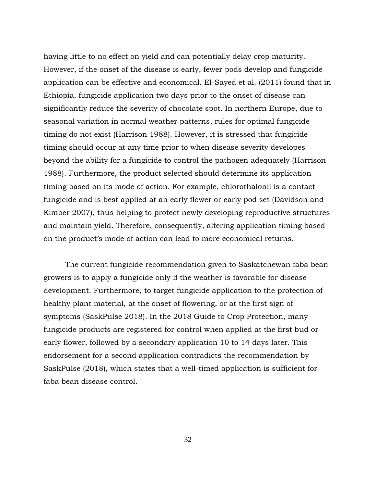having little to no effect on yield and can potentially delay crop maturity. However, if the onset of the disease is early, fewer pods develop and fungicide application can be effective and economical. El-Sayed et al. (2011) found that in Ethiopia, fungicide application two days prior to the onset of disease can significantly reduce the severity of chocolate spot. In northern Europe, due to seasonal variation in normal weather patterns, rules for optimal fungicide timing do not exist (Harrison 1988). However, it is stressed that fungicide timing should occur at any time prior to when disease severity developes beyond the ability for a fungicide to control the pathogen adequately (Harrison 1988). Furthermore, the product selected should determine its application timing based on its mode of action. For example, chlorothalonil is a contact fungicide and is best applied at an early flower or early pod set (Davidson and Kimber 2007), thus helping to protect newly developing reproductive structures and maintain yield. Therefore, consequently, altering application timing based on the product's mode of action can lead to more economical returns.

The current fungicide recommendation given to Saskatchewan faba bean growers is to apply a fungicide only if the weather is favorable for disease development. Furthermore, to target fungicide application to the protection of healthy plant material, at the onset of flowering, or at the first sign of symptoms (SaskPulse 2018). In the 2018 Guide to Crop Protection, many fungicide products are registered for control when applied at the first bud or early flower, followed by a secondary application 10 to 14 days later. This endorsement for a second application contradicts the recommendation by SaskPulse (2018), which states that a well-timed application is sufficient for faba bean disease control.

32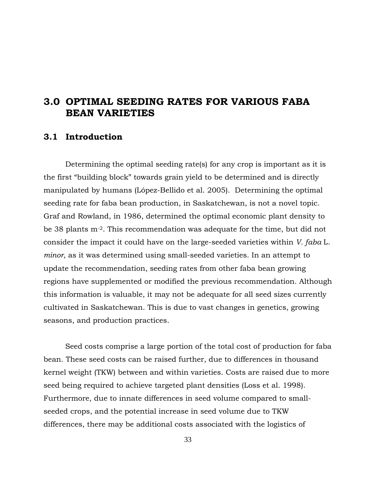# **3.0 OPTIMAL SEEDING RATES FOR VARIOUS FABA BEAN VARIETIES**

# **3.1 Introduction**

Determining the optimal seeding rate(s) for any crop is important as it is the first "building block" towards grain yield to be determined and is directly manipulated by humans (López-Bellido et al. 2005). Determining the optimal seeding rate for faba bean production, in Saskatchewan, is not a novel topic. Graf and Rowland, in 1986, determined the optimal economic plant density to be 38 plants m-2. This recommendation was adequate for the time, but did not consider the impact it could have on the large-seeded varieties within *V. faba* L. *minor*, as it was determined using small-seeded varieties. In an attempt to update the recommendation, seeding rates from other faba bean growing regions have supplemented or modified the previous recommendation. Although this information is valuable, it may not be adequate for all seed sizes currently cultivated in Saskatchewan. This is due to vast changes in genetics, growing seasons, and production practices.

Seed costs comprise a large portion of the total cost of production for faba bean. These seed costs can be raised further, due to differences in thousand kernel weight (TKW) between and within varieties. Costs are raised due to more seed being required to achieve targeted plant densities (Loss et al. 1998). Furthermore, due to innate differences in seed volume compared to smallseeded crops, and the potential increase in seed volume due to TKW differences, there may be additional costs associated with the logistics of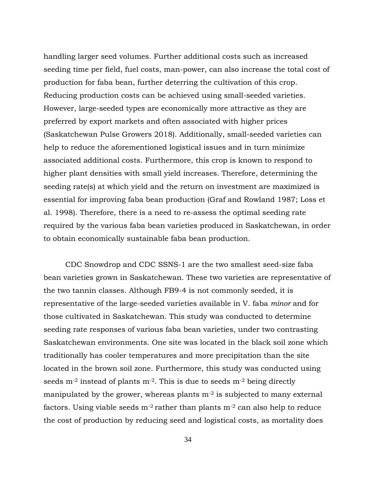handling larger seed volumes. Further additional costs such as increased seeding time per field, fuel costs, man-power, can also increase the total cost of production for faba bean, further deterring the cultivation of this crop. Reducing production costs can be achieved using small-seeded varieties. However, large-seeded types are economically more attractive as they are preferred by export markets and often associated with higher prices (Saskatchewan Pulse Growers 2018). Additionally, small-seeded varieties can help to reduce the aforementioned logistical issues and in turn minimize associated additional costs. Furthermore, this crop is known to respond to higher plant densities with small yield increases. Therefore, determining the seeding rate(s) at which yield and the return on investment are maximized is essential for improving faba bean production (Graf and Rowland 1987; Loss et al. 1998). Therefore, there is a need to re-assess the optimal seeding rate required by the various faba bean varieties produced in Saskatchewan, in order to obtain economically sustainable faba bean production.

CDC Snowdrop and CDC SSNS-1 are the two smallest seed-size faba bean varieties grown in Saskatchewan. These two varieties are representative of the two tannin classes. Although FB9-4 is not commonly seeded, it is representative of the large-seeded varieties available in V. faba *minor* and for those cultivated in Saskatchewan. This study was conducted to determine seeding rate responses of various faba bean varieties, under two contrasting Saskatchewan environments. One site was located in the black soil zone which traditionally has cooler temperatures and more precipitation than the site located in the brown soil zone. Furthermore, this study was conducted using seeds  $m<sup>-2</sup>$  instead of plants  $m<sup>-2</sup>$ . This is due to seeds  $m<sup>-2</sup>$  being directly manipulated by the grower, whereas plants  $m<sup>-2</sup>$  is subjected to many external factors. Using viable seeds  $m<sup>2</sup>$  rather than plants  $m<sup>2</sup>$  can also help to reduce the cost of production by reducing seed and logistical costs, as mortality does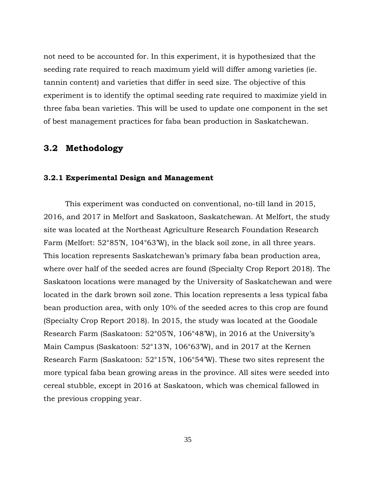not need to be accounted for. In this experiment, it is hypothesized that the seeding rate required to reach maximum yield will differ among varieties (ie. tannin content) and varieties that differ in seed size. The objective of this experiment is to identify the optimal seeding rate required to maximize yield in three faba bean varieties. This will be used to update one component in the set of best management practices for faba bean production in Saskatchewan.

# **3.2 Methodology**

#### **3.2.1 Experimental Design and Management**

This experiment was conducted on conventional, no-till land in 2015, 2016, and 2017 in Melfort and Saskatoon, Saskatchewan. At Melfort, the study site was located at the Northeast Agriculture Research Foundation Research Farm (Melfort: 52°85'N, 104°63'W), in the black soil zone, in all three years. This location represents Saskatchewan's primary faba bean production area, where over half of the seeded acres are found (Specialty Crop Report 2018). The Saskatoon locations were managed by the University of Saskatchewan and were located in the dark brown soil zone. This location represents a less typical faba bean production area, with only 10% of the seeded acres to this crop are found (Specialty Crop Report 2018). In 2015, the study was located at the Goodale Research Farm (Saskatoon: 52°05'N, 106°48'W), in 2016 at the University's Main Campus (Saskatoon: 52°13'N, 106°63'W), and in 2017 at the Kernen Research Farm (Saskatoon: 52°15'N, 106°54'W). These two sites represent the more typical faba bean growing areas in the province. All sites were seeded into cereal stubble, except in 2016 at Saskatoon, which was chemical fallowed in the previous cropping year.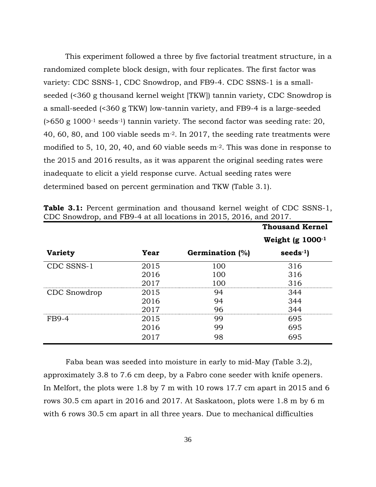This experiment followed a three by five factorial treatment structure, in a randomized complete block design, with four replicates. The first factor was variety: CDC SSNS-1, CDC Snowdrop, and FB9-4. CDC SSNS-1 is a smallseeded (<360 g thousand kernel weight [TKW]) tannin variety, CDC Snowdrop is a small-seeded (<360 g TKW) low-tannin variety, and FB9-4 is a large-seeded  $($ >650 g 1000<sup>-1</sup> seeds<sup>-1</sup>) tannin variety. The second factor was seeding rate: 20, 40, 60, 80, and 100 viable seeds m-2. In 2017, the seeding rate treatments were modified to 5, 10, 20, 40, and 60 viable seeds m-2. This was done in response to the 2015 and 2016 results, as it was apparent the original seeding rates were inadequate to elicit a yield response curve. Actual seeding rates were determined based on percent germination and TKW (Table 3.1).

|                |      |                        | <b>Thousand Kernel</b> |
|----------------|------|------------------------|------------------------|
|                |      |                        | Weight (g $1000^{-1}$  |
| <b>Variety</b> | Year | <b>Germination</b> (%) | seeds $-1$ )           |
| CDC SSNS-1     | 2015 | 100                    | 316                    |
|                | 2016 | 100                    | 316                    |
|                | 2017 | 100                    | 316                    |
| CDC Snowdrop   | 2015 | 94                     | 344                    |
|                | 2016 | 94                     | 344                    |
|                | 2017 | 96                     | 344                    |
| <b>FB9-4</b>   | 2015 | 99                     | 695                    |
|                | 2016 | 99                     | 695                    |
|                | 2017 | 98                     | 695                    |

**Table 3.1:** Percent germination and thousand kernel weight of CDC SSNS-1, CDC Snowdrop, and FB9-4 at all locations in 2015, 2016, and 2017.

Faba bean was seeded into moisture in early to mid-May (Table 3.2), approximately 3.8 to 7.6 cm deep, by a Fabro cone seeder with knife openers. In Melfort, the plots were 1.8 by 7 m with 10 rows 17.7 cm apart in 2015 and 6 rows 30.5 cm apart in 2016 and 2017. At Saskatoon, plots were 1.8 m by 6 m with 6 rows 30.5 cm apart in all three years. Due to mechanical difficulties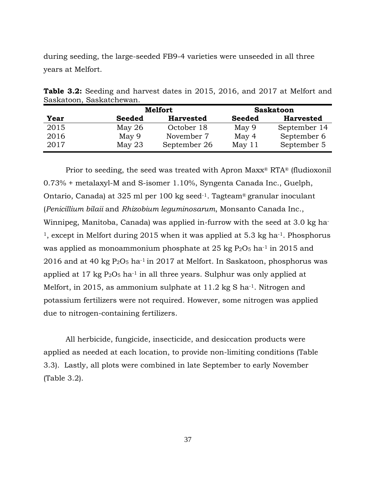during seeding, the large-seeded FB9-4 varieties were unseeded in all three years at Melfort.

|      |               | <b>Melfort</b>   |               | <b>Saskatoon</b> |
|------|---------------|------------------|---------------|------------------|
| Year | <b>Seeded</b> | <b>Harvested</b> | <b>Seeded</b> | <b>Harvested</b> |
| 2015 | May $26$      | October 18       | May 9         | September 14     |
| 2016 | May 9         | November 7       | May 4         | September 6      |
| 2017 | May $23$      | September 26     | May 11        | September 5      |

**Table 3.2:** Seeding and harvest dates in 2015, 2016, and 2017 at Melfort and Saskatoon, Saskatchewan.

Prior to seeding, the seed was treated with Apron Maxx® RTA® (fludioxonil 0.73% + metalaxyl-M and S-isomer 1.10%, Syngenta Canada Inc., Guelph, Ontario, Canada) at 325 ml per 100 kg seed-1. Tagteam® granular inoculant (*Penicillium bilaii* and *Rhizobium leguminosarum*, Monsanto Canada Inc., Winnipeg, Manitoba, Canada) was applied in-furrow with the seed at 3.0 kg ha-<sup>1</sup>, except in Melfort during 2015 when it was applied at 5.3 kg ha<sup>-1</sup>. Phosphorus was applied as monoammonium phosphate at 25 kg  $P_2O_5$  ha<sup>-1</sup> in 2015 and 2016 and at 40 kg  $P_2O_5$  ha<sup>-1</sup> in 2017 at Melfort. In Saskatoon, phosphorus was applied at  $17 \text{ kg } P_2O_5$  ha<sup>-1</sup> in all three years. Sulphur was only applied at Melfort, in 2015, as ammonium sulphate at 11.2 kg S ha<sup>-1</sup>. Nitrogen and potassium fertilizers were not required. However, some nitrogen was applied due to nitrogen-containing fertilizers.

All herbicide, fungicide, insecticide, and desiccation products were applied as needed at each location, to provide non-limiting conditions (Table 3.3). Lastly, all plots were combined in late September to early November (Table 3.2).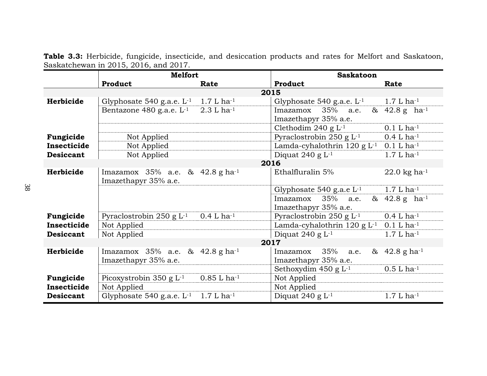|                  | <b>Melfort</b>                                         |                           | <b>Saskatoon</b>                          |                             |  |  |
|------------------|--------------------------------------------------------|---------------------------|-------------------------------------------|-----------------------------|--|--|
|                  | Product                                                | Rate                      | Product                                   | Rate                        |  |  |
|                  |                                                        | 2015                      |                                           |                             |  |  |
| Herbicide        | Glyphosate $540$ g.a.e. $L^{-1}$                       | $1.7 L ha^{-1}$           | Glyphosate 540 g.a.e. $L^{-1}$            | $1.7 L ha^{-1}$             |  |  |
|                  | Bentazone 480 g.a.e. $L^{-1}$                          | $2.3 L$ ha <sup>-1</sup>  | 35%<br>Imazamox<br>a.e.                   | & $42.8 g$ ha <sup>-1</sup> |  |  |
|                  |                                                        |                           | Imazethapyr 35% a.e.                      |                             |  |  |
|                  |                                                        |                           | Clethodim 240 g $L^{-1}$                  | $0.1 L$ ha <sup>-1</sup>    |  |  |
| Fungicide        | Not Applied                                            |                           | Pyraclostrobin 250 g $L^{-1}$             | $0.4 L$ ha <sup>-1</sup>    |  |  |
| Insecticide      | Not Applied                                            |                           | Lamda-cyhalothrin $120$ g $L-1$           | $0.1 L ha^{-1}$             |  |  |
| <b>Desiccant</b> | Not Applied                                            |                           | Diquat 240 g $L^{-1}$                     | $1.7 L ha^{-1}$             |  |  |
|                  |                                                        | 2016                      |                                           |                             |  |  |
| Herbicide        | Imazamox $35%$ a.e. & $42.8$ g ha <sup>-1</sup>        |                           | Ethalfluralin 5%                          | 22.0 kg ha $^{-1}$          |  |  |
|                  | Imazethapyr 35% a.e.                                   |                           |                                           |                             |  |  |
|                  |                                                        |                           | Glyphosate 540 g.a.e $L^{-1}$             | $1.7 L ha^{-1}$             |  |  |
|                  |                                                        |                           | 35%<br>Imazamox<br>a.e.                   | & $42.8 g$ ha <sup>-1</sup> |  |  |
|                  |                                                        |                           | Imazethapyr 35% a.e.                      |                             |  |  |
| Fungicide        | Pyraclostrobin 250 g $L^{-1}$                          | $0.4 L ha^{-1}$           | Pyraclostrobin 250 g $L^{-1}$             | $0.4 L ha^{-1}$             |  |  |
| Insecticide      | Not Applied                                            |                           | Lamda-cyhalothrin $120$ g L <sup>-1</sup> | $0.1 L ha^{-1}$             |  |  |
| <b>Desiccant</b> | Not Applied                                            |                           | Diquat 240 g $L^{-1}$                     | $1.7 L ha^{-1}$             |  |  |
|                  |                                                        | 2017                      |                                           |                             |  |  |
| Herbicide        | Imazamox $35%$ a.e. & $42.8 \text{ g} \text{ ha}^{-1}$ |                           | 35%<br>Imazamox<br>a.e.                   | & $42.8$ g ha <sup>-1</sup> |  |  |
|                  | Imazethapyr 35% a.e.                                   |                           | Imazethapyr 35% a.e.                      |                             |  |  |
|                  |                                                        |                           | Sethoxydim 450 g $L^{-1}$                 | $0.5 L$ ha <sup>-1</sup>    |  |  |
| Fungicide        | Picoxystrobin 350 g $L^{-1}$                           | $0.85 L$ ha <sup>-1</sup> | Not Applied                               |                             |  |  |
| Insecticide      | Not Applied                                            |                           | Not Applied                               |                             |  |  |
| <b>Desiccant</b> | Glyphosate 540 g.a.e. $L^{-1}$                         | $1.7 L$ ha <sup>-1</sup>  | Diquat 240 g $L^{-1}$                     | $1.7 L ha^{-1}$             |  |  |

**Table 3.3:** Herbicide, fungicide, insecticide, and desiccation products and rates for Melfort and Saskatoon, Saskatchewan in 2015, 2016, and 2017.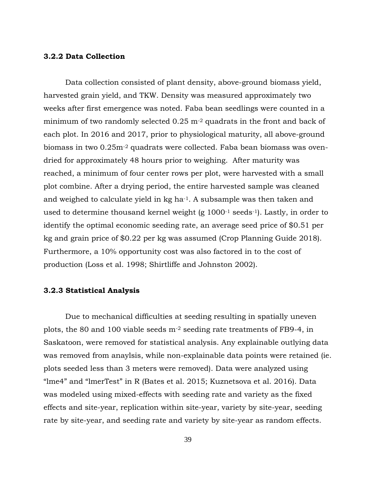#### **3.2.2 Data Collection**

Data collection consisted of plant density, above-ground biomass yield, harvested grain yield, and TKW. Density was measured approximately two weeks after first emergence was noted. Faba bean seedlings were counted in a minimum of two randomly selected  $0.25$  m<sup>-2</sup> quadrats in the front and back of each plot. In 2016 and 2017, prior to physiological maturity, all above-ground biomass in two 0.25m-2 quadrats were collected. Faba bean biomass was ovendried for approximately 48 hours prior to weighing. After maturity was reached, a minimum of four center rows per plot, were harvested with a small plot combine. After a drying period, the entire harvested sample was cleaned and weighed to calculate yield in kg ha-1. A subsample was then taken and used to determine thousand kernel weight (g 1000-1 seeds-1). Lastly, in order to identify the optimal economic seeding rate, an average seed price of \$0.51 per kg and grain price of \$0.22 per kg was assumed (Crop Planning Guide 2018). Furthermore, a 10% opportunity cost was also factored in to the cost of production (Loss et al. 1998; Shirtliffe and Johnston 2002).

#### **3.2.3 Statistical Analysis**

Due to mechanical difficulties at seeding resulting in spatially uneven plots, the 80 and 100 viable seeds m-2 seeding rate treatments of FB9-4, in Saskatoon, were removed for statistical analysis. Any explainable outlying data was removed from anaylsis, while non-explainable data points were retained (ie. plots seeded less than 3 meters were removed). Data were analyzed using "lme4" and "lmerTest" in R (Bates et al. 2015; Kuznetsova et al. 2016). Data was modeled using mixed-effects with seeding rate and variety as the fixed effects and site-year, replication within site-year, variety by site-year, seeding rate by site-year, and seeding rate and variety by site-year as random effects.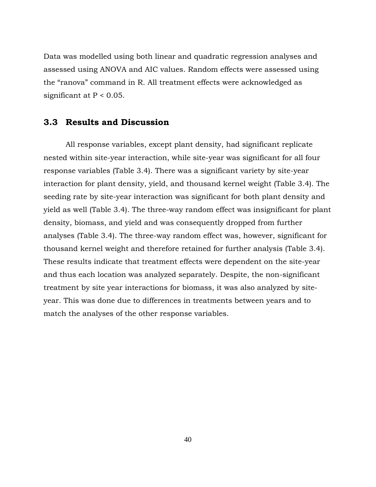Data was modelled using both linear and quadratic regression analyses and assessed using ANOVA and AIC values. Random effects were assessed using the "ranova" command in R. All treatment effects were acknowledged as significant at  $P < 0.05$ .

## **3.3 Results and Discussion**

All response variables, except plant density, had significant replicate nested within site-year interaction, while site-year was significant for all four response variables (Table 3.4). There was a significant variety by site-year interaction for plant density, yield, and thousand kernel weight (Table 3.4). The seeding rate by site-year interaction was significant for both plant density and yield as well (Table 3.4). The three-way random effect was insignificant for plant density, biomass, and yield and was consequently dropped from further analyses (Table 3.4). The three-way random effect was, however, significant for thousand kernel weight and therefore retained for further analysis (Table 3.4). These results indicate that treatment effects were dependent on the site-year and thus each location was analyzed separately. Despite, the non-significant treatment by site year interactions for biomass, it was also analyzed by siteyear. This was done due to differences in treatments between years and to match the analyses of the other response variables.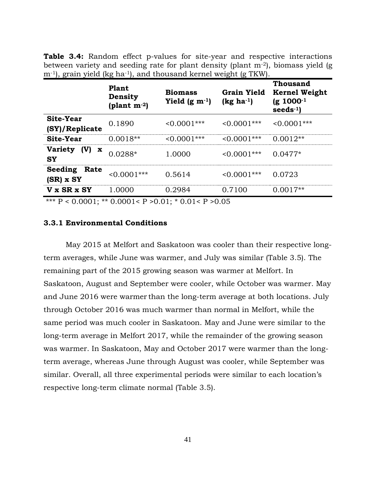**Table 3.4:** Random effect p-values for site-year and respective interactions between variety and seeding rate for plant density (plant  $m<sup>-2</sup>$ ), biomass yield (g m<sup>-1</sup>), grain yield (kg ha<sup>-1</sup>), and thousand kernel weight (g TKW).

|                                                   | Plant<br>Density<br>(plant $m^{-2}$ ) | <b>Biomass</b><br>Yield $(g m^{-1})$ | <b>Grain Yield</b><br>$(kg ha-1)$ | Thousand<br><b>Kernel Weight</b><br>$(g 1000^{-1})$<br>$seeds^{-1}$ |
|---------------------------------------------------|---------------------------------------|--------------------------------------|-----------------------------------|---------------------------------------------------------------------|
| <b>Site-Year</b><br>(SY)/Replicate                | 0.1890                                | $< 0.0001$ ***                       | $< 0.0001$ ***                    | $0.0001***$                                                         |
| Site-Year                                         | $0.0018**$                            | $< 0.0001$ ***                       | $< 0.0001$ ***                    | $0.0012**$                                                          |
| <b>Variety</b><br>(V)<br>$\mathbf x$<br><b>SY</b> | $0.0288*$                             | 1.0000                               | $< 0.0001$ ***                    | $0.0477*$                                                           |
| <b>Seeding</b><br><b>Rate</b><br>$(SR)$ x SY      | $< 0.0001$ ***                        | 0.5614                               | $< 0.0001$ ***                    | 0.0723                                                              |
| V x SR x SY                                       | 1.0000                                | 0.2984                               | 0.7100                            | $0.0017**$                                                          |

\*\*\*  $P < 0.0001$ ; \*\* 0.0001<  $P > 0.01$ ; \* 0.01<  $P > 0.05$ 

### **3.3.1 Environmental Conditions**

May 2015 at Melfort and Saskatoon was cooler than their respective longterm averages, while June was warmer, and July was similar (Table 3.5). The remaining part of the 2015 growing season was warmer at Melfort. In Saskatoon, August and September were cooler, while October was warmer. May and June 2016 were warmer than the long-term average at both locations. July through October 2016 was much warmer than normal in Melfort, while the same period was much cooler in Saskatoon. May and June were similar to the long-term average in Melfort 2017, while the remainder of the growing season was warmer. In Saskatoon, May and October 2017 were warmer than the longterm average, whereas June through August was cooler, while September was similar. Overall, all three experimental periods were similar to each location's respective long-term climate normal (Table 3.5).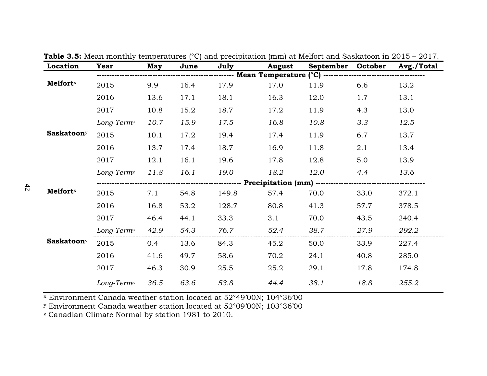| Location                    | <b>Year</b>            | May  | June | July  | <b>August</b> | September October |      | Avg./Total |
|-----------------------------|------------------------|------|------|-------|---------------|-------------------|------|------------|
|                             |                        |      |      |       |               |                   |      |            |
| <b>Melfort</b> <sup>x</sup> | 2015                   | 9.9  | 16.4 | 17.9  | 17.0          | 11.9              | 6.6  | 13.2       |
|                             | 2016                   | 13.6 | 17.1 | 18.1  | 16.3          | 12.0              | 1.7  | 13.1       |
|                             | 2017                   | 10.8 | 15.2 | 18.7  | 17.2          | 11.9              | 4.3  | 13.0       |
|                             | Long-Term <sup>z</sup> | 10.7 | 15.9 | 17.5  | 16.8          | 10.8              | 3.3  | 12.5       |
| <b>Saskatoony</b>           | 2015                   | 10.1 | 17.2 | 19.4  | 17.4          | 11.9              | 6.7  | 13.7       |
|                             | 2016                   | 13.7 | 17.4 | 18.7  | 16.9          | 11.8              | 2.1  | 13.4       |
|                             | 2017                   | 12.1 | 16.1 | 19.6  | 17.8          | 12.8              | 5.0  | 13.9       |
|                             | Long-Term <sup>z</sup> | 11.8 | 16.1 | 19.0  | 18.2          | 12.0              | 4.4  | 13.6       |
|                             |                        |      |      |       |               |                   |      |            |
| <b>Melfort</b> x            | 2015                   | 7.1  | 54.8 | 149.8 | 57.4          | 70.0              | 33.0 | 372.1      |
|                             | 2016                   | 16.8 | 53.2 | 128.7 | 80.8          | 41.3              | 57.7 | 378.5      |
|                             | 2017                   | 46.4 | 44.1 | 33.3  | 3.1           | 70.0              | 43.5 | 240.4      |
|                             | Long-Term <sup>z</sup> | 42.9 | 54.3 | 76.7  | 52.4          | 38.7              | 27.9 | 292.2      |
| <b>Saskatoon</b> y          | 2015                   | 0.4  | 13.6 | 84.3  | 45.2          | 50.0              | 33.9 | 227.4      |
|                             | 2016                   | 41.6 | 49.7 | 58.6  | 70.2          | 24.1              | 40.8 | 285.0      |
|                             | 2017                   | 46.3 | 30.9 | 25.5  | 25.2          | 29.1              | 17.8 | 174.8      |
|                             | Long-Term <sup>z</sup> | 36.5 | 63.6 | 53.8  | 44.4          | 38.1              | 18.8 | 255.2      |

**Table 3.5:** Mean monthly temperatures (°C) and precipitation (mm) at Melfort and Saskatoon in 2015 – 2017.

<sup>x</sup> Environment Canada weather station located at 52°49'00N; 104°36'00

<sup>y</sup> Environment Canada weather station located at 52°09'00N; 103°36'00

<sup>z</sup> Canadian Climate Normal by station 1981 to 2010.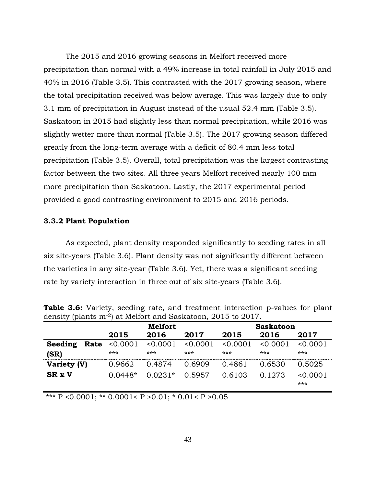The 2015 and 2016 growing seasons in Melfort received more precipitation than normal with a 49% increase in total rainfall in July 2015 and 40% in 2016 (Table 3.5). This contrasted with the 2017 growing season, where the total precipitation received was below average. This was largely due to only 3.1 mm of precipitation in August instead of the usual 52.4 mm (Table 3.5). Saskatoon in 2015 had slightly less than normal precipitation, while 2016 was slightly wetter more than normal (Table 3.5). The 2017 growing season differed greatly from the long-term average with a deficit of 80.4 mm less total precipitation (Table 3.5). Overall, total precipitation was the largest contrasting factor between the two sites. All three years Melfort received nearly 100 mm more precipitation than Saskatoon. Lastly, the 2017 experimental period provided a good contrasting environment to 2015 and 2016 periods.

#### **3.3.2 Plant Population**

As expected, plant density responded significantly to seeding rates in all six site-years (Table 3.6). Plant density was not significantly different between the varieties in any site-year (Table 3.6). Yet, there was a significant seeding rate by variety interaction in three out of six site-years (Table 3.6).

| acriore, prairie in     |                   | at monore and papnatoon, go ro go r |                   |                   |                  |                   |  |  |
|-------------------------|-------------------|-------------------------------------|-------------------|-------------------|------------------|-------------------|--|--|
|                         |                   | <b>Melfort</b>                      |                   |                   | <b>Saskatoon</b> |                   |  |  |
|                         | 2015              | 2016                                | 2017              | 2015              | 2016             | 2017              |  |  |
| Seeding<br>Rate<br>(SR) | < 0.0001<br>$***$ | < 0.0001<br>$***$                   | < 0.0001<br>$***$ | < 0.0001<br>$***$ | < 0.0001<br>***  | < 0.0001<br>$***$ |  |  |
| Variety (V)             | 0.9662            | 0.4874                              | 0.6909            | 0.4861            | 0.6530           | 0.5025            |  |  |
| <b>SR x V</b>           | $0.0448*$         | $0.0231*$                           | 0.5957            | 0.6103            | 0.1273           | < 0.0001<br>***   |  |  |

**Table 3.6:** Variety, seeding rate, and treatment interaction p-values for plant density (plants m-2) at Melfort and Saskatoon, 2015 to 2017.

\*\*\*  $\overline{P}$  <0.0001; \*\* 0.0001< P >0.01; \* 0.01< P >0.05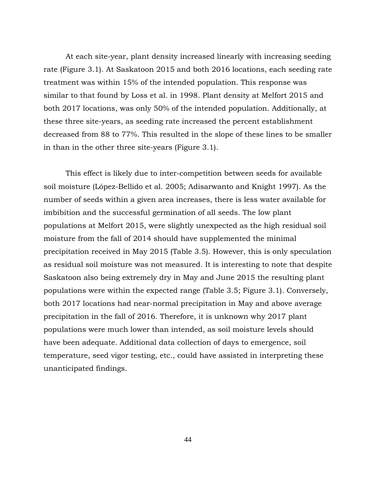At each site-year, plant density increased linearly with increasing seeding rate (Figure 3.1). At Saskatoon 2015 and both 2016 locations, each seeding rate treatment was within 15% of the intended population. This response was similar to that found by Loss et al. in 1998. Plant density at Melfort 2015 and both 2017 locations, was only 50% of the intended population. Additionally, at these three site-years, as seeding rate increased the percent establishment decreased from 88 to 77%. This resulted in the slope of these lines to be smaller in than in the other three site-years (Figure 3.1).

This effect is likely due to inter-competition between seeds for available soil moisture (López-Bellido et al. 2005; Adisarwanto and Knight 1997). As the number of seeds within a given area increases, there is less water available for imbibition and the successful germination of all seeds. The low plant populations at Melfort 2015, were slightly unexpected as the high residual soil moisture from the fall of 2014 should have supplemented the minimal precipitation received in May 2015 (Table 3.5). However, this is only speculation as residual soil moisture was not measured. It is interesting to note that despite Saskatoon also being extremely dry in May and June 2015 the resulting plant populations were within the expected range (Table 3.5; Figure 3.1). Conversely, both 2017 locations had near-normal precipitation in May and above average precipitation in the fall of 2016. Therefore, it is unknown why 2017 plant populations were much lower than intended, as soil moisture levels should have been adequate. Additional data collection of days to emergence, soil temperature, seed vigor testing, etc., could have assisted in interpreting these unanticipated findings.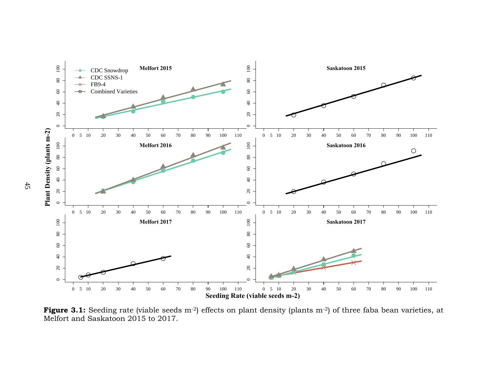

Figure 3.1: Seeding rate (viable seeds m<sup>-2</sup>) effects on plant density (plants m<sup>-2</sup>) of three faba bean varieties, at Melfort and Saskatoon 2015 to 2017.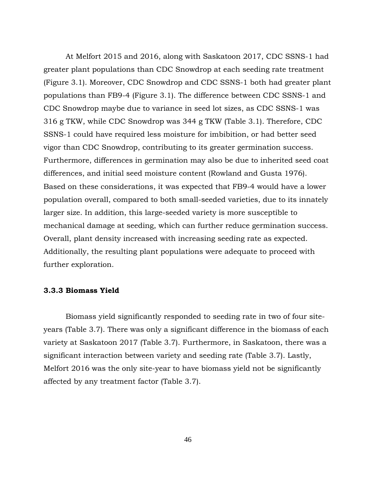At Melfort 2015 and 2016, along with Saskatoon 2017, CDC SSNS-1 had greater plant populations than CDC Snowdrop at each seeding rate treatment (Figure 3.1). Moreover, CDC Snowdrop and CDC SSNS-1 both had greater plant populations than FB9-4 (Figure 3.1). The difference between CDC SSNS-1 and CDC Snowdrop maybe due to variance in seed lot sizes, as CDC SSNS-1 was 316 g TKW, while CDC Snowdrop was 344 g TKW (Table 3.1). Therefore, CDC SSNS-1 could have required less moisture for imbibition, or had better seed vigor than CDC Snowdrop, contributing to its greater germination success. Furthermore, differences in germination may also be due to inherited seed coat differences, and initial seed moisture content (Rowland and Gusta 1976). Based on these considerations, it was expected that FB9-4 would have a lower population overall, compared to both small-seeded varieties, due to its innately larger size. In addition, this large-seeded variety is more susceptible to mechanical damage at seeding, which can further reduce germination success. Overall, plant density increased with increasing seeding rate as expected. Additionally, the resulting plant populations were adequate to proceed with further exploration.

#### **3.3.3 Biomass Yield**

Biomass yield significantly responded to seeding rate in two of four siteyears (Table 3.7). There was only a significant difference in the biomass of each variety at Saskatoon 2017 (Table 3.7). Furthermore, in Saskatoon, there was a significant interaction between variety and seeding rate (Table 3.7). Lastly, Melfort 2016 was the only site-year to have biomass yield not be significantly affected by any treatment factor (Table 3.7).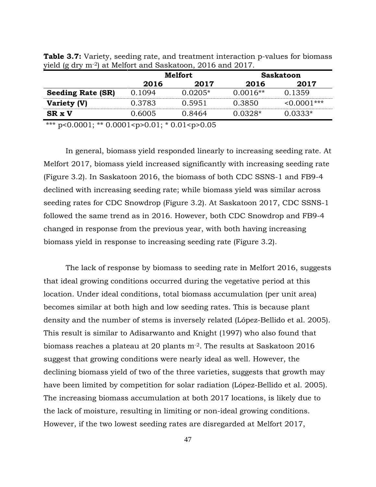| 2016<br>2017<br>2017<br>2016<br>0.1359<br><b>Seeding Rate (SR)</b><br>0.1094<br>$0.0205*$<br>$0.0016**$<br>0.3783<br>0.3850<br>0.5951<br>Variety (V) |               | <b>Melfort</b> |        | <b>Saskatoon</b> |                   |  |
|------------------------------------------------------------------------------------------------------------------------------------------------------|---------------|----------------|--------|------------------|-------------------|--|
|                                                                                                                                                      |               |                |        |                  |                   |  |
|                                                                                                                                                      |               |                |        |                  |                   |  |
|                                                                                                                                                      |               |                |        |                  | $\leq 0.0001$ *** |  |
|                                                                                                                                                      | <b>SR x V</b> | 0.6005         | 0.8464 | $0.0328*$        | $0.0333*$         |  |

**Table 3.7:** Variety, seeding rate, and treatment interaction p-values for biomass yield (g dry m-2) at Melfort and Saskatoon, 2016 and 2017.

\*\*\* p<0.0001; \*\* 0.0001<p>0.01; \* 0.01<p>0.05

In general, biomass yield responded linearly to increasing seeding rate. At Melfort 2017, biomass yield increased significantly with increasing seeding rate (Figure 3.2). In Saskatoon 2016, the biomass of both CDC SSNS-1 and FB9-4 declined with increasing seeding rate; while biomass yield was similar across seeding rates for CDC Snowdrop (Figure 3.2). At Saskatoon 2017, CDC SSNS-1 followed the same trend as in 2016. However, both CDC Snowdrop and FB9-4 changed in response from the previous year, with both having increasing biomass yield in response to increasing seeding rate (Figure 3.2).

The lack of response by biomass to seeding rate in Melfort 2016, suggests that ideal growing conditions occurred during the vegetative period at this location. Under ideal conditions, total biomass accumulation (per unit area) becomes similar at both high and low seeding rates. This is because plant density and the number of stems is inversely related (López-Bellido et al. 2005). This result is similar to Adisarwanto and Knight (1997) who also found that biomass reaches a plateau at 20 plants m-2. The results at Saskatoon 2016 suggest that growing conditions were nearly ideal as well. However, the declining biomass yield of two of the three varieties, suggests that growth may have been limited by competition for solar radiation (López-Bellido et al. 2005). The increasing biomass accumulation at both 2017 locations, is likely due to the lack of moisture, resulting in limiting or non-ideal growing conditions. However, if the two lowest seeding rates are disregarded at Melfort 2017,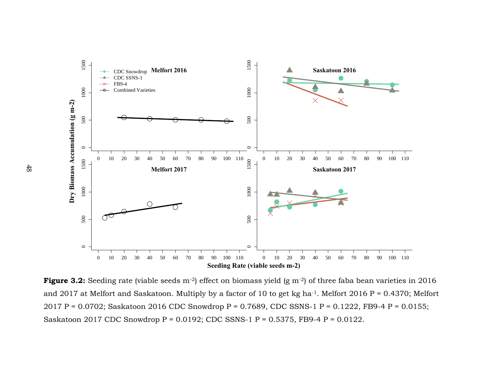

**Figure 3.2:** Seeding rate (viable seeds m<sup>-2</sup>) effect on biomass yield (g m<sup>-2</sup>) of three faba bean varieties in 2016 and 2017 at Melfort and Saskatoon. Multiply by a factor of 10 to get kg ha-1. Melfort 2016 P = 0.4370; Melfort 2017 P = 0.0702; Saskatoon 2016 CDC Snowdrop P = 0.7689, CDC SSNS-1 P = 0.1222, FB9-4 P = 0.0155; Saskatoon 2017 CDC Snowdrop P = 0.0192; CDC SSNS-1 P = 0.5375, FB9-4 P = 0.0122.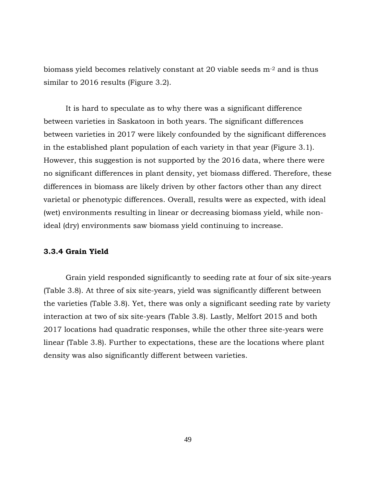biomass yield becomes relatively constant at 20 viable seeds m-2 and is thus similar to 2016 results (Figure 3.2).

It is hard to speculate as to why there was a significant difference between varieties in Saskatoon in both years. The significant differences between varieties in 2017 were likely confounded by the significant differences in the established plant population of each variety in that year (Figure 3.1). However, this suggestion is not supported by the 2016 data, where there were no significant differences in plant density, yet biomass differed. Therefore, these differences in biomass are likely driven by other factors other than any direct varietal or phenotypic differences. Overall, results were as expected, with ideal (wet) environments resulting in linear or decreasing biomass yield, while nonideal (dry) environments saw biomass yield continuing to increase.

#### **3.3.4 Grain Yield**

Grain yield responded significantly to seeding rate at four of six site-years (Table 3.8). At three of six site-years, yield was significantly different between the varieties (Table 3.8). Yet, there was only a significant seeding rate by variety interaction at two of six site-years (Table 3.8). Lastly, Melfort 2015 and both 2017 locations had quadratic responses, while the other three site-years were linear (Table 3.8). Further to expectations, these are the locations where plant density was also significantly different between varieties.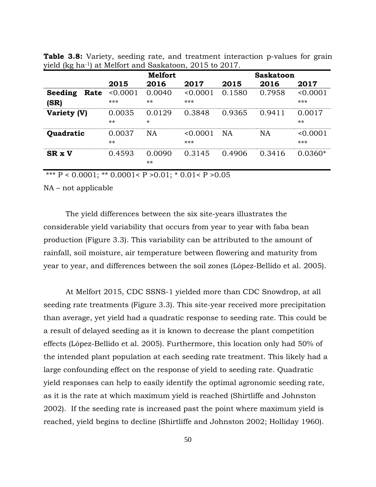| <b>U</b>        | <b>Melfort</b>  |                   |               | <b>Saskatoon</b> |           |                   |
|-----------------|-----------------|-------------------|---------------|------------------|-----------|-------------------|
|                 | 2015            | 2016              | 2017          | 2015             | 2016      | 2017              |
| Seeding<br>Rate | < 0.0001        | 0.0040            | < 0.0001      | 0.1580           | 0.7958    | < 0.0001          |
| (SR)            | ***             | $***$             | ***           |                  |           | $***$             |
| Variety (V)     | 0.0035<br>$***$ | 0.0129<br>$\star$ | 0.3848        | 0.9365           | 0.9411    | 0.0017<br>$***$   |
| Quadratic       | 0.0037<br>$***$ | <b>NA</b>         | 0.0001<br>*** | <b>NA</b>        | <b>NA</b> | < 0.0001<br>$***$ |
| <b>SR x V</b>   | 0.4593          | 0.0090<br>$***$   | 0.3145        | 0.4906           | 0.3416    | $0.0360*$         |

**Table 3.8:** Variety, seeding rate, and treatment interaction p-values for grain yield (kg ha-1) at Melfort and Saskatoon, 2015 to 2017.

\*\*\* P < 0.0001; \*\* 0.0001< P > >  $>0.01$ ; \* 0.01< P >  $>0.05$ 

NA – not applicable

The yield differences between the six site-years illustrates the considerable yield variability that occurs from year to year with faba bean production (Figure 3.3). This variability can be attributed to the amount of rainfall, soil moisture, air temperature between flowering and maturity from year to year, and differences between the soil zones (López-Bellido et al. 2005).

At Melfort 2015, CDC SSNS-1 yielded more than CDC Snowdrop, at all seeding rate treatments (Figure 3.3). This site-year received more precipitation than average, yet yield had a quadratic response to seeding rate. This could be a result of delayed seeding as it is known to decrease the plant competition effects (López-Bellido et al. 2005). Furthermore, this location only had 50% of the intended plant population at each seeding rate treatment. This likely had a large confounding effect on the response of yield to seeding rate. Quadratic yield responses can help to easily identify the optimal agronomic seeding rate, as it is the rate at which maximum yield is reached (Shirtliffe and Johnston 2002). If the seeding rate is increased past the point where maximum yield is reached, yield begins to decline (Shirtliffe and Johnston 2002; Holliday 1960).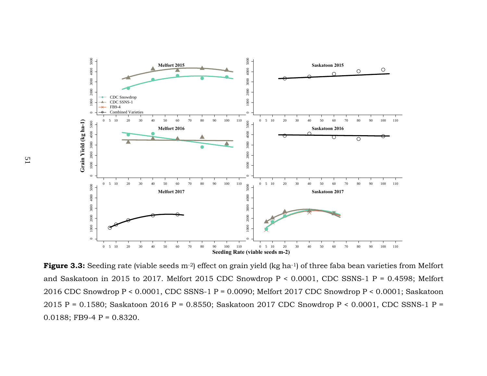

**Figure 3.3:** Seeding rate (viable seeds m<sup>-2</sup>) effect on grain yield (kg ha<sup>-1</sup>) of three faba bean varieties from Melfort and Saskatoon in 2015 to 2017. Melfort 2015 CDC Snowdrop  $P < 0.0001$ , CDC SSNS-1 P = 0.4598; Melfort 2016 CDC Snowdrop P < 0.0001, CDC SSNS-1 P = 0.0090; Melfort 2017 CDC Snowdrop P < 0.0001; Saskatoon 2015 P = 0.1580; Saskatoon 2016 P = 0.8550; Saskatoon 2017 CDC Snowdrop P < 0.0001, CDC SSNS-1 P = 0.0188; FB9-4 P =  $0.8320$ .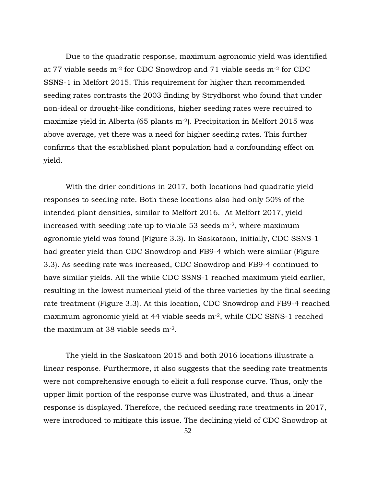Due to the quadratic response, maximum agronomic yield was identified at 77 viable seeds m-2 for CDC Snowdrop and 71 viable seeds m-2 for CDC SSNS-1 in Melfort 2015. This requirement for higher than recommended seeding rates contrasts the 2003 finding by Strydhorst who found that under non-ideal or drought-like conditions, higher seeding rates were required to maximize yield in Alberta (65 plants m-2). Precipitation in Melfort 2015 was above average, yet there was a need for higher seeding rates. This further confirms that the established plant population had a confounding effect on yield.

With the drier conditions in 2017, both locations had quadratic yield responses to seeding rate. Both these locations also had only 50% of the intended plant densities, similar to Melfort 2016. At Melfort 2017, yield increased with seeding rate up to viable 53 seeds  $m<sup>2</sup>$ , where maximum agronomic yield was found (Figure 3.3). In Saskatoon, initially, CDC SSNS-1 had greater yield than CDC Snowdrop and FB9-4 which were similar (Figure 3.3). As seeding rate was increased, CDC Snowdrop and FB9-4 continued to have similar yields. All the while CDC SSNS-1 reached maximum yield earlier, resulting in the lowest numerical yield of the three varieties by the final seeding rate treatment (Figure 3.3). At this location, CDC Snowdrop and FB9-4 reached maximum agronomic yield at 44 viable seeds m-2, while CDC SSNS-1 reached the maximum at 38 viable seeds m-2.

The yield in the Saskatoon 2015 and both 2016 locations illustrate a linear response. Furthermore, it also suggests that the seeding rate treatments were not comprehensive enough to elicit a full response curve. Thus, only the upper limit portion of the response curve was illustrated, and thus a linear response is displayed. Therefore, the reduced seeding rate treatments in 2017, were introduced to mitigate this issue. The declining yield of CDC Snowdrop at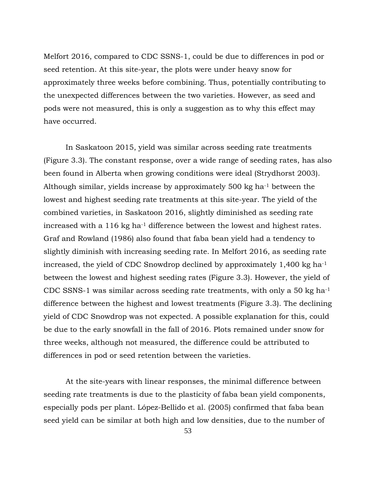Melfort 2016, compared to CDC SSNS-1, could be due to differences in pod or seed retention. At this site-year, the plots were under heavy snow for approximately three weeks before combining. Thus, potentially contributing to the unexpected differences between the two varieties. However, as seed and pods were not measured, this is only a suggestion as to why this effect may have occurred.

In Saskatoon 2015, yield was similar across seeding rate treatments (Figure 3.3). The constant response, over a wide range of seeding rates, has also been found in Alberta when growing conditions were ideal (Strydhorst 2003). Although similar, yields increase by approximately 500 kg ha-1 between the lowest and highest seeding rate treatments at this site-year. The yield of the combined varieties, in Saskatoon 2016, slightly diminished as seeding rate increased with a 116 kg ha-1 difference between the lowest and highest rates. Graf and Rowland (1986) also found that faba bean yield had a tendency to slightly diminish with increasing seeding rate. In Melfort 2016, as seeding rate increased, the yield of CDC Snowdrop declined by approximately 1,400 kg ha-1 between the lowest and highest seeding rates (Figure 3.3). However, the yield of CDC SSNS-1 was similar across seeding rate treatments, with only a 50 kg ha-1 difference between the highest and lowest treatments (Figure 3.3). The declining yield of CDC Snowdrop was not expected. A possible explanation for this, could be due to the early snowfall in the fall of 2016. Plots remained under snow for three weeks, although not measured, the difference could be attributed to differences in pod or seed retention between the varieties.

At the site-years with linear responses, the minimal difference between seeding rate treatments is due to the plasticity of faba bean yield components, especially pods per plant. López-Bellido et al. (2005) confirmed that faba bean seed yield can be similar at both high and low densities, due to the number of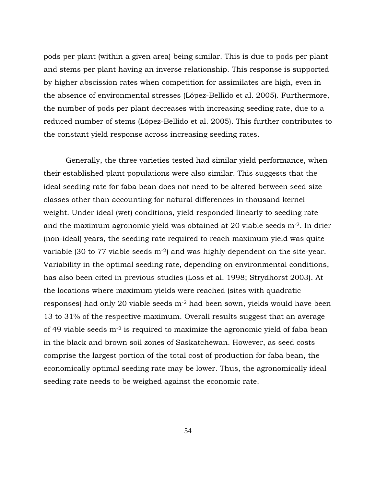pods per plant (within a given area) being similar. This is due to pods per plant and stems per plant having an inverse relationship. This response is supported by higher abscission rates when competition for assimilates are high, even in the absence of environmental stresses (López-Bellido et al. 2005). Furthermore, the number of pods per plant decreases with increasing seeding rate, due to a reduced number of stems (López-Bellido et al. 2005). This further contributes to the constant yield response across increasing seeding rates.

Generally, the three varieties tested had similar yield performance, when their established plant populations were also similar. This suggests that the ideal seeding rate for faba bean does not need to be altered between seed size classes other than accounting for natural differences in thousand kernel weight. Under ideal (wet) conditions, yield responded linearly to seeding rate and the maximum agronomic yield was obtained at 20 viable seeds m-2. In drier (non-ideal) years, the seeding rate required to reach maximum yield was quite variable (30 to 77 viable seeds m<sup>-2</sup>) and was highly dependent on the site-year. Variability in the optimal seeding rate, depending on environmental conditions, has also been cited in previous studies (Loss et al. 1998; Strydhorst 2003). At the locations where maximum yields were reached (sites with quadratic responses) had only 20 viable seeds m-2 had been sown, yields would have been 13 to 31% of the respective maximum. Overall results suggest that an average of 49 viable seeds m-2 is required to maximize the agronomic yield of faba bean in the black and brown soil zones of Saskatchewan. However, as seed costs comprise the largest portion of the total cost of production for faba bean, the economically optimal seeding rate may be lower. Thus, the agronomically ideal seeding rate needs to be weighed against the economic rate.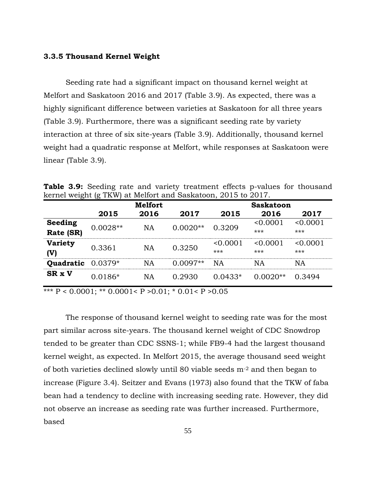#### **3.3.5 Thousand Kernel Weight**

Seeding rate had a significant impact on thousand kernel weight at Melfort and Saskatoon 2016 and 2017 (Table 3.9). As expected, there was a highly significant difference between varieties at Saskatoon for all three years (Table 3.9). Furthermore, there was a significant seeding rate by variety interaction at three of six site-years (Table 3.9). Additionally, thousand kernel weight had a quadratic response at Melfort, while responses at Saskatoon were linear (Table 3.9).

**Table 3.9:** Seeding rate and variety treatment effects p-values for thousand kernel weight (g TKW) at Melfort and Saskatoon, 2015 to 2017.

|                |            | <b>Melfort</b> |            |           | <b>Saskatoon</b> |          |
|----------------|------------|----------------|------------|-----------|------------------|----------|
|                | 2015       | 2016           | 2017       | 2015      | 2016             | 2017     |
| Seeding        | $0.0028**$ |                | $0.0020**$ | 0.3209    | < 0.0001         | < 0.0001 |
| Rate (SR)      |            | NA             |            |           | ***              | $***$    |
| <b>Variety</b> | 0.3361     |                | 0.3250     | < 0.0001  | < 0.0001         | < 0.0001 |
| (V)            |            | NA             |            | ***       | ***              | $***$    |
| Quadratic      | $0.0379*$  | <b>NA</b>      | $0.0097**$ | NA        | NA               | NA       |
| <b>SR x V</b>  | $0.0186*$  | NA             | 0.2930     | $0.0433*$ | $0.0020**$       | 0.3494   |

\*\*\*  $P < 0.0001$ ; \*\* 0.0001<  $P > 0.01$ ; \* 0.01<  $P > 0.05$ 

The response of thousand kernel weight to seeding rate was for the most part similar across site-years. The thousand kernel weight of CDC Snowdrop tended to be greater than CDC SSNS-1; while FB9-4 had the largest thousand kernel weight, as expected. In Melfort 2015, the average thousand seed weight of both varieties declined slowly until 80 viable seeds m-2 and then began to increase (Figure 3.4). Seitzer and Evans (1973) also found that the TKW of faba bean had a tendency to decline with increasing seeding rate. However, they did not observe an increase as seeding rate was further increased. Furthermore, based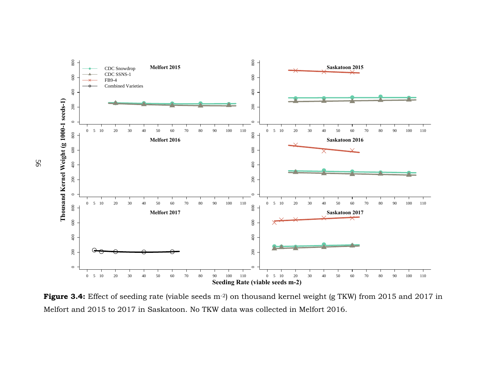

**Figure 3.4:** Effect of seeding rate (viable seeds m<sup>-2</sup>) on thousand kernel weight (g TKW) from 2015 and 2017 in Melfort and 2015 to 2017 in Saskatoon. No TKW data was collected in Melfort 2016.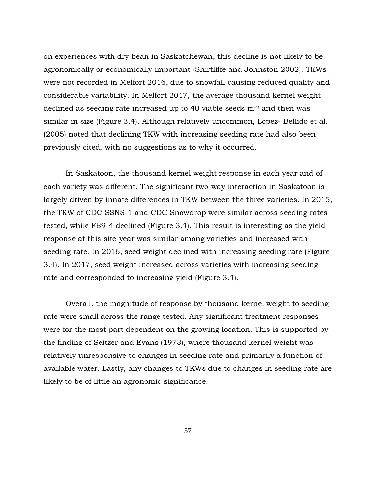on experiences with dry bean in Saskatchewan, this decline is not likely to be agronomically or economically important (Shirtliffe and Johnston 2002). TKWs were not recorded in Melfort 2016, due to snowfall causing reduced quality and considerable variability. In Melfort 2017, the average thousand kernel weight declined as seeding rate increased up to 40 viable seeds m-2 and then was similar in size (Figure 3.4). Although relatively uncommon, López- Bellido et al. (2005) noted that declining TKW with increasing seeding rate had also been previously cited, with no suggestions as to why it occurred.

In Saskatoon, the thousand kernel weight response in each year and of each variety was different. The significant two-way interaction in Saskatoon is largely driven by innate differences in TKW between the three varieties. In 2015, the TKW of CDC SSNS-1 and CDC Snowdrop were similar across seeding rates tested, while FB9-4 declined (Figure 3.4). This result is interesting as the yield response at this site-year was similar among varieties and increased with seeding rate. In 2016, seed weight declined with increasing seeding rate (Figure 3.4). In 2017, seed weight increased across varieties with increasing seeding rate and corresponded to increasing yield (Figure 3.4).

Overall, the magnitude of response by thousand kernel weight to seeding rate were small across the range tested. Any significant treatment responses were for the most part dependent on the growing location. This is supported by the finding of Seitzer and Evans (1973), where thousand kernel weight was relatively unresponsive to changes in seeding rate and primarily a function of available water. Lastly, any changes to TKWs due to changes in seeding rate are likely to be of little an agronomic significance.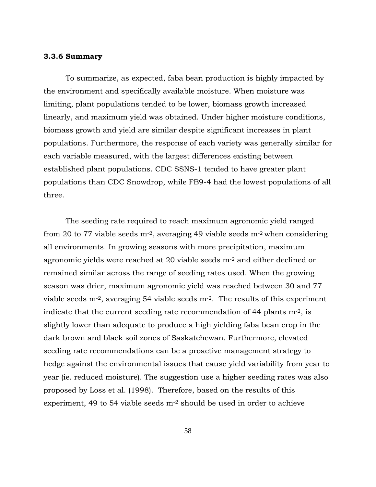#### **3.3.6 Summary**

To summarize, as expected, faba bean production is highly impacted by the environment and specifically available moisture. When moisture was limiting, plant populations tended to be lower, biomass growth increased linearly, and maximum yield was obtained. Under higher moisture conditions, biomass growth and yield are similar despite significant increases in plant populations. Furthermore, the response of each variety was generally similar for each variable measured, with the largest differences existing between established plant populations. CDC SSNS-1 tended to have greater plant populations than CDC Snowdrop, while FB9-4 had the lowest populations of all three.

The seeding rate required to reach maximum agronomic yield ranged from 20 to 77 viable seeds  $m<sup>2</sup>$ , averaging 49 viable seeds  $m<sup>2</sup>$  when considering all environments. In growing seasons with more precipitation, maximum agronomic yields were reached at 20 viable seeds m-2 and either declined or remained similar across the range of seeding rates used. When the growing season was drier, maximum agronomic yield was reached between 30 and 77 viable seeds m-2, averaging 54 viable seeds m-2. The results of this experiment indicate that the current seeding rate recommendation of 44 plants  $m<sup>-2</sup>$ , is slightly lower than adequate to produce a high yielding faba bean crop in the dark brown and black soil zones of Saskatchewan. Furthermore, elevated seeding rate recommendations can be a proactive management strategy to hedge against the environmental issues that cause yield variability from year to year (ie. reduced moisture). The suggestion use a higher seeding rates was also proposed by Loss et al. (1998). Therefore, based on the results of this experiment, 49 to 54 viable seeds  $m<sup>-2</sup>$  should be used in order to achieve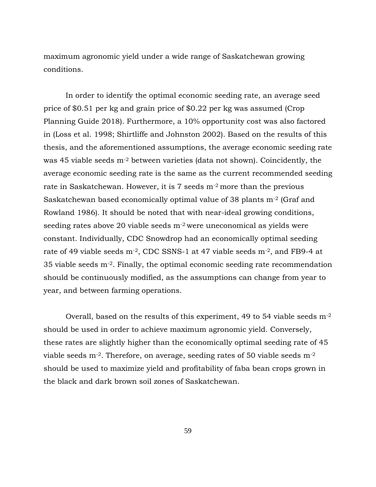maximum agronomic yield under a wide range of Saskatchewan growing conditions.

In order to identify the optimal economic seeding rate, an average seed price of \$0.51 per kg and grain price of \$0.22 per kg was assumed (Crop Planning Guide 2018). Furthermore, a 10% opportunity cost was also factored in (Loss et al. 1998; Shirtliffe and Johnston 2002). Based on the results of this thesis, and the aforementioned assumptions, the average economic seeding rate was 45 viable seeds m-2 between varieties (data not shown). Coincidently, the average economic seeding rate is the same as the current recommended seeding rate in Saskatchewan. However, it is 7 seeds m-2 more than the previous Saskatchewan based economically optimal value of 38 plants m-2 (Graf and Rowland 1986). It should be noted that with near-ideal growing conditions, seeding rates above 20 viable seeds m-2 were uneconomical as yields were constant. Individually, CDC Snowdrop had an economically optimal seeding rate of 49 viable seeds m-2, CDC SSNS-1 at 47 viable seeds m-2, and FB9-4 at 35 viable seeds m-2. Finally, the optimal economic seeding rate recommendation should be continuously modified, as the assumptions can change from year to year, and between farming operations.

Overall, based on the results of this experiment, 49 to 54 viable seeds m-2 should be used in order to achieve maximum agronomic yield. Conversely, these rates are slightly higher than the economically optimal seeding rate of 45 viable seeds  $m<sup>-2</sup>$ . Therefore, on average, seeding rates of 50 viable seeds  $m<sup>-2</sup>$ should be used to maximize yield and profitability of faba bean crops grown in the black and dark brown soil zones of Saskatchewan.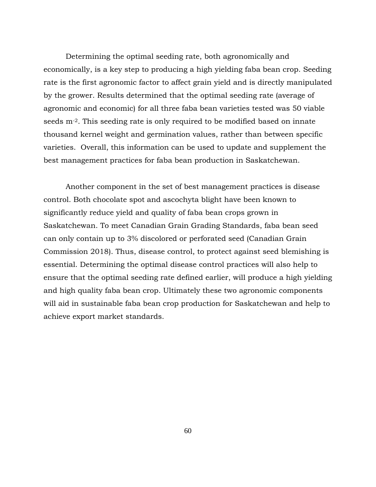Determining the optimal seeding rate, both agronomically and economically, is a key step to producing a high yielding faba bean crop. Seeding rate is the first agronomic factor to affect grain yield and is directly manipulated by the grower. Results determined that the optimal seeding rate (average of agronomic and economic) for all three faba bean varieties tested was 50 viable seeds m-2. This seeding rate is only required to be modified based on innate thousand kernel weight and germination values, rather than between specific varieties. Overall, this information can be used to update and supplement the best management practices for faba bean production in Saskatchewan.

Another component in the set of best management practices is disease control. Both chocolate spot and ascochyta blight have been known to significantly reduce yield and quality of faba bean crops grown in Saskatchewan. To meet Canadian Grain Grading Standards, faba bean seed can only contain up to 3% discolored or perforated seed (Canadian Grain Commission 2018). Thus, disease control, to protect against seed blemishing is essential. Determining the optimal disease control practices will also help to ensure that the optimal seeding rate defined earlier, will produce a high yielding and high quality faba bean crop. Ultimately these two agronomic components will aid in sustainable faba bean crop production for Saskatchewan and help to achieve export market standards.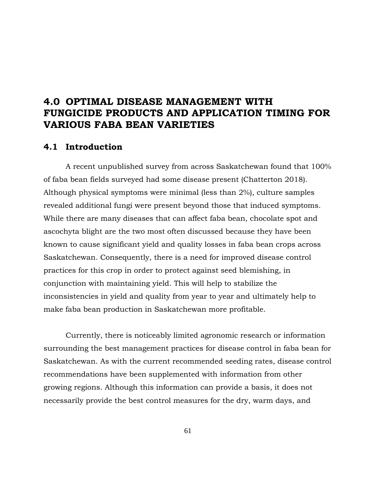# **4.0 OPTIMAL DISEASE MANAGEMENT WITH FUNGICIDE PRODUCTS AND APPLICATION TIMING FOR VARIOUS FABA BEAN VARIETIES**

# **4.1 Introduction**

A recent unpublished survey from across Saskatchewan found that 100% of faba bean fields surveyed had some disease present (Chatterton 2018). Although physical symptoms were minimal (less than 2%), culture samples revealed additional fungi were present beyond those that induced symptoms. While there are many diseases that can affect faba bean, chocolate spot and ascochyta blight are the two most often discussed because they have been known to cause significant yield and quality losses in faba bean crops across Saskatchewan. Consequently, there is a need for improved disease control practices for this crop in order to protect against seed blemishing, in conjunction with maintaining yield. This will help to stabilize the inconsistencies in yield and quality from year to year and ultimately help to make faba bean production in Saskatchewan more profitable.

Currently, there is noticeably limited agronomic research or information surrounding the best management practices for disease control in faba bean for Saskatchewan. As with the current recommended seeding rates, disease control recommendations have been supplemented with information from other growing regions. Although this information can provide a basis, it does not necessarily provide the best control measures for the dry, warm days, and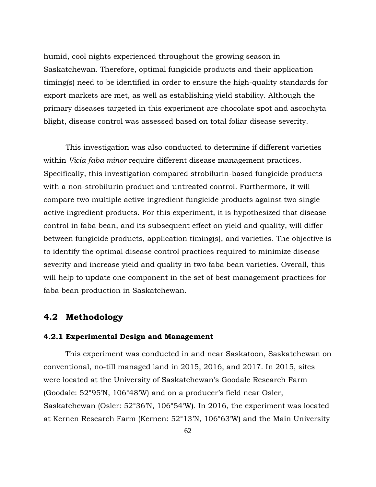humid, cool nights experienced throughout the growing season in Saskatchewan. Therefore, optimal fungicide products and their application timing(s) need to be identified in order to ensure the high-quality standards for export markets are met, as well as establishing yield stability. Although the primary diseases targeted in this experiment are chocolate spot and ascochyta blight, disease control was assessed based on total foliar disease severity.

This investigation was also conducted to determine if different varieties within *Vicia faba minor* require different disease management practices. Specifically, this investigation compared strobilurin-based fungicide products with a non-strobilurin product and untreated control. Furthermore, it will compare two multiple active ingredient fungicide products against two single active ingredient products. For this experiment, it is hypothesized that disease control in faba bean, and its subsequent effect on yield and quality, will differ between fungicide products, application timing(s), and varieties. The objective is to identify the optimal disease control practices required to minimize disease severity and increase yield and quality in two faba bean varieties. Overall, this will help to update one component in the set of best management practices for faba bean production in Saskatchewan.

# **4.2 Methodology**

#### **4.2.1 Experimental Design and Management**

This experiment was conducted in and near Saskatoon, Saskatchewan on conventional, no-till managed land in 2015, 2016, and 2017. In 2015, sites were located at the University of Saskatchewan's Goodale Research Farm (Goodale: 52°95'N, 106°48'W) and on a producer's field near Osler, Saskatchewan (Osler: 52°36'N, 106°54'W). In 2016, the experiment was located at Kernen Research Farm (Kernen: 52°13'N, 106°63'W) and the Main University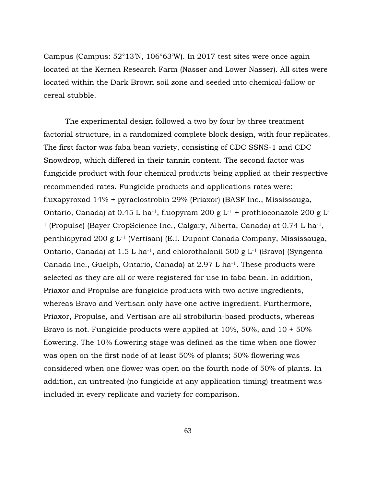Campus (Campus: 52°13'N, 106°63'W). In 2017 test sites were once again located at the Kernen Research Farm (Nasser and Lower Nasser). All sites were located within the Dark Brown soil zone and seeded into chemical-fallow or cereal stubble.

The experimental design followed a two by four by three treatment factorial structure, in a randomized complete block design, with four replicates. The first factor was faba bean variety, consisting of CDC SSNS-1 and CDC Snowdrop, which differed in their tannin content. The second factor was fungicide product with four chemical products being applied at their respective recommended rates. Fungicide products and applications rates were: fluxapyroxad 14% + pyraclostrobin 29% (Priaxor) (BASF Inc., Mississauga, Ontario, Canada) at  $0.45$  L ha<sup>-1</sup>, fluopyram  $200$  g L<sup>-1</sup> + prothioconazole  $200$  g L<sup>-</sup> <sup>1</sup> (Propulse) (Bayer CropScience Inc., Calgary, Alberta, Canada) at 0.74 L ha-1, penthiopyrad 200 g L-1 (Vertisan) (E.I. Dupont Canada Company, Mississauga, Ontario, Canada) at  $1.5$  L ha<sup>-1</sup>, and chlorothalonil  $500$  g L<sup>-1</sup> (Bravo) (Syngenta Canada Inc., Guelph, Ontario, Canada) at 2.97 L ha-1. These products were selected as they are all or were registered for use in faba bean. In addition, Priaxor and Propulse are fungicide products with two active ingredients, whereas Bravo and Vertisan only have one active ingredient. Furthermore, Priaxor, Propulse, and Vertisan are all strobilurin-based products, whereas Bravo is not. Fungicide products were applied at 10%, 50%, and 10 + 50% flowering. The 10% flowering stage was defined as the time when one flower was open on the first node of at least 50% of plants; 50% flowering was considered when one flower was open on the fourth node of 50% of plants. In addition, an untreated (no fungicide at any application timing) treatment was included in every replicate and variety for comparison.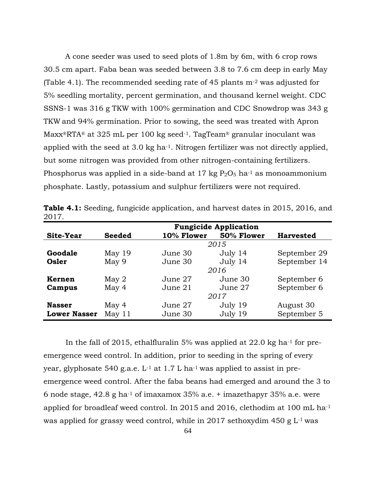A cone seeder was used to seed plots of 1.8m by 6m, with 6 crop rows 30.5 cm apart. Faba bean was seeded between 3.8 to 7.6 cm deep in early May (Table 4.1). The recommended seeding rate of 45 plants  $m<sup>-2</sup>$  was adjusted for 5% seedling mortality, percent germination, and thousand kernel weight. CDC SSNS-1 was 316 g TKW with 100% germination and CDC Snowdrop was 343 g TKW and 94% germination. Prior to sowing, the seed was treated with Apron  $Maxx^{\circ}RTA^{\circ}$  at 325 mL per 100 kg seed<sup>-1</sup>. TagTeam<sup>®</sup> granular inoculant was applied with the seed at 3.0 kg ha<sup>-1</sup>. Nitrogen fertilizer was not directly applied, but some nitrogen was provided from other nitrogen-containing fertilizers. Phosphorus was applied in a side-band at 17 kg  $P_2O_5$  ha<sup>-1</sup> as monoammonium phosphate. Lastly, potassium and sulphur fertilizers were not required.

|                     | <b>Fungicide Application</b> |            |            |                  |  |  |
|---------------------|------------------------------|------------|------------|------------------|--|--|
| Site-Year           | <b>Seeded</b>                | 10% Flower | 50% Flower | <b>Harvested</b> |  |  |
|                     |                              |            | 2015       |                  |  |  |
| Goodale             | May $19$                     | June 30    | July 14    | September 29     |  |  |
| Osler               | May 9                        | June 30    | July 14    | September 14     |  |  |
|                     |                              |            | 2016       |                  |  |  |
| <b>Kernen</b>       | May <sub>2</sub>             | June 27    | June 30    | September 6      |  |  |
| Campus              | May 4                        | June 21    | June 27    | September 6      |  |  |
|                     | 2017                         |            |            |                  |  |  |
| <b>Nasser</b>       | May 4                        | June 27    | July 19    | August 30        |  |  |
| <b>Lower Nasser</b> | May $11$                     | June 30    | July 19    | September 5      |  |  |

**Table 4.1:** Seeding, fungicide application, and harvest dates in 2015, 2016, and 2017.

In the fall of 2015, ethalfluralin 5% was applied at  $22.0 \text{ kg}$  ha<sup>-1</sup> for preemergence weed control. In addition, prior to seeding in the spring of every year, glyphosate 540 g.a.e.  $L^{-1}$  at 1.7 L ha<sup>-1</sup> was applied to assist in preemergence weed control. After the faba beans had emerged and around the 3 to 6 node stage,  $42.8$  g ha<sup>-1</sup> of imaxamox  $35\%$  a.e. + imazethapyr  $35\%$  a.e. were applied for broadleaf weed control. In 2015 and 2016, clethodim at 100 mL ha-1 was applied for grassy weed control, while in 2017 sethoxydim 450 g  $L$ <sup>1</sup> was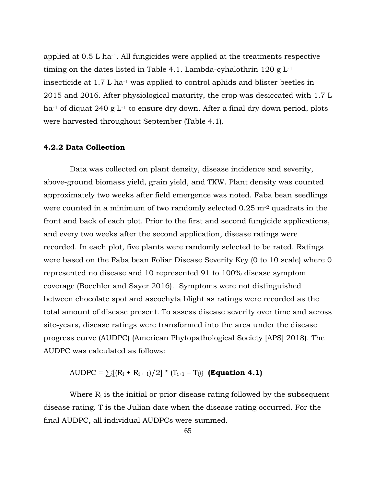applied at 0.5 L ha-1. All fungicides were applied at the treatments respective timing on the dates listed in Table 4.1. Lambda-cyhalothrin  $120 \text{ g L}^{-1}$ insecticide at 1.7 L ha-1 was applied to control aphids and blister beetles in 2015 and 2016. After physiological maturity, the crop was desiccated with 1.7 L ha<sup>-1</sup> of diquat 240 g  $L^{-1}$  to ensure dry down. After a final dry down period, plots were harvested throughout September (Table 4.1).

## **4.2.2 Data Collection**

Data was collected on plant density, disease incidence and severity, above-ground biomass yield, grain yield, and TKW. Plant density was counted approximately two weeks after field emergence was noted. Faba bean seedlings were counted in a minimum of two randomly selected  $0.25$  m<sup>-2</sup> quadrats in the front and back of each plot. Prior to the first and second fungicide applications, and every two weeks after the second application, disease ratings were recorded. In each plot, five plants were randomly selected to be rated. Ratings were based on the Faba bean Foliar Disease Severity Key (0 to 10 scale) where 0 represented no disease and 10 represented 91 to 100% disease symptom coverage (Boechler and Sayer 2016). Symptoms were not distinguished between chocolate spot and ascochyta blight as ratings were recorded as the total amount of disease present. To assess disease severity over time and across site-years, disease ratings were transformed into the area under the disease progress curve (AUDPC) (American Phytopathological Society [APS] 2018). The AUDPC was calculated as follows:

AUDPC =  $\sum \{[(R_i + R_{i+1})/2] * (T_{i+1} - T_i)\}$  (**Equation 4.1**)

Where  $R_i$  is the initial or prior disease rating followed by the subsequent disease rating. T is the Julian date when the disease rating occurred. For the final AUDPC, all individual AUDPCs were summed.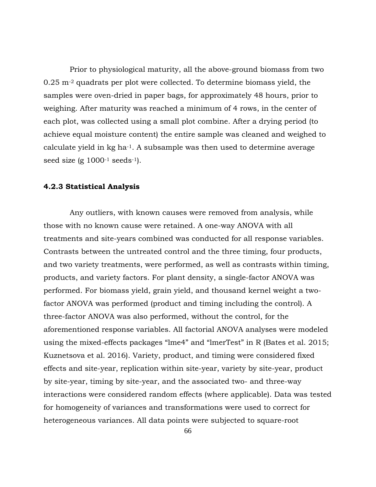Prior to physiological maturity, all the above-ground biomass from two 0.25 m-2 quadrats per plot were collected. To determine biomass yield, the samples were oven-dried in paper bags, for approximately 48 hours, prior to weighing. After maturity was reached a minimum of 4 rows, in the center of each plot, was collected using a small plot combine. After a drying period (to achieve equal moisture content) the entire sample was cleaned and weighed to calculate yield in kg ha-1. A subsample was then used to determine average seed size (g  $1000^{-1}$  seeds<sup>-1</sup>).

## **4.2.3 Statistical Analysis**

Any outliers, with known causes were removed from analysis, while those with no known cause were retained. A one-way ANOVA with all treatments and site-years combined was conducted for all response variables. Contrasts between the untreated control and the three timing, four products, and two variety treatments, were performed, as well as contrasts within timing, products, and variety factors. For plant density, a single-factor ANOVA was performed. For biomass yield, grain yield, and thousand kernel weight a twofactor ANOVA was performed (product and timing including the control). A three-factor ANOVA was also performed, without the control, for the aforementioned response variables. All factorial ANOVA analyses were modeled using the mixed-effects packages "lme4" and "lmerTest" in R (Bates et al. 2015; Kuznetsova et al. 2016). Variety, product, and timing were considered fixed effects and site-year, replication within site-year, variety by site-year, product by site-year, timing by site-year, and the associated two- and three-way interactions were considered random effects (where applicable). Data was tested for homogeneity of variances and transformations were used to correct for heterogeneous variances. All data points were subjected to square-root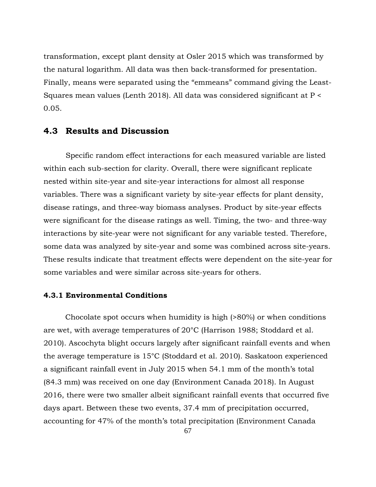transformation, except plant density at Osler 2015 which was transformed by the natural logarithm. All data was then back-transformed for presentation. Finally, means were separated using the "emmeans" command giving the Least-Squares mean values (Lenth 2018). All data was considered significant at P < 0.05.

# **4.3 Results and Discussion**

Specific random effect interactions for each measured variable are listed within each sub-section for clarity. Overall, there were significant replicate nested within site-year and site-year interactions for almost all response variables. There was a significant variety by site-year effects for plant density, disease ratings, and three-way biomass analyses. Product by site-year effects were significant for the disease ratings as well. Timing, the two- and three-way interactions by site-year were not significant for any variable tested. Therefore, some data was analyzed by site-year and some was combined across site-years. These results indicate that treatment effects were dependent on the site-year for some variables and were similar across site-years for others.

#### **4.3.1 Environmental Conditions**

Chocolate spot occurs when humidity is high (>80%) or when conditions are wet, with average temperatures of 20°C (Harrison 1988; Stoddard et al. 2010). Ascochyta blight occurs largely after significant rainfall events and when the average temperature is 15°C (Stoddard et al. 2010). Saskatoon experienced a significant rainfall event in July 2015 when 54.1 mm of the month's total (84.3 mm) was received on one day (Environment Canada 2018). In August 2016, there were two smaller albeit significant rainfall events that occurred five days apart. Between these two events, 37.4 mm of precipitation occurred, accounting for 47% of the month's total precipitation (Environment Canada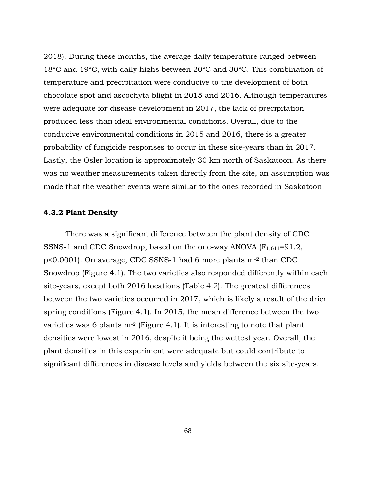2018). During these months, the average daily temperature ranged between 18°C and 19°C, with daily highs between 20°C and 30°C. This combination of temperature and precipitation were conducive to the development of both chocolate spot and ascochyta blight in 2015 and 2016. Although temperatures were adequate for disease development in 2017, the lack of precipitation produced less than ideal environmental conditions. Overall, due to the conducive environmental conditions in 2015 and 2016, there is a greater probability of fungicide responses to occur in these site-years than in 2017. Lastly, the Osler location is approximately 30 km north of Saskatoon. As there was no weather measurements taken directly from the site, an assumption was made that the weather events were similar to the ones recorded in Saskatoon.

#### **4.3.2 Plant Density**

There was a significant difference between the plant density of CDC SSNS-1 and CDC Snowdrop, based on the one-way ANOVA  $(F_{1,611}=91.2,$ p<0.0001). On average, CDC SSNS-1 had 6 more plants m-2 than CDC Snowdrop (Figure 4.1). The two varieties also responded differently within each site-years, except both 2016 locations (Table 4.2). The greatest differences between the two varieties occurred in 2017, which is likely a result of the drier spring conditions (Figure 4.1). In 2015, the mean difference between the two varieties was 6 plants  $m<sup>-2</sup>$  (Figure 4.1). It is interesting to note that plant densities were lowest in 2016, despite it being the wettest year. Overall, the plant densities in this experiment were adequate but could contribute to significant differences in disease levels and yields between the six site-years.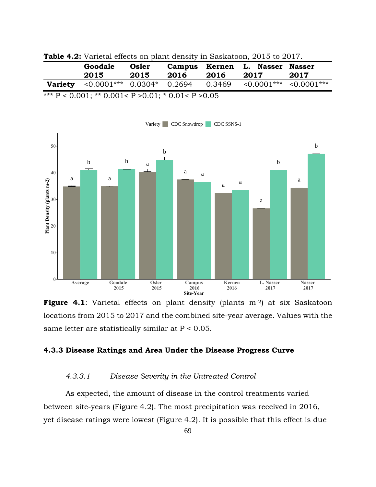|  |  |  |  |  |  |  |  | <b>Table 4.2:</b> Varietal effects on plant density in Saskatoon, 2015 to 2017. |  |  |  |
|--|--|--|--|--|--|--|--|---------------------------------------------------------------------------------|--|--|--|
|--|--|--|--|--|--|--|--|---------------------------------------------------------------------------------|--|--|--|

|                | Goodale<br>2015                  | Osler<br>2015 | 2016 | 2016   | Campus Kernen L. Nasser Nasser<br>2017 | 2017 |
|----------------|----------------------------------|---------------|------|--------|----------------------------------------|------|
| <b>Variety</b> | $\leq 0.0001$ *** 0.0304* 0.2694 |               |      | 0.3469 | $\leq 0.0001***$ $\leq 0.0001***$      |      |

\*\*\*  $P < 0.001$ ; \*\* 0.001<  $P > 0.01$ ; \* 0.01<  $P > 0.05$ 



**Figure 4.1**: Varietal effects on plant density (plants m<sup>-2</sup>) at six Saskatoon locations from 2015 to 2017 and the combined site-year average. Values with the same letter are statistically similar at  $P < 0.05$ .

# **4.3.3 Disease Ratings and Area Under the Disease Progress Curve**

#### *4.3.3.1 Disease Severity in the Untreated Control*

As expected, the amount of disease in the control treatments varied between site-years (Figure 4.2). The most precipitation was received in 2016, yet disease ratings were lowest (Figure 4.2). It is possible that this effect is due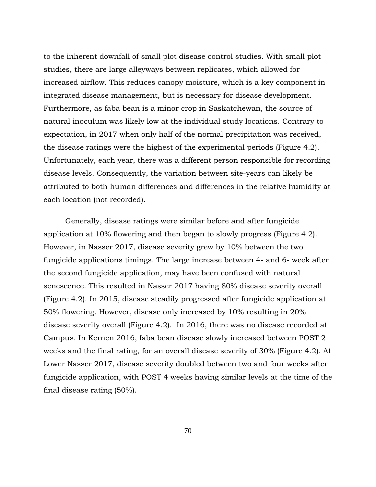to the inherent downfall of small plot disease control studies. With small plot studies, there are large alleyways between replicates, which allowed for increased airflow. This reduces canopy moisture, which is a key component in integrated disease management, but is necessary for disease development. Furthermore, as faba bean is a minor crop in Saskatchewan, the source of natural inoculum was likely low at the individual study locations. Contrary to expectation, in 2017 when only half of the normal precipitation was received, the disease ratings were the highest of the experimental periods (Figure 4.2). Unfortunately, each year, there was a different person responsible for recording disease levels. Consequently, the variation between site-years can likely be attributed to both human differences and differences in the relative humidity at each location (not recorded).

Generally, disease ratings were similar before and after fungicide application at 10% flowering and then began to slowly progress (Figure 4.2). However, in Nasser 2017, disease severity grew by 10% between the two fungicide applications timings. The large increase between 4- and 6- week after the second fungicide application, may have been confused with natural senescence. This resulted in Nasser 2017 having 80% disease severity overall (Figure 4.2). In 2015, disease steadily progressed after fungicide application at 50% flowering. However, disease only increased by 10% resulting in 20% disease severity overall (Figure 4.2). In 2016, there was no disease recorded at Campus. In Kernen 2016, faba bean disease slowly increased between POST 2 weeks and the final rating, for an overall disease severity of 30% (Figure 4.2). At Lower Nasser 2017, disease severity doubled between two and four weeks after fungicide application, with POST 4 weeks having similar levels at the time of the final disease rating (50%).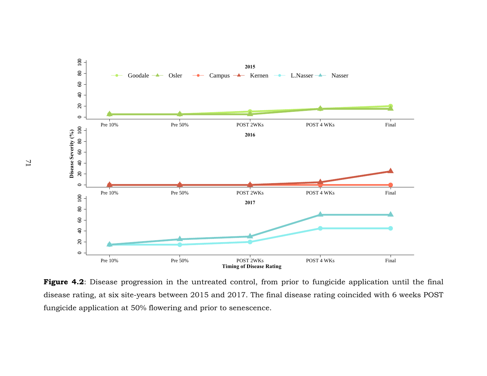

**Figure 4.2**: Disease progression in the untreated control, from prior to fungicide application until the final disease rating, at six site-years between 2015 and 2017. The final disease rating coincided with 6 weeks POST fungicide application at 50% flowering and prior to senescence.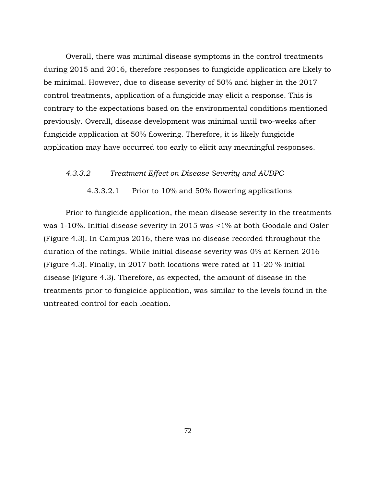Overall, there was minimal disease symptoms in the control treatments during 2015 and 2016, therefore responses to fungicide application are likely to be minimal. However, due to disease severity of 50% and higher in the 2017 control treatments, application of a fungicide may elicit a response. This is contrary to the expectations based on the environmental conditions mentioned previously. Overall, disease development was minimal until two-weeks after fungicide application at 50% flowering. Therefore, it is likely fungicide application may have occurred too early to elicit any meaningful responses.

#### *4.3.3.2 Treatment Effect on Disease Severity and AUDPC*

4.3.3.2.1 Prior to 10% and 50% flowering applications

Prior to fungicide application, the mean disease severity in the treatments was 1-10%. Initial disease severity in 2015 was <1% at both Goodale and Osler (Figure 4.3). In Campus 2016, there was no disease recorded throughout the duration of the ratings. While initial disease severity was 0% at Kernen 2016 (Figure 4.3). Finally, in 2017 both locations were rated at 11-20 % initial disease (Figure 4.3). Therefore, as expected, the amount of disease in the treatments prior to fungicide application, was similar to the levels found in the untreated control for each location.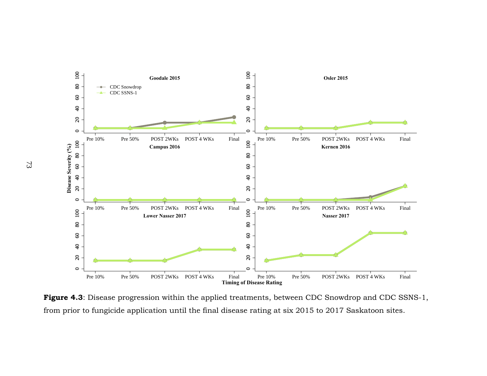

Figure 4.3: Disease progression within the applied treatments, between CDC Snowdrop and CDC SSNS-1, from prior to fungicide application until the final disease rating at six 2015 to 2017 Saskatoon sites.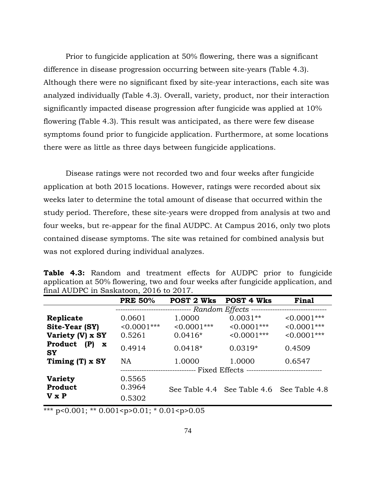Prior to fungicide application at 50% flowering, there was a significant difference in disease progression occurring between site-years (Table 4.3). Although there were no significant fixed by site-year interactions, each site was analyzed individually (Table 4.3). Overall, variety, product, nor their interaction significantly impacted disease progression after fungicide was applied at 10% flowering (Table 4.3). This result was anticipated, as there were few disease symptoms found prior to fungicide application. Furthermore, at some locations there were as little as three days between fungicide applications.

Disease ratings were not recorded two and four weeks after fungicide application at both 2015 locations. However, ratings were recorded about six weeks later to determine the total amount of disease that occurred within the study period. Therefore, these site-years were dropped from analysis at two and four weeks, but re-appear for the final AUDPC. At Campus 2016, only two plots contained disease symptoms. The site was retained for combined analysis but was not explored during individual analyzes.

|                                            | <b>PRE 50%</b> | <b>POST 2 Wks</b>                                                                | <b>POST 4 Wks</b>                         | Final          |
|--------------------------------------------|----------------|----------------------------------------------------------------------------------|-------------------------------------------|----------------|
|                                            |                | ------------------------------- Random Effects --------------------------------- |                                           |                |
| Replicate                                  | 0.0601         | 1.0000                                                                           | $0.0031**$                                | $< 0.0001$ *** |
| Site-Year (SY)                             | $< 0.0001$ *** | $< 0.0001$ ***                                                                   | $< 0.0001$ ***                            | $< 0.0001$ *** |
| Variety (V) x SY                           | 0.5261         | $0.0416*$                                                                        | $< 0.0001$ ***                            | $< 0.0001$ *** |
| Product<br>(P)<br>$\mathbf x$<br><b>SY</b> | 0.4914         | $0.0418*$                                                                        | $0.0319*$                                 | 0.4509         |
| Timing (T) x SY                            | <b>NA</b>      | 1.0000                                                                           | 1.0000                                    | 0.6547         |
|                                            |                | ------------------------------- Fixed Effects ---------------------------------  |                                           |                |
| <b>Variety</b>                             | 0.5565         |                                                                                  |                                           |                |
| Product                                    | 0.3964         |                                                                                  | See Table 4.4 See Table 4.6 See Table 4.8 |                |
| $V \times P$                               | 0.5302         |                                                                                  |                                           |                |

**Table 4.3:** Random and treatment effects for AUDPC prior to fungicide application at 50% flowering, two and four weeks after fungicide application, and final AUDPC in Saskatoon, 2016 to 2017.

\*\*\* p<0.001; \*\* 0.001<p>0.01; \* 0.01<p>0.05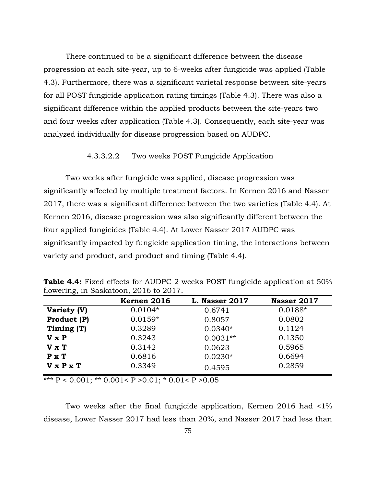There continued to be a significant difference between the disease progression at each site-year, up to 6-weeks after fungicide was applied (Table 4.3). Furthermore, there was a significant varietal response between site-years for all POST fungicide application rating timings (Table 4.3). There was also a significant difference within the applied products between the site-years two and four weeks after application (Table 4.3). Consequently, each site-year was analyzed individually for disease progression based on AUDPC.

# 4.3.3.2.2 Two weeks POST Fungicide Application

Two weeks after fungicide was applied, disease progression was significantly affected by multiple treatment factors. In Kernen 2016 and Nasser 2017, there was a significant difference between the two varieties (Table 4.4). At Kernen 2016, disease progression was also significantly different between the four applied fungicides (Table 4.4). At Lower Nasser 2017 AUDPC was significantly impacted by fungicide application timing, the interactions between variety and product, and product and timing (Table 4.4).

|                       | Kernen 2016 | <b>L. Nasser 2017</b> | Nasser 2017 |
|-----------------------|-------------|-----------------------|-------------|
| Variety (V)           | $0.0104*$   | 0.6741                | 0.0188*     |
| Product (P)           | $0.0159*$   | 0.8057                | 0.0802      |
| Timing (T)            | 0.3289      | $0.0340*$             | 0.1124      |
| V x P                 | 0.3243      | $0.0031**$            | 0.1350      |
| $V \times T$          | 0.3142      | 0.0623                | 0.5965      |
| $P \times T$          | 0.6816      | $0.0230*$             | 0.6694      |
| $V \times P \times T$ | 0.3349      | 0.4595                | 0.2859      |

**Table 4.4:** Fixed effects for AUDPC 2 weeks POST fungicide application at 50% flowering, in Saskatoon, 2016 to 2017.

\*\*\*  $P < 0.001$ ; \*\*  $0.001 < P > 0.01$ ; \*  $0.01 < P > 0.05$ 

Two weeks after the final fungicide application, Kernen 2016 had <1% disease, Lower Nasser 2017 had less than 20%, and Nasser 2017 had less than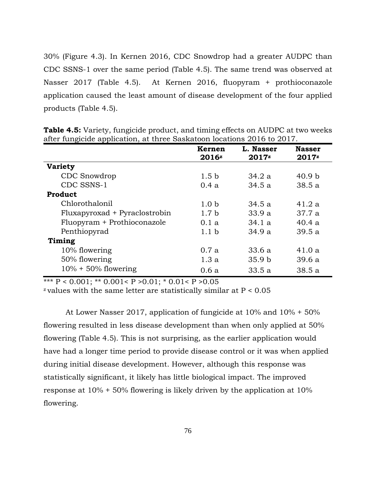30% (Figure 4.3). In Kernen 2016, CDC Snowdrop had a greater AUDPC than CDC SSNS-1 over the same period (Table 4.5). The same trend was observed at Nasser 2017 (Table 4.5). At Kernen 2016, fluopyram + prothioconazole application caused the least amount of disease development of the four applied products (Table 4.5).

|                               | Kernen            | L. Nasser         | <b>Nasser</b>     |
|-------------------------------|-------------------|-------------------|-------------------|
|                               | 2016 <sup>z</sup> | $2017^z$          | $2017^z$          |
| <b>Variety</b>                |                   |                   |                   |
| CDC Snowdrop                  | 1.5 <sub>b</sub>  | 34.2a             | 40.9 <sub>b</sub> |
| CDC SSNS-1                    | 0.4a              | 34.5a             | 38.5a             |
| Product                       |                   |                   |                   |
| Chlorothalonil                | 1.0 <sub>b</sub>  | 34.5a             | 41.2a             |
| Fluxapyroxad + Pyraclostrobin | 1.7 <sub>b</sub>  | 33.9a             | 37.7a             |
| Fluopyram + Prothioconazole   | 0.1a              | 34.1a             | 40.4a             |
| Penthiopyrad                  | 1.1 <sub>b</sub>  | 34.9a             | 39.5a             |
| Timing                        |                   |                   |                   |
| 10% flowering                 | 0.7a              | 33.6a             | 41.0a             |
| 50% flowering                 | 1.3a              | 35.9 <sub>b</sub> | 39.6a             |
| $10\% + 50\%$ flowering       | 0.6a              | 33.5a             | 38.5a             |

**Table 4.5:** Variety, fungicide product, and timing effects on AUDPC at two weeks after fungicide application, at three Saskatoon locations 2016 to 2017.

\*\*\*  $P < 0.001$ ; \*\* 0.001<  $P > 0.01$ ; \* 0.01<  $P > 0.05$ 

 $z$  values with the same letter are statistically similar at  $P < 0.05$ 

At Lower Nasser 2017, application of fungicide at 10% and 10% + 50% flowering resulted in less disease development than when only applied at 50% flowering (Table 4.5). This is not surprising, as the earlier application would have had a longer time period to provide disease control or it was when applied during initial disease development. However, although this response was statistically significant, it likely has little biological impact. The improved response at 10% + 50% flowering is likely driven by the application at 10% flowering.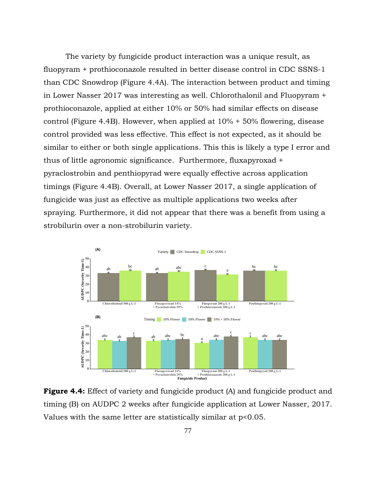The variety by fungicide product interaction was a unique result, as fluopyram + prothioconazole resulted in better disease control in CDC SSNS-1 than CDC Snowdrop (Figure 4.4A). The interaction between product and timing in Lower Nasser 2017 was interesting as well. Chlorothalonil and Fluopyram + prothioconazole, applied at either 10% or 50% had similar effects on disease control (Figure 4.4B). However, when applied at 10% + 50% flowering, disease control provided was less effective. This effect is not expected, as it should be similar to either or both single applications. This this is likely a type I error and thus of little agronomic significance. Furthermore, fluxapyroxad + pyraclostrobin and penthiopyrad were equally effective across application timings (Figure 4.4B). Overall, at Lower Nasser 2017, a single application of fungicide was just as effective as multiple applications two weeks after spraying. Furthermore, it did not appear that there was a benefit from using a strobilurin over a non-strobilurin variety.



**Figure 4.4:** Effect of variety and fungicide product (A) and fungicide product and timing (B) on AUDPC 2 weeks after fungicide application at Lower Nasser, 2017. Values with the same letter are statistically similar at p<0.05.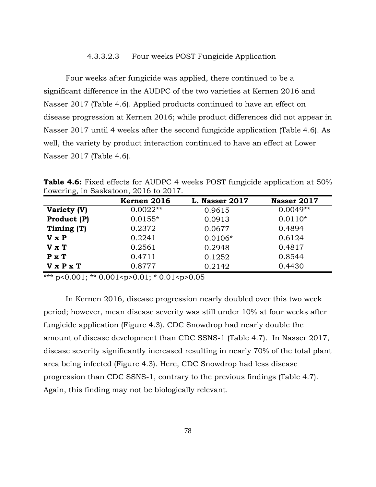#### 4.3.3.2.3 Four weeks POST Fungicide Application

Four weeks after fungicide was applied, there continued to be a significant difference in the AUDPC of the two varieties at Kernen 2016 and Nasser 2017 (Table 4.6). Applied products continued to have an effect on disease progression at Kernen 2016; while product differences did not appear in Nasser 2017 until 4 weeks after the second fungicide application (Table 4.6). As well, the variety by product interaction continued to have an effect at Lower Nasser 2017 (Table 4.6).

**Table 4.6:** Fixed effects for AUDPC 4 weeks POST fungicide application at 50% flowering, in Saskatoon, 2016 to 2017.

|                                                      | Kernen 2016 | <b>L. Nasser 2017</b> | Nasser 2017 |
|------------------------------------------------------|-------------|-----------------------|-------------|
| Variety (V)                                          | $0.0022**$  | 0.9615                | $0.0049**$  |
| Product (P)                                          | $0.0155*$   | 0.0913                | $0.0110*$   |
| Timing (T)                                           | 0.2372      | 0.0677                | 0.4894      |
| V x P                                                | 0.2241      | $0.0106*$             | 0.6124      |
| $V \times T$                                         | 0.2561      | 0.2948                | 0.4817      |
| $P \times T$                                         | 0.4711      | 0.1252                | 0.8544      |
| <b>V</b> <sub>x</sub> <b>P</b> <sub>x</sub> <b>T</b> | 0.8777      | 0.2142                | 0.4430      |

\*\*\* p<0.001; \*\* 0.001<p>0.01; \* 0.01<p>0.05

In Kernen 2016, disease progression nearly doubled over this two week period; however, mean disease severity was still under 10% at four weeks after fungicide application (Figure 4.3). CDC Snowdrop had nearly double the amount of disease development than CDC SSNS-1 (Table 4.7). In Nasser 2017, disease severity significantly increased resulting in nearly 70% of the total plant area being infected (Figure 4.3). Here, CDC Snowdrop had less disease progression than CDC SSNS-1, contrary to the previous findings (Table 4.7). Again, this finding may not be biologically relevant.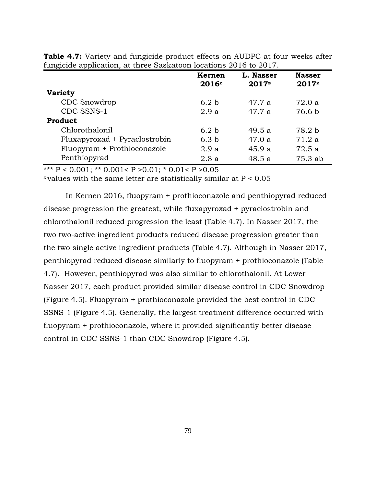|                               | <b>Kernen</b><br>2016z | L. Nasser<br>$2017^z$ | <b>Nasser</b><br>$2017^z$ |
|-------------------------------|------------------------|-----------------------|---------------------------|
| <b>Variety</b>                |                        |                       |                           |
| CDC Snowdrop                  | 6.2 <sub>b</sub>       | 47.7 a                | 72.0a                     |
| CDC SSNS-1                    | 2.9a                   | 47.7a                 | 76.6 b                    |
| Product                       |                        |                       |                           |
| Chlorothalonil                | 6.2 <sub>b</sub>       | 49.5a                 | 78.2 b                    |
| Fluxapyroxad + Pyraclostrobin | 6.3 <sub>b</sub>       | 47.0a                 | 71.2 a                    |
| Fluopyram + Prothioconazole   | 2.9a                   | 45.9a                 | 72.5a                     |
| Penthiopyrad                  | 2.8a                   | 48.5 a                | 75.3 ab                   |

**Table 4.7:** Variety and fungicide product effects on AUDPC at four weeks after fungicide application, at three Saskatoon locations 2016 to 2017.

\*\*\*  $P < 0.001$ ; \*\*  $0.001 < P > 0.01$ ; \*  $0.01 < P > 0.05$ 

 $z$  values with the same letter are statistically similar at  $P < 0.05$ 

In Kernen 2016, fluopyram + prothioconazole and penthiopyrad reduced disease progression the greatest, while fluxapyroxad + pyraclostrobin and chlorothalonil reduced progression the least (Table 4.7). In Nasser 2017, the two two-active ingredient products reduced disease progression greater than the two single active ingredient products (Table 4.7). Although in Nasser 2017, penthiopyrad reduced disease similarly to fluopyram + prothioconazole (Table 4.7). However, penthiopyrad was also similar to chlorothalonil. At Lower Nasser 2017, each product provided similar disease control in CDC Snowdrop (Figure 4.5). Fluopyram + prothioconazole provided the best control in CDC SSNS-1 (Figure 4.5). Generally, the largest treatment difference occurred with fluopyram + prothioconazole, where it provided significantly better disease control in CDC SSNS-1 than CDC Snowdrop (Figure 4.5).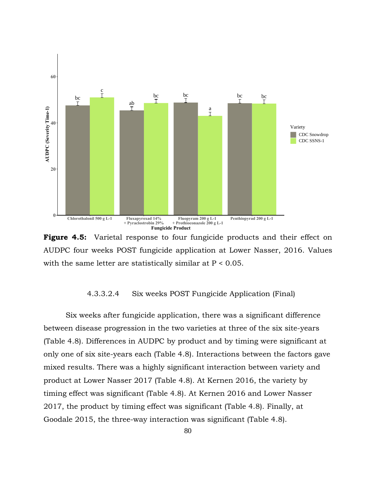

**Figure 4.5:** Varietal response to four fungicide products and their effect on AUDPC four weeks POST fungicide application at Lower Nasser, 2016. Values with the same letter are statistically similar at P < 0.05.

#### 4.3.3.2.4 Six weeks POST Fungicide Application (Final)

Six weeks after fungicide application, there was a significant difference between disease progression in the two varieties at three of the six site-years (Table 4.8). Differences in AUDPC by product and by timing were significant at only one of six site-years each (Table 4.8). Interactions between the factors gave mixed results. There was a highly significant interaction between variety and product at Lower Nasser 2017 (Table 4.8). At Kernen 2016, the variety by timing effect was significant (Table 4.8). At Kernen 2016 and Lower Nasser 2017, the product by timing effect was significant (Table 4.8). Finally, at Goodale 2015, the three-way interaction was significant (Table 4.8).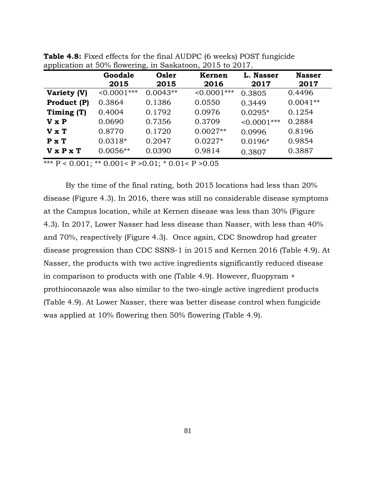| <u>. </u>    | Goodale<br>2015   | Osler<br>2015 | Kernen<br>2016 | L. Nasser<br>2017 | <b>Nasser</b><br>2017 |
|--------------|-------------------|---------------|----------------|-------------------|-----------------------|
| Variety (V)  | $\leq 0.0001$ *** | $0.0043**$    | $< 0.0001$ *** | 0.3805            | 0.4496                |
| Product (P)  | 0.3864            | 0.1386        | 0.0550         | 0.3449            | $0.0041**$            |
| Timing (T)   | 0.4004            | 0.1792        | 0.0976         | $0.0295*$         | 0.1254                |
| V x P        | 0.0690            | 0.7356        | 0.3709         | $< 0.0001$ ***    | 0.2884                |
| $V \times T$ | 0.8770            | 0.1720        | $0.0027**$     | 0.0996            | 0.8196                |
| $P \times T$ | $0.0318*$         | 0.2047        | $0.0227*$      | $0.0196*$         | 0.9854                |
| V x P x T    | $0.0056**$        | 0.0390        | 0.9814         | 0.3807            | 0.3887                |

**Table 4.8:** Fixed effects for the final AUDPC (6 weeks) POST fungicide application at 50% flowering, in Saskatoon, 2015 to 2017.

\*\*\*  $P < 0.001$ ; \*\* 0.001<  $P > 0.01$ ; \* 0.01<  $P > 0.05$ 

By the time of the final rating, both 2015 locations had less than 20% disease (Figure 4.3). In 2016, there was still no considerable disease symptoms at the Campus location, while at Kernen disease was less than 30% (Figure 4.3). In 2017, Lower Nasser had less disease than Nasser, with less than 40% and 70%, respectively (Figure 4.3). Once again, CDC Snowdrop had greater disease progression than CDC SSNS-1 in 2015 and Kernen 2016 (Table 4.9). At Nasser, the products with two active ingredients significantly reduced disease in comparison to products with one (Table 4.9). However, fluopyram + prothioconazole was also similar to the two-single active ingredient products (Table 4.9). At Lower Nasser, there was better disease control when fungicide was applied at 10% flowering then 50% flowering (Table 4.9).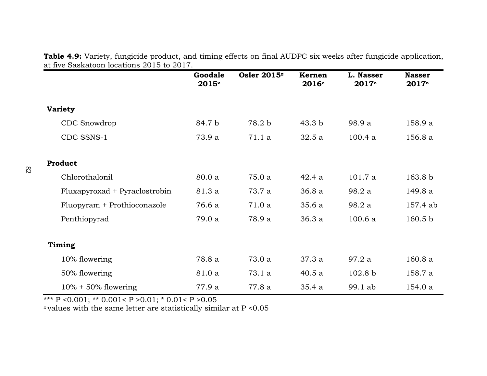| at iive baskatoon locations 2010 to 2017. | Goodale<br>$2015^z$ | Osler 2015 <sup>z</sup> | <b>Kernen</b><br>2016z | L. Nasser<br>$2017^z$ | <b>Nasser</b><br>2017z |
|-------------------------------------------|---------------------|-------------------------|------------------------|-----------------------|------------------------|
|                                           |                     |                         |                        |                       |                        |
| <b>Variety</b>                            |                     |                         |                        |                       |                        |
| CDC Snowdrop                              | 84.7 b              | 78.2 b                  | 43.3 <sub>b</sub>      | 98.9 a                | 158.9 a                |
| CDC SSNS-1                                | 73.9 a              | 71.1 a                  | 32.5a                  | 100.4a                | 156.8 a                |
| Product                                   |                     |                         |                        |                       |                        |
| Chlorothalonil                            | 80.0 a              | 75.0 a                  | 42.4a                  | 101.7a                | 163.8 <sub>b</sub>     |
| Fluxapyroxad + Pyraclostrobin             | 81.3 a              | 73.7 a                  | 36.8 a                 | 98.2 a                | 149.8 a                |
| Fluopyram + Prothioconazole               | 76.6 a              | 71.0 a                  | 35.6a                  | 98.2 a                | 157.4 ab               |
| Penthiopyrad                              | 79.0 a              | 78.9 a                  | 36.3 a                 | 100.6a                | 160.5 <sub>b</sub>     |
| Timing                                    |                     |                         |                        |                       |                        |
| 10% flowering                             | 78.8 a              | 73.0 a                  | 37.3a                  | 97.2a                 | 160.8a                 |
| 50% flowering                             | 81.0 a              | 73.1 a                  | 40.5a                  | 102.8 <sub>b</sub>    | 158.7 a                |
| $10\% + 50\%$ flowering                   | 77.9 a              | 77.8 a                  | 35.4a                  | 99.1 ab               | 154.0 a                |

**Table 4.9:** Variety, fungicide product, and timing effects on final AUDPC six weeks after fungicide application, at five Saskatoon locations 2015 to 2017.

\*\*\* P < 0.001; \*\* 0.001< P >  $>0.01$ ; \* 0.01< P > 0.05

<sup>z</sup>values with the same letter are statistically similar at P <0.05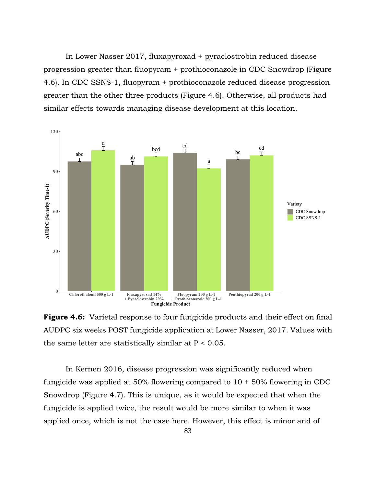In Lower Nasser 2017, fluxapyroxad + pyraclostrobin reduced disease progression greater than fluopyram + prothioconazole in CDC Snowdrop (Figure 4.6). In CDC SSNS-1, fluopyram + prothioconazole reduced disease progression greater than the other three products (Figure 4.6). Otherwise, all products had similar effects towards managing disease development at this location.



**Figure 4.6:** Varietal response to four fungicide products and their effect on final AUDPC six weeks POST fungicide application at Lower Nasser, 2017. Values with the same letter are statistically similar at  $P < 0.05$ .

In Kernen 2016, disease progression was significantly reduced when fungicide was applied at 50% flowering compared to  $10 + 50\%$  flowering in CDC Snowdrop (Figure 4.7). This is unique, as it would be expected that when the fungicide is applied twice, the result would be more similar to when it was applied once, which is not the case here. However, this effect is minor and of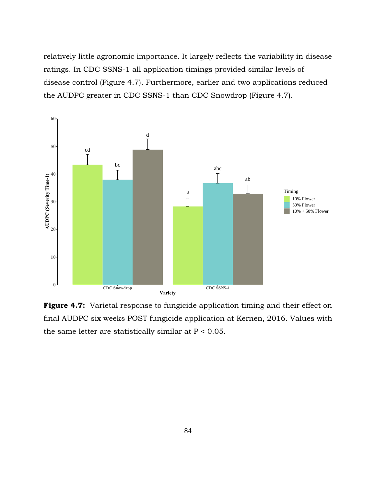relatively little agronomic importance. It largely reflects the variability in disease ratings. In CDC SSNS-1 all application timings provided similar levels of disease control (Figure 4.7). Furthermore, earlier and two applications reduced the AUDPC greater in CDC SSNS-1 than CDC Snowdrop (Figure 4.7).



**Figure 4.7:** Varietal response to fungicide application timing and their effect on final AUDPC six weeks POST fungicide application at Kernen, 2016. Values with the same letter are statistically similar at  $P < 0.05$ .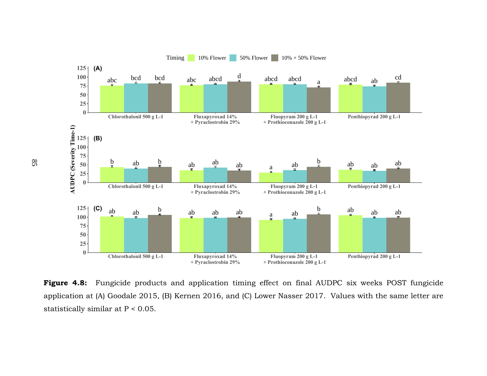

**Figure 4.8:** Fungicide products and application timing effect on final AUDPC six weeks POST fungicide application at (A) Goodale 2015, (B) Kernen 2016, and (C) Lower Nasser 2017. Values with the same letter are statistically similar at P < 0.05.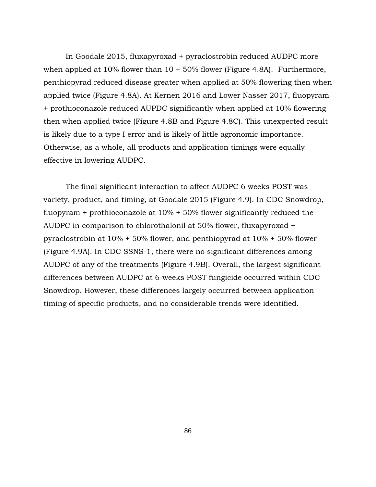In Goodale 2015, fluxapyroxad + pyraclostrobin reduced AUDPC more when applied at  $10\%$  flower than  $10 + 50\%$  flower (Figure 4.8A). Furthermore, penthiopyrad reduced disease greater when applied at 50% flowering then when applied twice (Figure 4.8A). At Kernen 2016 and Lower Nasser 2017, fluopyram + prothioconazole reduced AUPDC significantly when applied at 10% flowering then when applied twice (Figure 4.8B and Figure 4.8C). This unexpected result is likely due to a type I error and is likely of little agronomic importance. Otherwise, as a whole, all products and application timings were equally effective in lowering AUDPC.

The final significant interaction to affect AUDPC 6 weeks POST was variety, product, and timing, at Goodale 2015 (Figure 4.9). In CDC Snowdrop, fluopyram + prothioconazole at 10% + 50% flower significantly reduced the AUDPC in comparison to chlorothalonil at 50% flower, fluxapyroxad + pyraclostrobin at 10% + 50% flower, and penthiopyrad at 10% + 50% flower (Figure 4.9A). In CDC SSNS-1, there were no significant differences among AUDPC of any of the treatments (Figure 4.9B). Overall, the largest significant differences between AUDPC at 6-weeks POST fungicide occurred within CDC Snowdrop. However, these differences largely occurred between application timing of specific products, and no considerable trends were identified.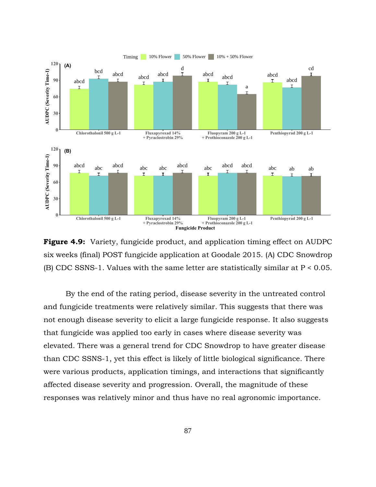

**Figure 4.9:** Variety, fungicide product, and application timing effect on AUDPC six weeks (final) POST fungicide application at Goodale 2015. (A) CDC Snowdrop (B) CDC SSNS-1. Values with the same letter are statistically similar at  $P < 0.05$ .

By the end of the rating period, disease severity in the untreated control and fungicide treatments were relatively similar. This suggests that there was not enough disease severity to elicit a large fungicide response. It also suggests that fungicide was applied too early in cases where disease severity was elevated. There was a general trend for CDC Snowdrop to have greater disease than CDC SSNS-1, yet this effect is likely of little biological significance. There were various products, application timings, and interactions that significantly affected disease severity and progression. Overall, the magnitude of these responses was relatively minor and thus have no real agronomic importance.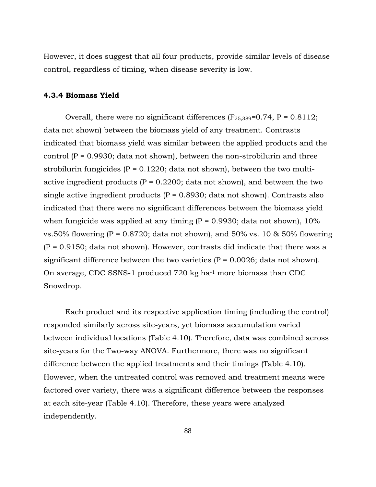However, it does suggest that all four products, provide similar levels of disease control, regardless of timing, when disease severity is low.

## **4.3.4 Biomass Yield**

Overall, there were no significant differences  $(F_{25,389}=0.74, P = 0.8112;$ data not shown) between the biomass yield of any treatment. Contrasts indicated that biomass yield was similar between the applied products and the control  $(P = 0.9930$ ; data not shown), between the non-strobilurin and three strobilurin fungicides ( $P = 0.1220$ ; data not shown), between the two multiactive ingredient products ( $P = 0.2200$ ; data not shown), and between the two single active ingredient products ( $P = 0.8930$ ; data not shown). Contrasts also indicated that there were no significant differences between the biomass yield when fungicide was applied at any timing  $(P = 0.9930)$ ; data not shown), 10% vs.50% flowering (P = 0.8720; data not shown), and 50% vs. 10 & 50% flowering  $(P = 0.9150;$  data not shown). However, contrasts did indicate that there was a significant difference between the two varieties  $(P = 0.0026)$ ; data not shown). On average, CDC SSNS-1 produced 720 kg ha-1 more biomass than CDC Snowdrop.

Each product and its respective application timing (including the control) responded similarly across site-years, yet biomass accumulation varied between individual locations (Table 4.10). Therefore, data was combined across site-years for the Two-way ANOVA. Furthermore, there was no significant difference between the applied treatments and their timings (Table 4.10). However, when the untreated control was removed and treatment means were factored over variety, there was a significant difference between the responses at each site-year (Table 4.10). Therefore, these years were analyzed independently.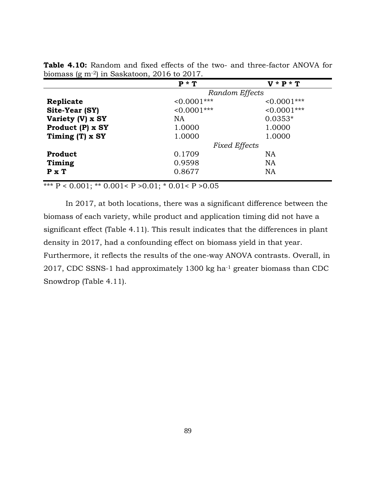|                  | $P * T$              | $V * P * T$    |  |
|------------------|----------------------|----------------|--|
|                  | Random Effects       |                |  |
| Replicate        | $< 0.0001$ ***       | $< 0.0001$ *** |  |
| Site-Year (SY)   | $< 0.0001$ ***       | $< 0.0001$ *** |  |
| Variety (V) x SY | <b>NA</b>            | $0.0353*$      |  |
| Product (P) x SY | 1.0000               | 1.0000         |  |
| Timing (T) x SY  | 1.0000               | 1.0000         |  |
|                  | <b>Fixed Effects</b> |                |  |
| Product          | 0.1709               | <b>NA</b>      |  |
| Timing           | 0.9598               | <b>NA</b>      |  |
| $P \times T$     | 0.8677               | <b>NA</b>      |  |

**Table 4.10:** Random and fixed effects of the two- and three-factor ANOVA for biomass (g m-2) in Saskatoon, 2016 to 2017.

\*\*\*  $P < 0.001$ ; \*\* 0.001<  $P > 0.01$ ; \* 0.01<  $P > 0.05$ 

In 2017, at both locations, there was a significant difference between the biomass of each variety, while product and application timing did not have a significant effect (Table 4.11). This result indicates that the differences in plant density in 2017, had a confounding effect on biomass yield in that year. Furthermore, it reflects the results of the one-way ANOVA contrasts. Overall, in 2017, CDC SSNS-1 had approximately 1300 kg ha-1 greater biomass than CDC Snowdrop (Table 4.11).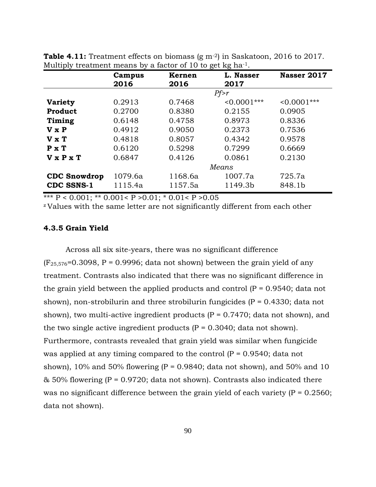|                       | Campus  | Kernen  | L. Nasser      | Nasser 2017    |
|-----------------------|---------|---------|----------------|----------------|
|                       | 2016    | 2016    | 2017           |                |
|                       |         |         | Pf>r           |                |
| <b>Variety</b>        | 0.2913  | 0.7468  | $< 0.0001$ *** | $< 0.0001$ *** |
| <b>Product</b>        | 0.2700  | 0.8380  | 0.2155         | 0.0905         |
| Timing                | 0.6148  | 0.4758  | 0.8973         | 0.8336         |
| $V \times P$          | 0.4912  | 0.9050  | 0.2373         | 0.7536         |
| $V \times T$          | 0.4818  | 0.8057  | 0.4342         | 0.9578         |
| $P \times T$          | 0.6120  | 0.5298  | 0.7299         | 0.6669         |
| $V \times P \times T$ | 0.6847  | 0.4126  | 0.0861         | 0.2130         |
|                       |         |         | Means          |                |
| <b>CDC</b> Snowdrop   | 1079.6a | 1168.6a | 1007.7a        | 725.7a         |
| <b>CDC SSNS-1</b>     | 1115.4a | 1157.5a | 1149.3b        | 848.1b         |

**Table 4.11:** Treatment effects on biomass (g m<sup>-2</sup>) in Saskatoon, 2016 to 2017. Multiply treatment means by a factor of 10 to get kg ha<sup>-1</sup>.

\*\*\*  $P < 0.001$ ; \*\* 0.001<  $P > 0.01$ ; \* 0.01<  $P > 0.05$ 

<sup>z</sup>Values with the same letter are not significantly different from each other

## **4.3.5 Grain Yield**

Across all six site-years, there was no significant difference  $(F_{25,576}=0.3098, P = 0.9996;$  data not shown) between the grain yield of any treatment. Contrasts also indicated that there was no significant difference in the grain yield between the applied products and control  $(P = 0.9540)$ ; data not shown), non-strobilurin and three strobilurin fungicides ( $P = 0.4330$ ; data not shown), two multi-active ingredient products  $(P = 0.7470)$ ; data not shown), and the two single active ingredient products  $(P = 0.3040; \text{ data not shown}).$ Furthermore, contrasts revealed that grain yield was similar when fungicide was applied at any timing compared to the control  $(P = 0.9540)$ ; data not shown),  $10\%$  and  $50\%$  flowering (P = 0.9840; data not shown), and  $50\%$  and  $10$  $&$  50% flowering (P = 0.9720; data not shown). Contrasts also indicated there was no significant difference between the grain yield of each variety  $(P = 0.2560)$ ; data not shown).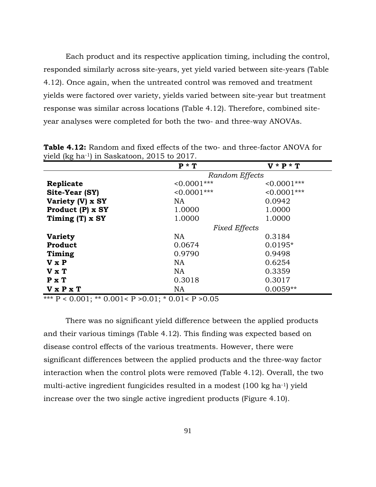Each product and its respective application timing, including the control, responded similarly across site-years, yet yield varied between site-years (Table 4.12). Once again, when the untreated control was removed and treatment yields were factored over variety, yields varied between site-year but treatment response was similar across locations (Table 4.12). Therefore, combined siteyear analyses were completed for both the two- and three-way ANOVAs.

| $J - 2 - 4 = 1$  |                      |                |
|------------------|----------------------|----------------|
|                  | $P * T$              | $V * P * T$    |
|                  | Random Effects       |                |
| Replicate        | $< 0.0001$ ***       | $< 0.0001$ *** |
| Site-Year (SY)   | $< 0.0001$ ***       | $< 0.0001$ *** |
| Variety (V) x SY | NA.                  | 0.0942         |
| Product (P) x SY | 1.0000               | 1.0000         |
| Timing (T) x SY  | 1.0000               | 1.0000         |
|                  | <b>Fixed Effects</b> |                |
| <b>Variety</b>   | NA                   | 0.3184         |
| Product          | 0.0674               | $0.0195*$      |
| Timing           | 0.9790               | 0.9498         |
| V x P            | NA                   | 0.6254         |
| $V \times T$     | <b>NA</b>            | 0.3359         |
| P X T            | 0.3018               | 0.3017         |
| V x P x T        | NA                   | $0.0059**$     |

**Table 4.12:** Random and fixed effects of the two- and three-factor ANOVA for yield (kg ha-1) in Saskatoon, 2015 to 2017.

\*\*\*  $P < 0.001$ ; \*\* 0.001<  $P > 0.01$ ; \* 0.01<  $P > 0.05$ 

There was no significant yield difference between the applied products and their various timings (Table 4.12). This finding was expected based on disease control effects of the various treatments. However, there were significant differences between the applied products and the three-way factor interaction when the control plots were removed (Table 4.12). Overall, the two multi-active ingredient fungicides resulted in a modest (100 kg ha-1) yield increase over the two single active ingredient products (Figure 4.10).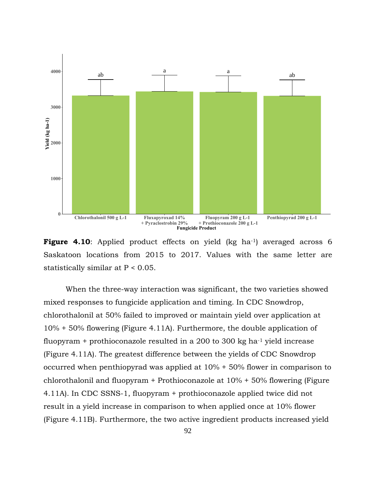

Figure 4.10: Applied product effects on yield (kg ha<sup>-1</sup>) averaged across 6 Saskatoon locations from 2015 to 2017. Values with the same letter are statistically similar at P < 0.05.

When the three-way interaction was significant, the two varieties showed mixed responses to fungicide application and timing. In CDC Snowdrop, chlorothalonil at 50% failed to improved or maintain yield over application at 10% + 50% flowering (Figure 4.11A). Furthermore, the double application of fluopyram  $+$  prothioconazole resulted in a 200 to 300 kg ha $^{-1}$  yield increase (Figure 4.11A). The greatest difference between the yields of CDC Snowdrop occurred when penthiopyrad was applied at 10% + 50% flower in comparison to chlorothalonil and fluopyram + Prothioconazole at 10% + 50% flowering (Figure 4.11A). In CDC SSNS-1, fluopyram + prothioconazole applied twice did not result in a yield increase in comparison to when applied once at 10% flower (Figure 4.11B). Furthermore, the two active ingredient products increased yield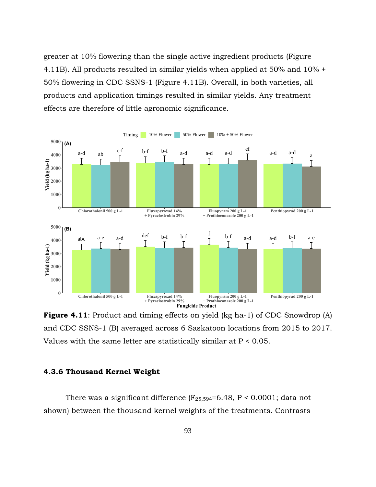greater at 10% flowering than the single active ingredient products (Figure 4.11B). All products resulted in similar yields when applied at 50% and 10% + 50% flowering in CDC SSNS-1 (Figure 4.11B). Overall, in both varieties, all products and application timings resulted in similar yields. Any treatment effects are therefore of little agronomic significance.



**Figure 4.11**: Product and timing effects on yield (kg ha-1) of CDC Snowdrop (A) and CDC SSNS-1 (B) averaged across 6 Saskatoon locations from 2015 to 2017. Values with the same letter are statistically similar at  $P < 0.05$ .

# **4.3.6 Thousand Kernel Weight**

There was a significant difference  $(F_{25,594} = 6.48, P < 0.0001$ ; data not shown) between the thousand kernel weights of the treatments. Contrasts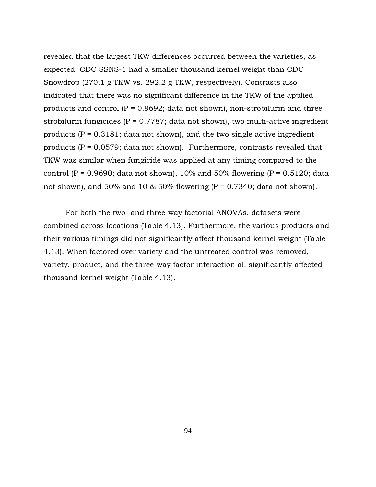revealed that the largest TKW differences occurred between the varieties, as expected. CDC SSNS-1 had a smaller thousand kernel weight than CDC Snowdrop (270.1 g TKW vs. 292.2 g TKW, respectively). Contrasts also indicated that there was no significant difference in the TKW of the applied products and control  $(P = 0.9692;$  data not shown), non-strobilurin and three strobilurin fungicides ( $P = 0.7787$ ; data not shown), two multi-active ingredient products ( $P = 0.3181$ ; data not shown), and the two single active ingredient products  $(P = 0.0579$ ; data not shown). Furthermore, contrasts revealed that TKW was similar when fungicide was applied at any timing compared to the control (P = 0.9690; data not shown), 10% and 50% flowering (P = 0.5120; data not shown), and 50% and 10  $\&$  50% flowering (P = 0.7340; data not shown).

For both the two- and three-way factorial ANOVAs, datasets were combined across locations (Table 4.13). Furthermore, the various products and their various timings did not significantly affect thousand kernel weight (Table 4.13). When factored over variety and the untreated control was removed, variety, product, and the three-way factor interaction all significantly affected thousand kernel weight (Table 4.13).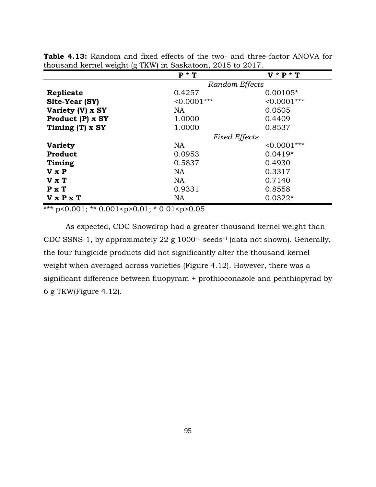|                            | $P * T$              | $V * P * T$    |
|----------------------------|----------------------|----------------|
|                            | Random Effects       |                |
| Replicate                  | 0.4257               | $0.00105*$     |
| Site-Year (SY)             | $< 0.0001$ ***       | $< 0.0001$ *** |
| Variety (V) x SY           | NA.                  | 0.0505         |
| Product $(P)$ x SY         | 1.0000               | 0.4409         |
| Timing $(T)$ x SY          | 1.0000               | 0.8537         |
|                            | <b>Fixed Effects</b> |                |
| <b>Variety</b>             | NA                   | $< 0.0001$ *** |
| Product                    | 0.0953               | $0.0419*$      |
| Timing                     | 0.5837               | 0.4930         |
| $V \times P$               | <b>NA</b>            | 0.3317         |
| $V \times T$               | <b>NA</b>            | 0.7140         |
| $P \times T$               | 0.9331               | 0.8558         |
| <b>V</b> xP <sub>x</sub> T | NA                   | $0.0322*$      |

**Table 4.13:** Random and fixed effects of the two- and three-factor ANOVA for thousand kernel weight (g TKW) in Saskatoon, 2015 to 2017.

\*\*\* p<0.001; \*\* 0.001<p>0.01; \* 0.01<p>0.05

As expected, CDC Snowdrop had a greater thousand kernel weight than CDC SSNS-1, by approximately 22 g 1000-1 seeds-1 (data not shown). Generally, the four fungicide products did not significantly alter the thousand kernel weight when averaged across varieties (Figure 4.12). However, there was a significant difference between fluopyram + prothioconazole and penthiopyrad by 6 g TKW(Figure 4.12).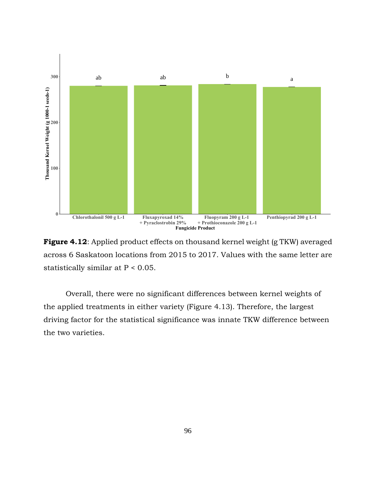

**Figure 4.12**: Applied product effects on thousand kernel weight (g TKW) averaged across 6 Saskatoon locations from 2015 to 2017. Values with the same letter are statistically similar at P < 0.05.

Overall, there were no significant differences between kernel weights of the applied treatments in either variety (Figure 4.13). Therefore, the largest driving factor for the statistical significance was innate TKW difference between the two varieties.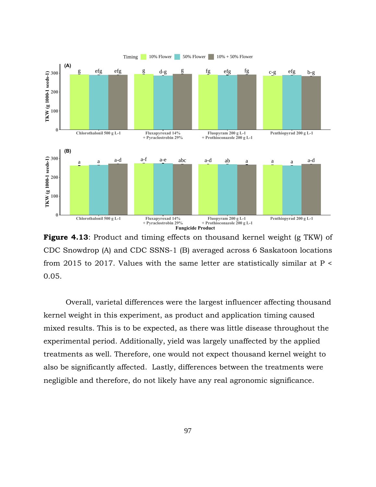

**Figure 4.13**: Product and timing effects on thousand kernel weight (g TKW) of CDC Snowdrop (A) and CDC SSNS-1 (B) averaged across 6 Saskatoon locations from 2015 to 2017. Values with the same letter are statistically similar at P < 0.05.

Overall, varietal differences were the largest influencer affecting thousand kernel weight in this experiment, as product and application timing caused mixed results. This is to be expected, as there was little disease throughout the experimental period. Additionally, yield was largely unaffected by the applied treatments as well. Therefore, one would not expect thousand kernel weight to also be significantly affected. Lastly, differences between the treatments were negligible and therefore, do not likely have any real agronomic significance.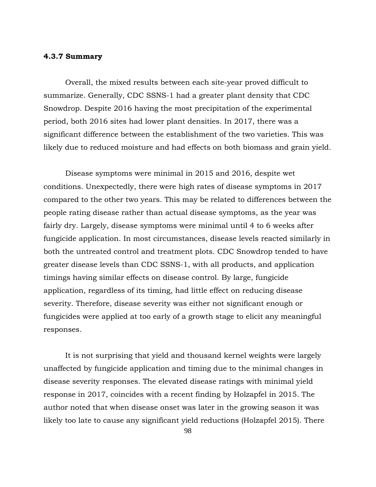#### **4.3.7 Summary**

Overall, the mixed results between each site-year proved difficult to summarize. Generally, CDC SSNS-1 had a greater plant density that CDC Snowdrop. Despite 2016 having the most precipitation of the experimental period, both 2016 sites had lower plant densities. In 2017, there was a significant difference between the establishment of the two varieties. This was likely due to reduced moisture and had effects on both biomass and grain yield.

Disease symptoms were minimal in 2015 and 2016, despite wet conditions. Unexpectedly, there were high rates of disease symptoms in 2017 compared to the other two years. This may be related to differences between the people rating disease rather than actual disease symptoms, as the year was fairly dry. Largely, disease symptoms were minimal until 4 to 6 weeks after fungicide application. In most circumstances, disease levels reacted similarly in both the untreated control and treatment plots. CDC Snowdrop tended to have greater disease levels than CDC SSNS-1, with all products, and application timings having similar effects on disease control. By large, fungicide application, regardless of its timing, had little effect on reducing disease severity. Therefore, disease severity was either not significant enough or fungicides were applied at too early of a growth stage to elicit any meaningful responses.

It is not surprising that yield and thousand kernel weights were largely unaffected by fungicide application and timing due to the minimal changes in disease severity responses. The elevated disease ratings with minimal yield response in 2017, coincides with a recent finding by Holzapfel in 2015. The author noted that when disease onset was later in the growing season it was likely too late to cause any significant yield reductions (Holzapfel 2015). There

98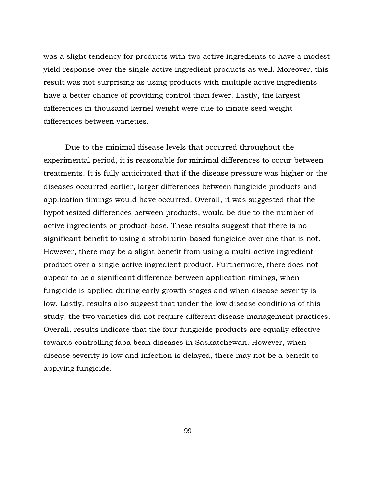was a slight tendency for products with two active ingredients to have a modest yield response over the single active ingredient products as well. Moreover, this result was not surprising as using products with multiple active ingredients have a better chance of providing control than fewer. Lastly, the largest differences in thousand kernel weight were due to innate seed weight differences between varieties.

Due to the minimal disease levels that occurred throughout the experimental period, it is reasonable for minimal differences to occur between treatments. It is fully anticipated that if the disease pressure was higher or the diseases occurred earlier, larger differences between fungicide products and application timings would have occurred. Overall, it was suggested that the hypothesized differences between products, would be due to the number of active ingredients or product-base. These results suggest that there is no significant benefit to using a strobilurin-based fungicide over one that is not. However, there may be a slight benefit from using a multi-active ingredient product over a single active ingredient product. Furthermore, there does not appear to be a significant difference between application timings, when fungicide is applied during early growth stages and when disease severity is low. Lastly, results also suggest that under the low disease conditions of this study, the two varieties did not require different disease management practices. Overall, results indicate that the four fungicide products are equally effective towards controlling faba bean diseases in Saskatchewan. However, when disease severity is low and infection is delayed, there may not be a benefit to applying fungicide.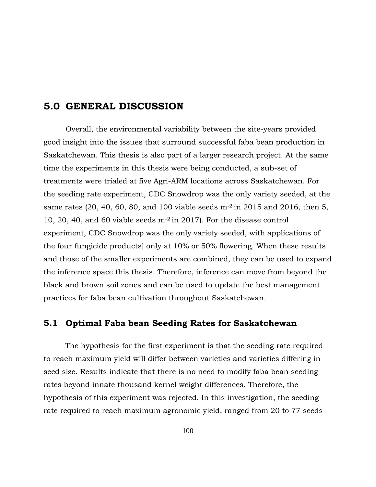# **5.0 GENERAL DISCUSSION**

Overall, the environmental variability between the site-years provided good insight into the issues that surround successful faba bean production in Saskatchewan. This thesis is also part of a larger research project. At the same time the experiments in this thesis were being conducted, a sub-set of treatments were trialed at five Agri-ARM locations across Saskatchewan. For the seeding rate experiment, CDC Snowdrop was the only variety seeded, at the same rates (20, 40, 60, 80, and 100 viable seeds  $m<sup>2</sup>$  in 2015 and 2016, then 5, 10, 20, 40, and 60 viable seeds m-2 in 2017). For the disease control experiment, CDC Snowdrop was the only variety seeded, with applications of the four fungicide products] only at 10% or 50% flowering. When these results and those of the smaller experiments are combined, they can be used to expand the inference space this thesis. Therefore, inference can move from beyond the black and brown soil zones and can be used to update the best management practices for faba bean cultivation throughout Saskatchewan.

### **5.1 Optimal Faba bean Seeding Rates for Saskatchewan**

The hypothesis for the first experiment is that the seeding rate required to reach maximum yield will differ between varieties and varieties differing in seed size. Results indicate that there is no need to modify faba bean seeding rates beyond innate thousand kernel weight differences. Therefore, the hypothesis of this experiment was rejected. In this investigation, the seeding rate required to reach maximum agronomic yield, ranged from 20 to 77 seeds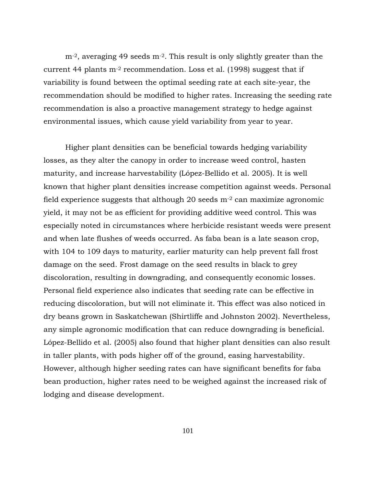$m<sup>2</sup>$ , averaging 49 seeds  $m<sup>2</sup>$ . This result is only slightly greater than the current 44 plants  $m<sup>-2</sup>$  recommendation. Loss et al. (1998) suggest that if variability is found between the optimal seeding rate at each site-year, the recommendation should be modified to higher rates. Increasing the seeding rate recommendation is also a proactive management strategy to hedge against environmental issues, which cause yield variability from year to year.

Higher plant densities can be beneficial towards hedging variability losses, as they alter the canopy in order to increase weed control, hasten maturity, and increase harvestability (López-Bellido et al. 2005). It is well known that higher plant densities increase competition against weeds. Personal field experience suggests that although 20 seeds  $m<sup>-2</sup>$  can maximize agronomic yield, it may not be as efficient for providing additive weed control. This was especially noted in circumstances where herbicide resistant weeds were present and when late flushes of weeds occurred. As faba bean is a late season crop, with 104 to 109 days to maturity, earlier maturity can help prevent fall frost damage on the seed. Frost damage on the seed results in black to grey discoloration, resulting in downgrading, and consequently economic losses. Personal field experience also indicates that seeding rate can be effective in reducing discoloration, but will not eliminate it. This effect was also noticed in dry beans grown in Saskatchewan (Shirtliffe and Johnston 2002). Nevertheless, any simple agronomic modification that can reduce downgrading is beneficial. López-Bellido et al. (2005) also found that higher plant densities can also result in taller plants, with pods higher off of the ground, easing harvestability. However, although higher seeding rates can have significant benefits for faba bean production, higher rates need to be weighed against the increased risk of lodging and disease development.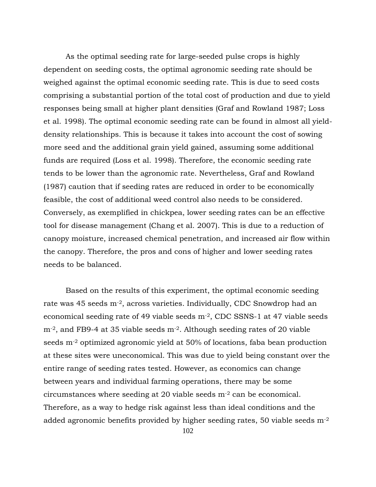As the optimal seeding rate for large-seeded pulse crops is highly dependent on seeding costs, the optimal agronomic seeding rate should be weighed against the optimal economic seeding rate. This is due to seed costs comprising a substantial portion of the total cost of production and due to yield responses being small at higher plant densities (Graf and Rowland 1987; Loss et al. 1998). The optimal economic seeding rate can be found in almost all yielddensity relationships. This is because it takes into account the cost of sowing more seed and the additional grain yield gained, assuming some additional funds are required (Loss et al. 1998). Therefore, the economic seeding rate tends to be lower than the agronomic rate. Nevertheless, Graf and Rowland (1987) caution that if seeding rates are reduced in order to be economically feasible, the cost of additional weed control also needs to be considered. Conversely, as exemplified in chickpea, lower seeding rates can be an effective tool for disease management (Chang et al. 2007). This is due to a reduction of canopy moisture, increased chemical penetration, and increased air flow within the canopy. Therefore, the pros and cons of higher and lower seeding rates needs to be balanced.

Based on the results of this experiment, the optimal economic seeding rate was 45 seeds m-2, across varieties. Individually, CDC Snowdrop had an economical seeding rate of 49 viable seeds m-2, CDC SSNS-1 at 47 viable seeds m-2, and FB9-4 at 35 viable seeds m-2. Although seeding rates of 20 viable seeds m-2 optimized agronomic yield at 50% of locations, faba bean production at these sites were uneconomical. This was due to yield being constant over the entire range of seeding rates tested. However, as economics can change between years and individual farming operations, there may be some circumstances where seeding at 20 viable seeds m-2 can be economical. Therefore, as a way to hedge risk against less than ideal conditions and the added agronomic benefits provided by higher seeding rates, 50 viable seeds m-2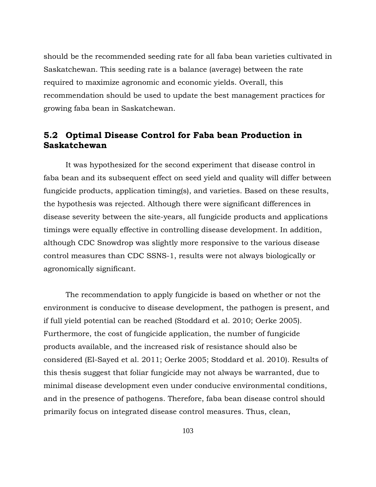should be the recommended seeding rate for all faba bean varieties cultivated in Saskatchewan. This seeding rate is a balance (average) between the rate required to maximize agronomic and economic yields. Overall, this recommendation should be used to update the best management practices for growing faba bean in Saskatchewan.

### **5.2 Optimal Disease Control for Faba bean Production in Saskatchewan**

It was hypothesized for the second experiment that disease control in faba bean and its subsequent effect on seed yield and quality will differ between fungicide products, application timing(s), and varieties. Based on these results, the hypothesis was rejected. Although there were significant differences in disease severity between the site-years, all fungicide products and applications timings were equally effective in controlling disease development. In addition, although CDC Snowdrop was slightly more responsive to the various disease control measures than CDC SSNS-1, results were not always biologically or agronomically significant.

The recommendation to apply fungicide is based on whether or not the environment is conducive to disease development, the pathogen is present, and if full yield potential can be reached (Stoddard et al. 2010; Oerke 2005). Furthermore, the cost of fungicide application, the number of fungicide products available, and the increased risk of resistance should also be considered (El-Sayed et al. 2011; Oerke 2005; Stoddard et al. 2010). Results of this thesis suggest that foliar fungicide may not always be warranted, due to minimal disease development even under conducive environmental conditions, and in the presence of pathogens. Therefore, faba bean disease control should primarily focus on integrated disease control measures. Thus, clean,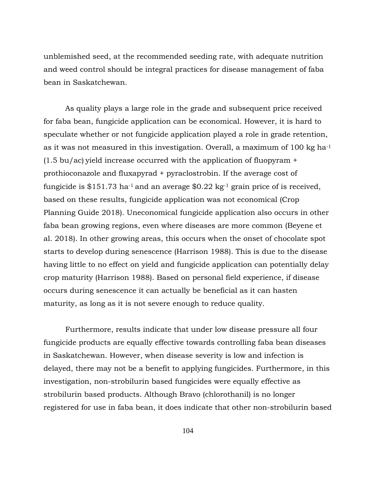unblemished seed, at the recommended seeding rate, with adequate nutrition and weed control should be integral practices for disease management of faba bean in Saskatchewan.

As quality plays a large role in the grade and subsequent price received for faba bean, fungicide application can be economical. However, it is hard to speculate whether or not fungicide application played a role in grade retention, as it was not measured in this investigation. Overall, a maximum of 100 kg ha-1  $(1.5 \text{ bu/ac})$  yield increase occurred with the application of fluopyram  $+$ prothioconazole and fluxapyrad + pyraclostrobin. If the average cost of fungicide is \$151.73 ha<sup>-1</sup> and an average \$0.22 kg<sup>-1</sup> grain price of is received, based on these results, fungicide application was not economical (Crop Planning Guide 2018). Uneconomical fungicide application also occurs in other faba bean growing regions, even where diseases are more common (Beyene et al. 2018). In other growing areas, this occurs when the onset of chocolate spot starts to develop during senescence (Harrison 1988). This is due to the disease having little to no effect on yield and fungicide application can potentially delay crop maturity (Harrison 1988). Based on personal field experience, if disease occurs during senescence it can actually be beneficial as it can hasten maturity, as long as it is not severe enough to reduce quality.

Furthermore, results indicate that under low disease pressure all four fungicide products are equally effective towards controlling faba bean diseases in Saskatchewan. However, when disease severity is low and infection is delayed, there may not be a benefit to applying fungicides. Furthermore, in this investigation, non-strobilurin based fungicides were equally effective as strobilurin based products. Although Bravo (chlorothanil) is no longer registered for use in faba bean, it does indicate that other non-strobilurin based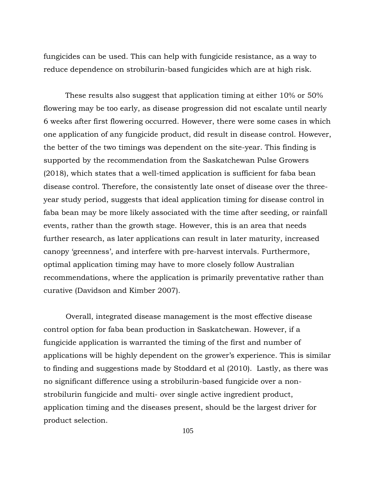fungicides can be used. This can help with fungicide resistance, as a way to reduce dependence on strobilurin-based fungicides which are at high risk.

These results also suggest that application timing at either 10% or 50% flowering may be too early, as disease progression did not escalate until nearly 6 weeks after first flowering occurred. However, there were some cases in which one application of any fungicide product, did result in disease control. However, the better of the two timings was dependent on the site-year. This finding is supported by the recommendation from the Saskatchewan Pulse Growers (2018), which states that a well-timed application is sufficient for faba bean disease control. Therefore, the consistently late onset of disease over the threeyear study period, suggests that ideal application timing for disease control in faba bean may be more likely associated with the time after seeding, or rainfall events, rather than the growth stage. However, this is an area that needs further research, as later applications can result in later maturity, increased canopy 'greenness', and interfere with pre-harvest intervals. Furthermore, optimal application timing may have to more closely follow Australian recommendations, where the application is primarily preventative rather than curative (Davidson and Kimber 2007).

Overall, integrated disease management is the most effective disease control option for faba bean production in Saskatchewan. However, if a fungicide application is warranted the timing of the first and number of applications will be highly dependent on the grower's experience. This is similar to finding and suggestions made by Stoddard et al (2010). Lastly, as there was no significant difference using a strobilurin-based fungicide over a nonstrobilurin fungicide and multi- over single active ingredient product, application timing and the diseases present, should be the largest driver for product selection.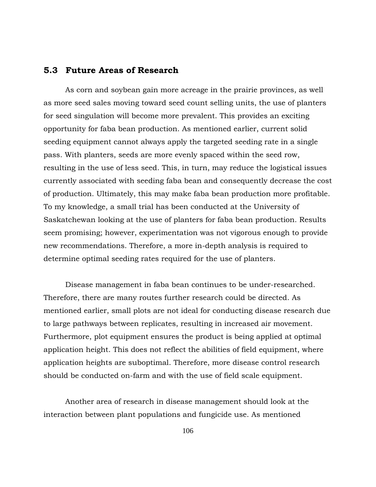#### **5.3 Future Areas of Research**

As corn and soybean gain more acreage in the prairie provinces, as well as more seed sales moving toward seed count selling units, the use of planters for seed singulation will become more prevalent. This provides an exciting opportunity for faba bean production. As mentioned earlier, current solid seeding equipment cannot always apply the targeted seeding rate in a single pass. With planters, seeds are more evenly spaced within the seed row, resulting in the use of less seed. This, in turn, may reduce the logistical issues currently associated with seeding faba bean and consequently decrease the cost of production. Ultimately, this may make faba bean production more profitable. To my knowledge, a small trial has been conducted at the University of Saskatchewan looking at the use of planters for faba bean production. Results seem promising; however, experimentation was not vigorous enough to provide new recommendations. Therefore, a more in-depth analysis is required to determine optimal seeding rates required for the use of planters.

Disease management in faba bean continues to be under-researched. Therefore, there are many routes further research could be directed. As mentioned earlier, small plots are not ideal for conducting disease research due to large pathways between replicates, resulting in increased air movement. Furthermore, plot equipment ensures the product is being applied at optimal application height. This does not reflect the abilities of field equipment, where application heights are suboptimal. Therefore, more disease control research should be conducted on-farm and with the use of field scale equipment.

Another area of research in disease management should look at the interaction between plant populations and fungicide use. As mentioned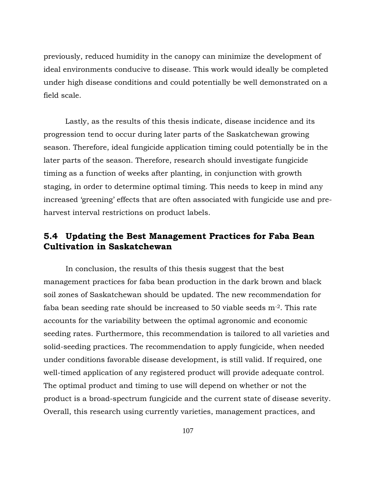previously, reduced humidity in the canopy can minimize the development of ideal environments conducive to disease. This work would ideally be completed under high disease conditions and could potentially be well demonstrated on a field scale.

Lastly, as the results of this thesis indicate, disease incidence and its progression tend to occur during later parts of the Saskatchewan growing season. Therefore, ideal fungicide application timing could potentially be in the later parts of the season. Therefore, research should investigate fungicide timing as a function of weeks after planting, in conjunction with growth staging, in order to determine optimal timing. This needs to keep in mind any increased 'greening' effects that are often associated with fungicide use and preharvest interval restrictions on product labels.

## **5.4 Updating the Best Management Practices for Faba Bean Cultivation in Saskatchewan**

In conclusion, the results of this thesis suggest that the best management practices for faba bean production in the dark brown and black soil zones of Saskatchewan should be updated. The new recommendation for faba bean seeding rate should be increased to 50 viable seeds m-2. This rate accounts for the variability between the optimal agronomic and economic seeding rates. Furthermore, this recommendation is tailored to all varieties and solid-seeding practices. The recommendation to apply fungicide, when needed under conditions favorable disease development, is still valid. If required, one well-timed application of any registered product will provide adequate control. The optimal product and timing to use will depend on whether or not the product is a broad-spectrum fungicide and the current state of disease severity. Overall, this research using currently varieties, management practices, and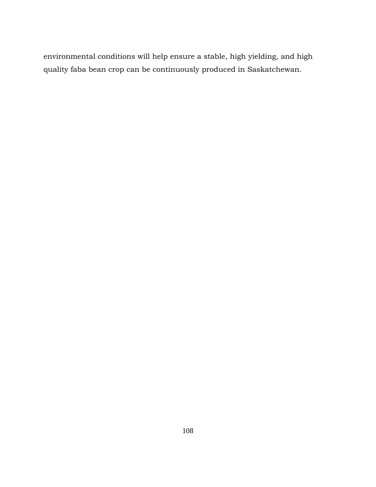environmental conditions will help ensure a stable, high yielding, and high quality faba bean crop can be continuously produced in Saskatchewan.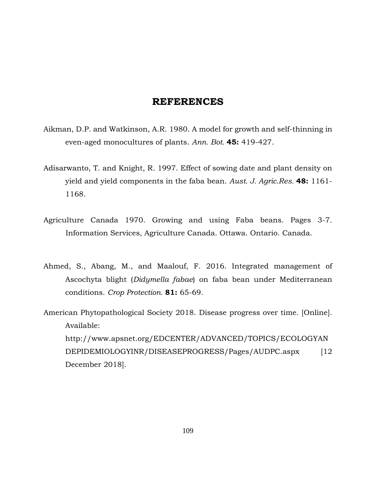### **REFERENCES**

- Aikman, D.P. and Watkinson, A.R. 1980. A model for growth and self-thinning in even-aged monocultures of plants. *Ann. Bot.* **45:** 419-427.
- Adisarwanto, T. and Knight, R. 1997. Effect of sowing date and plant density on yield and yield components in the faba bean. *Aust. J. Agric.Res.* **48:** 1161- 1168.
- Agriculture Canada 1970. Growing and using Faba beans. Pages 3-7. Information Services, Agriculture Canada. Ottawa. Ontario. Canada.
- Ahmed, S., Abang, M., and Maalouf, F. 2016. Integrated management of Ascochyta blight (*Didymella fabae*) on faba bean under Mediterranean conditions. *Crop Protection.* **81:** 65-69.
- American Phytopathological Society 2018. Disease progress over time. [Online]. Available: http://www.apsnet.org/EDCENTER/ADVANCED/TOPICS/ECOLOGYAN DEPIDEMIOLOGYINR/DISEASEPROGRESS/Pages/AUDPC.aspx [12] December 2018].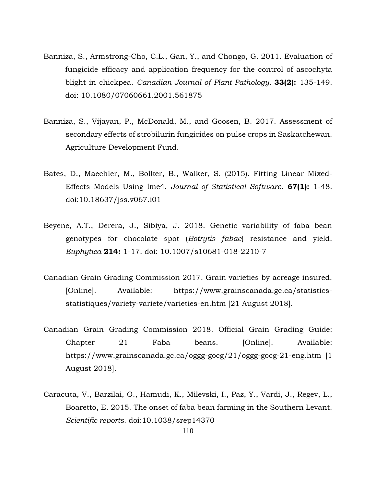- Banniza, S., Armstrong-Cho, C.L., Gan, Y., and Chongo, G. 2011. Evaluation of fungicide efficacy and application frequency for the control of ascochyta blight in chickpea. *Canadian Journal of Plant Pathology.* **33(2):** 135-149. doi: 10.1080/07060661.2001.561875
- Banniza, S., Vijayan, P., McDonald, M., and Goosen, B. 2017. Assessment of secondary effects of strobilurin fungicides on pulse crops in Saskatchewan. Agriculture Development Fund.
- Bates, D., Maechler, M., Bolker, B., Walker, S. (2015). Fitting Linear Mixed-Effects Models Using lme4. *Journal of Statistical Software*. **67(1):** 1-48. doi:10.18637/jss.v067.i01
- Beyene, A.T., Derera, J., Sibiya, J. 2018. Genetic variability of faba bean genotypes for chocolate spot (*Botrytis fabae*) resistance and yield. *Euphytica* **214:** 1-17. doi: 10.1007/s10681-018-2210-7
- Canadian Grain Grading Commission 2017. Grain varieties by acreage insured. [Online]. Available: https://www.grainscanada.gc.ca/statisticsstatistiques/variety-variete/varieties-en.htm [21 August 2018].
- Canadian Grain Grading Commission 2018. Official Grain Grading Guide: Chapter 21 Faba beans. [Online]. Available: https://www.grainscanada.gc.ca/oggg-gocg/21/oggg-gocg-21-eng.htm [1 August 2018].
- Caracuta, V., Barzilai, O., Hamudi, K., Milevski, I., Paz, Y., Vardi, J., Regev, L., Boaretto, E. 2015. The onset of faba bean farming in the Southern Levant. *Scientific reports.* doi:10.1038/srep14370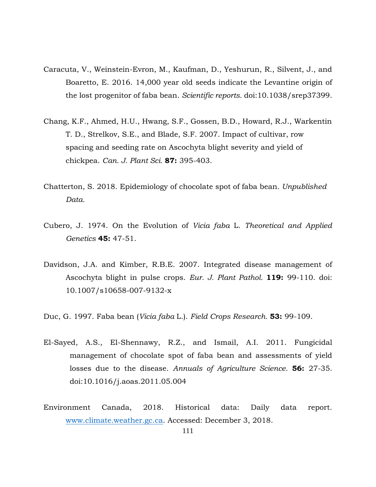- Caracuta, V., Weinstein-Evron, M., Kaufman, D., Yeshurun, R., Silvent, J., and Boaretto, E. 2016. 14,000 year old seeds indicate the Levantine origin of the lost progenitor of faba bean. *Scientific reports.* doi:10.1038/srep37399.
- Chang, K.F., Ahmed, H.U., Hwang, S.F., Gossen, B.D., Howard, R.J., Warkentin T. D., Strelkov, S.E., and Blade, S.F. 2007. Impact of cultivar, row spacing and seeding rate on Ascochyta blight severity and yield of chickpea. *Can. J. Plant Sci.* **87:** 395-403.
- Chatterton, S. 2018. Epidemiology of chocolate spot of faba bean. *Unpublished Data.*
- Cubero, J. 1974. On the Evolution of *Vicia faba* L. *Theoretical and Applied Genetics* **45:** 47-51.
- Davidson, J.A. and Kimber, R.B.E. 2007. Integrated disease management of Ascochyta blight in pulse crops. *Eur. J. Plant Pathol.* **119:** 99-110. doi: 10.1007/s10658-007-9132-x
- Duc, G. 1997. Faba bean (*Vicia faba* L.). *Field Crops Research.* **53:** 99-109.
- El-Sayed, A.S., El-Shennawy, R.Z., and Ismail, A.I. 2011. Fungicidal management of chocolate spot of faba bean and assessments of yield losses due to the disease. *Annuals of Agriculture Science.* **56:** 27-35. doi:10.1016/j.aoas.2011.05.004
- Environment Canada, 2018. Historical data: Daily data report. [www.climate.weather.gc.ca.](http://www.climate.weather.gc.ca/) Accessed: December 3, 2018.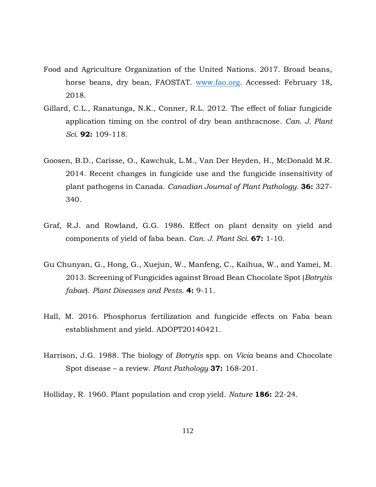- Food and Agriculture Organization of the United Nations. 2017. Broad beans, horse beans, dry bean, FAOSTAT. [www.fao.org.](http://www.fao.org/) Accessed: February 18, 2018.
- Gillard, C.L., Ranatunga, N.K., Conner, R.L. 2012. The effect of foliar fungicide application timing on the control of dry bean anthracnose. *Can. J. Plant Sci.* **92:** 109-118.
- Goosen, B.D., Carisse, O., Kawchuk, L.M., Van Der Heyden, H., McDonald M.R. 2014. Recent changes in fungicide use and the fungicide insensitivity of plant pathogens in Canada. *Canadian Journal of Plant Pathology.* **36:** 327- 340.
- Graf, R.J. and Rowland, G.G. 1986. Effect on plant density on yield and components of yield of faba bean. *Can. J. Plant Sci.* **67:** 1-10.
- Gu Chunyan, G., Hong, G., Xuejun, W., Manfeng, C., Kaihua, W., and Yamei, M. 2013. Screening of Fungicides against Broad Bean Chocolate Spot (*Botrytis fabae*). *Plant Diseases and Pests.* **4:** 9-11.
- Hall, M. 2016. Phosphorus fertilization and fungicide effects on Faba bean establishment and yield. ADOPT20140421.
- Harrison, J.G. 1988. The biology of *Botrytis* spp. on *Vicia* beans and Chocolate Spot disease – a review. *Plant Pathology* **37:** 168-201.
- Holliday, R. 1960. Plant population and crop yield. *Nature* **186:** 22-24.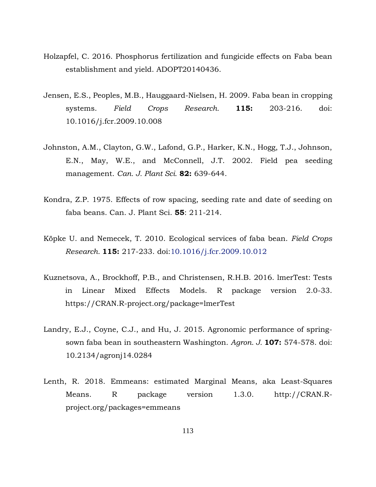- Holzapfel, C. 2016. Phosphorus fertilization and fungicide effects on Faba bean establishment and yield. ADOPT20140436.
- Jensen, E.S., Peoples, M.B., Hauggaard-Nielsen, H. 2009. Faba bean in cropping systems. *Field Crops Research.* **115:** 203-216. doi: 10.1016/j.fcr.2009.10.008
- Johnston, A.M., Clayton, G.W., Lafond, G.P., Harker, K.N., Hogg, T.J., Johnson, E.N., May, W.E., and McConnell, J.T. 2002. Field pea seeding management. *Can. J. Plant Sci.* **82:** 639-644.
- Kondra, Z.P. 1975. Effects of row spacing, seeding rate and date of seeding on faba beans. Can. J. Plant Sci. **55**: 211-214.
- Köpke U. and Nemecek, T. 2010. Ecological services of faba bean. *Field Crops Research.* **115:** 217-233. doi:10.1016/j.fcr.2009.10.012
- Kuznetsova, A., Brockhoff, P.B., and Christensen, R.H.B. 2016. lmerTest: Tests in Linear Mixed Effects Models. R package version 2.0-33. https://CRAN.R-project.org/package=lmerTest
- Landry, E.J., Coyne, C.J., and Hu, J. 2015. Agronomic performance of springsown faba bean in southeastern Washington. *Agron. J.* **107:** 574-578. doi: 10.2134/agronj14.0284
- Lenth, R. 2018. Emmeans: estimated Marginal Means, aka Least-Squares Means. R package version 1.3.0. http://CRAN.Rproject.org/packages=emmeans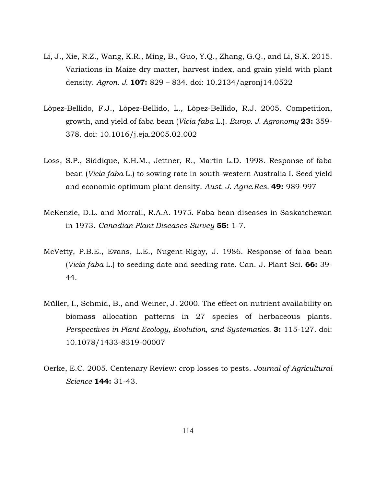- Li, J., Xie, R.Z., Wang, K.R., Ming, B., Guo, Y.Q., Zhang, G.Q., and Li, S.K. 2015. Variations in Maize dry matter, harvest index, and grain yield with plant density. *Agron. J.* **107:** 829 – 834. doi: 10.2134/agronj14.0522
- Lòpez-Bellido, F.J., Lòpez-Bellido, L., Lòpez-Bellido, R.J. 2005. Competition, growth, and yield of faba bean (*Vicia faba* L.). *Europ. J. Agronomy* **23:** 359- 378. doi: 10.1016/j.eja.2005.02.002
- Loss, S.P., Siddique, K.H.M., Jettner, R., Martin L.D. 1998. Response of faba bean (*Vicia faba* L.) to sowing rate in south-western Australia I. Seed yield and economic optimum plant density. *Aust. J. Agric.Res.* **49:** 989-997
- McKenzie, D.L. and Morrall, R.A.A. 1975. Faba bean diseases in Saskatchewan in 1973. *Canadian Plant Diseases Survey* **55:** 1-7.
- McVetty, P.B.E., Evans, L.E., Nugent-Rigby, J. 1986. Response of faba bean (*Vicia faba* L.) to seeding date and seeding rate. Can. J. Plant Sci. **66:** 39- 44.
- Müller, I., Schmid, B., and Weiner, J. 2000. The effect on nutrient availability on biomass allocation patterns in 27 species of herbaceous plants. *Perspectives in Plant Ecology, Evolution, and Systematics.* **3:** 115-127. doi: 10.1078/1433-8319-00007
- Oerke, E.C. 2005. Centenary Review: crop losses to pests. *Journal of Agricultural Science* **144:** 31-43.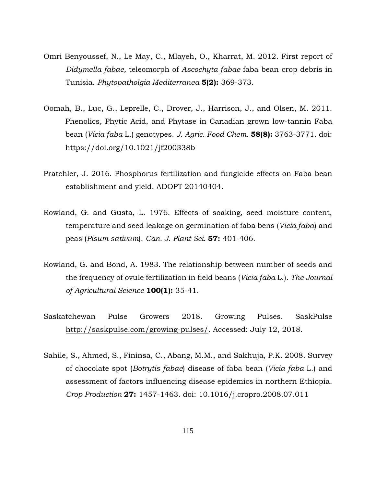- Omri Benyoussef, N., Le May, C., Mlayeh, O., Kharrat, M. 2012. First report of *Didymella fabae,* teleomorph of *Ascochyta fabae* faba bean crop debris in Tunisia. *Phytopatholgia Mediterranea* **5(2):** 369-373.
- Oomah, B., Luc, G., Leprelle, C., Drover, J., Harrison, J., and Olsen, M. 2011. Phenolics, Phytic Acid, and Phytase in Canadian grown low-tannin Faba bean (*Vicia faba* L.) genotypes. *J. Agric. Food Chem.* **58(8):** 3763-3771. doi: <https://doi.org/10.1021/jf200338b>
- Pratchler, J. 2016. Phosphorus fertilization and fungicide effects on Faba bean establishment and yield. ADOPT 20140404.
- Rowland, G. and Gusta, L. 1976. Effects of soaking, seed moisture content, temperature and seed leakage on germination of faba bens (*Vicia faba*) and peas (*Pisum sativum*). *Can. J. Plant Sci.* **57:** 401-406.
- Rowland, G. and Bond, A. 1983. The relationship between number of seeds and the frequency of ovule fertilization in field beans (*Vicia faba* L.). *The Journal of Agricultural Science* **100(1):** 35-41.
- Saskatchewan Pulse Growers 2018. Growing Pulses. SaskPulse [http://saskpulse.com/growing-pulses/.](http://saskpulse.com/growing-pulses/) Accessed: July 12, 2018.
- Sahile, S., Ahmed, S., Fininsa, C., Abang, M.M., and Sakhuja, P.K. 2008. Survey of chocolate spot (*Botrytis fabae*) disease of faba bean (*Vicia faba* L.) and assessment of factors influencing disease epidemics in northern Ethiopia. *Crop Production* **27:** 1457-1463. doi: 10.1016/j.cropro.2008.07.011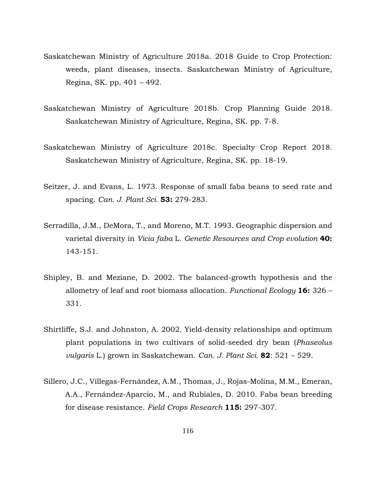- Saskatchewan Ministry of Agriculture 2018a. 2018 Guide to Crop Protection: weeds, plant diseases, insects. Saskatchewan Ministry of Agriculture, Regina, SK. pp. 401 – 492.
- Saskatchewan Ministry of Agriculture 2018b. Crop Planning Guide 2018. Saskatchewan Ministry of Agriculture, Regina, SK. pp. 7-8.
- Saskatchewan Ministry of Agriculture 2018c. Specialty Crop Report 2018. Saskatchewan Ministry of Agriculture, Regina, SK. pp. 18-19.
- Seitzer, J. and Evans, L. 1973. Response of small faba beans to seed rate and spacing. *Can. J. Plant Sci.* **53:** 279-283.
- Serradilla, J.M., DeMora, T., and Moreno, M.T. 1993. Geographic dispersion and varietal diversity in *Vicia faba* L. *Genetic Resources and Crop evolution* **40:**  143-151.
- Shipley, B. and Meziane, D. 2002. The balanced-growth hypothesis and the allometry of leaf and root biomass allocation. *Functional Ecology* **16:** 326 – 331.
- Shirtliffe, S.J. and Johnston, A. 2002. Yield-density relationships and optimum plant populations in two cultivars of solid-seeded dry bean (*Phaseolus vulgaris* L.) grown in Saskatchewan. *Can. J. Plant Sci.* **82**: 521 – 529.
- Sillero, J.C., Villegas-Fernández, A.M., Thomas, J., Rojas-Molina, M.M., Emeran, A.A., Fernández-Aparcio, M., and Rubiales, D. 2010. Faba bean breeding for disease resistance. *Field Crops Research* **115:** 297-307.